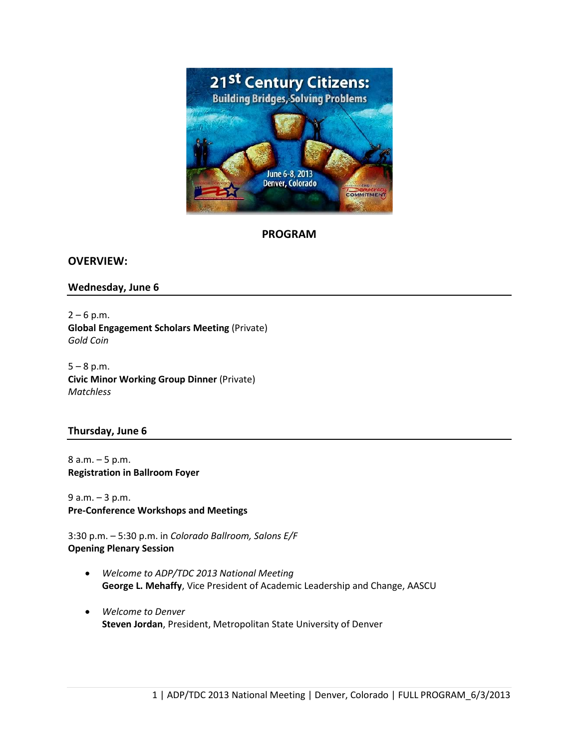

**PROGRAM**

**OVERVIEW:**

#### **Wednesday, June 6**

 $2 - 6$  p.m. **Global Engagement Scholars Meeting** (Private) *Gold Coin*

 $5 - 8$  p.m. **Civic Minor Working Group Dinner** (Private) *Matchless*

#### **Thursday, June 6**

8 a.m. – 5 p.m. **Registration in Ballroom Foyer**

9 a.m. – 3 p.m. **Pre-Conference Workshops and Meetings**

3:30 p.m. – 5:30 p.m. in *Colorado Ballroom, Salons E/F* **Opening Plenary Session**

- *Welcome to ADP/TDC 2013 National Meeting* **George L. Mehaffy**, Vice President of Academic Leadership and Change, AASCU
- *Welcome to Denver* **Steven Jordan**, President, Metropolitan State University of Denver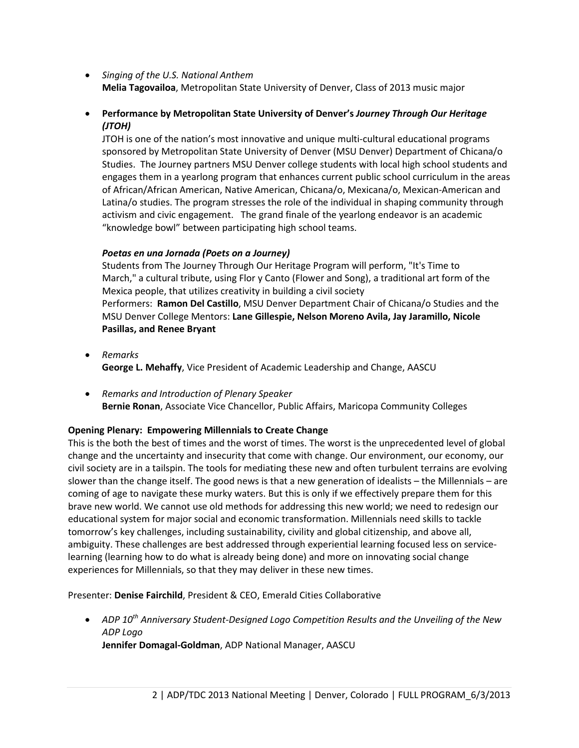- *Singing of the U.S. National Anthem* **Melia Tagovailoa**, Metropolitan State University of Denver, Class of 2013 music major
- **Performance by Metropolitan State University of Denver's** *Journey Through Our Heritage (JTOH)*

JTOH is one of the nation's most innovative and unique multi-cultural educational programs sponsored by Metropolitan State University of Denver (MSU Denver) Department of Chicana/o Studies. The Journey partners MSU Denver college students with local high school students and engages them in a yearlong program that enhances current public school curriculum in the areas of African/African American, Native American, Chicana/o, Mexicana/o, Mexican-American and Latina/o studies. The program stresses the role of the individual in shaping community through activism and civic engagement. The grand finale of the yearlong endeavor is an academic "knowledge bowl" between participating high school teams.

## *Poetas en una Jornada (Poets on a Journey)*

Students from The Journey Through Our Heritage Program will perform, "It's Time to March," a cultural tribute, using Flor y Canto (Flower and Song), a traditional art form of the Mexica people, that utilizes creativity in building a civil society Performers: **Ramon Del Castillo**, MSU Denver Department Chair of Chicana/o Studies and the MSU Denver College Mentors: **Lane Gillespie, Nelson Moreno Avila, Jay Jaramillo, Nicole Pasillas, and Renee Bryant**

- *Remarks* **George L. Mehaffy**, Vice President of Academic Leadership and Change, AASCU
- *Remarks and Introduction of Plenary Speaker* **Bernie Ronan**, Associate Vice Chancellor, Public Affairs, Maricopa Community Colleges

# **Opening Plenary: Empowering Millennials to Create Change**

This is the both the best of times and the worst of times. The worst is the unprecedented level of global change and the uncertainty and insecurity that come with change. Our environment, our economy, our civil society are in a tailspin. The tools for mediating these new and often turbulent terrains are evolving slower than the change itself. The good news is that a new generation of idealists – the Millennials – are coming of age to navigate these murky waters. But this is only if we effectively prepare them for this brave new world. We cannot use old methods for addressing this new world; we need to redesign our educational system for major social and economic transformation. Millennials need skills to tackle tomorrow's key challenges, including sustainability, civility and global citizenship, and above all, ambiguity. These challenges are best addressed through experiential learning focused less on servicelearning (learning how to do what is already being done) and more on innovating social change experiences for Millennials, so that they may deliver in these new times.

Presenter: **Denise Fairchild**, President & CEO, Emerald Cities Collaborative

• *ADP 10th Anniversary Student-Designed Logo Competition Results and the Unveiling of the New ADP Logo* **Jennifer Domagal-Goldman**, ADP National Manager, AASCU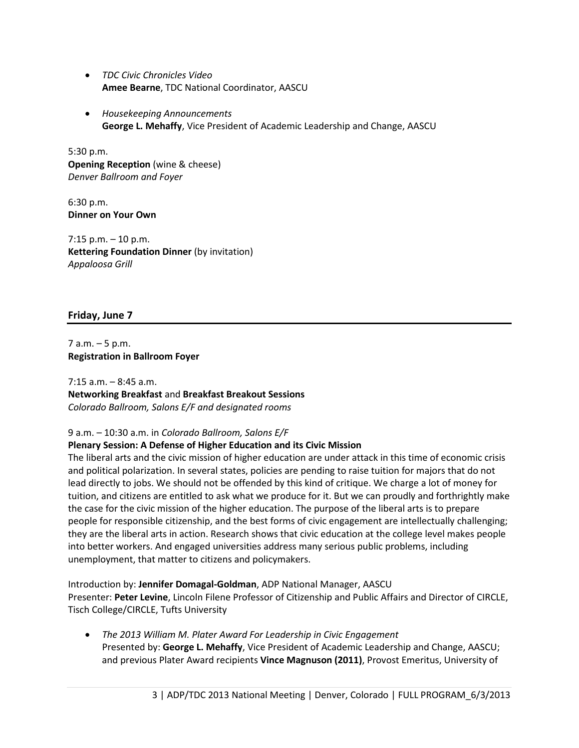- *TDC Civic Chronicles Video* **Amee Bearne**, TDC National Coordinator, AASCU
- *Housekeeping Announcements* **George L. Mehaffy**, Vice President of Academic Leadership and Change, AASCU

5:30 p.m. **Opening Reception** (wine & cheese) *Denver Ballroom and Foyer*

6:30 p.m. **Dinner on Your Own**

 $7:15$  p.m.  $-10$  p.m. **Kettering Foundation Dinner** (by invitation) *Appaloosa Grill*

# **Friday, June 7**

7 a.m. – 5 p.m. **Registration in Ballroom Foyer**

7:15 a.m. – 8:45 a.m. **Networking Breakfast** and **Breakfast Breakout Sessions** *Colorado Ballroom, Salons E/F and designated rooms*

# 9 a.m. – 10:30 a.m. in *Colorado Ballroom, Salons E/F*

## **Plenary Sessio[n: A](http://peterlevine.ws/?p=10850) Defense of Higher Education and its Civic Mission**

The liberal arts and the civic mission of higher education are under attack in this time of economic crisis and political polarization. In several states, policies are pending to raise tuition for majors that do not lead directly to jobs. We should not be offended by this kind of critique. We charge a lot of money for tuition, and citizens are entitled to ask what we produce for it. But we can proudly and forthrightly make the case for the civic mission of the higher education. The purpose of the liberal arts is to prepare people for responsible citizenship, and the best forms of civic engagement are intellectually challenging; they are the liberal arts in action. Research shows that civic education at the college level makes people into better workers. And engaged universities address many serious public problems, including unemployment, that matter to citizens and policymakers.

Introduction by: **Jennifer Domagal-Goldman**, ADP National Manager, AASCU Presenter: **Peter Levine**, Lincoln Filene Professor of Citizenship and Public Affairs and Director of CIRCLE, Tisch College/CIRCLE, Tufts University

• *The 2013 William M. Plater Award For Leadership in Civic Engagement* Presented by: **George L. Mehaffy**, Vice President of Academic Leadership and Change, AASCU; and previous Plater Award recipients **Vince Magnuson (2011)**, Provost Emeritus, University of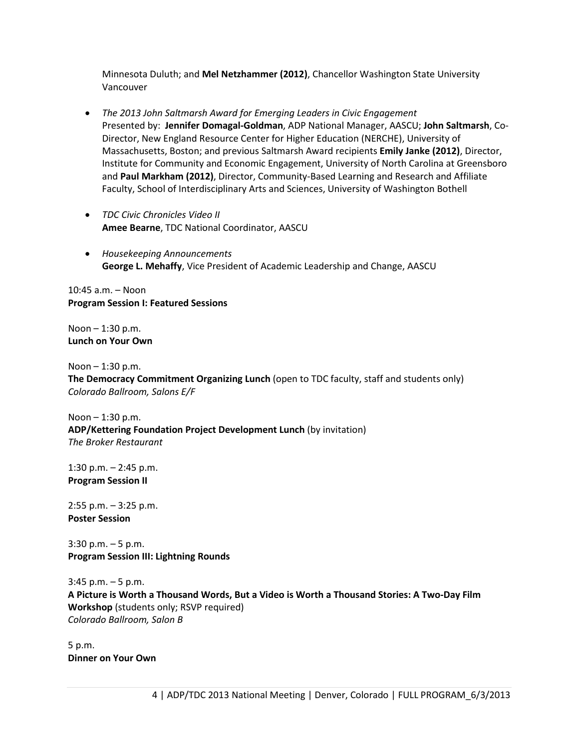Minnesota Duluth; and **Mel Netzhammer (2012)**, Chancellor Washington State University Vancouver

- *The 2013 John Saltmarsh Award for Emerging Leaders in Civic Engagement* Presented by: **Jennifer Domagal-Goldman**, ADP National Manager, AASCU; **John Saltmarsh**, Co-Director, New England Resource Center for Higher Education (NERCHE), University of Massachusetts, Boston; and previous Saltmarsh Award recipients **Emily Janke (2012)**, Director, Institute for Community and Economic Engagement, University of North Carolina at Greensboro and **Paul Markham (2012)**, Director, Community-Based Learning and Research and Affiliate Faculty, School of Interdisciplinary Arts and Sciences, University of Washington Bothell
- *TDC Civic Chronicles Video II* **Amee Bearne**, TDC National Coordinator, AASCU
- *Housekeeping Announcements* **George L. Mehaffy**, Vice President of Academic Leadership and Change, AASCU

10:45 a.m. – Noon **Program Session I: Featured Sessions**

Noon – 1:30 p.m. **Lunch on Your Own**

Noon – 1:30 p.m. **The Democracy Commitment Organizing Lunch** (open to TDC faculty, staff and students only) *Colorado Ballroom, Salons E/F*

Noon – 1:30 p.m. **ADP/Kettering Foundation Project Development Lunch** (by invitation) *The Broker Restaurant*

1:30 p.m. – 2:45 p.m. **Program Session II**

2:55 p.m. – 3:25 p.m. **Poster Session** 

3:30 p.m. – 5 p.m. **Program Session III: Lightning Rounds**

3:45 p.m. – 5 p.m. **A Picture is Worth a Thousand Words, But a Video is Worth a Thousand Stories: A Two-Day Film Workshop** (students only; RSVP required) *Colorado Ballroom, Salon B*

5 p.m. **Dinner on Your Own**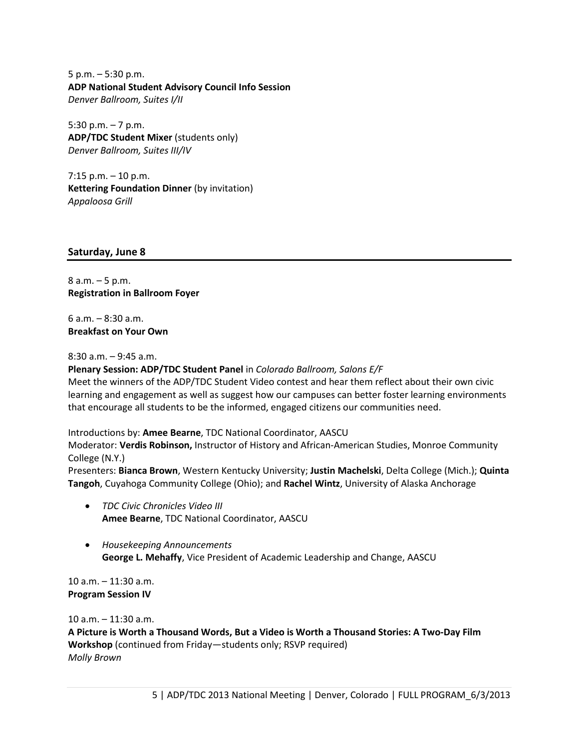5 p.m. – 5:30 p.m. **ADP National Student Advisory Council Info Session**  *Denver Ballroom, Suites I/II*

5:30 p.m.  $-7$  p.m. **ADP/TDC Student Mixer** (students only) *Denver Ballroom, Suites III/IV*

 $7:15$  p.m.  $-10$  p.m. **Kettering Foundation Dinner** (by invitation) *Appaloosa Grill*

## **Saturday, June 8**

8 a.m. – 5 p.m. **Registration in Ballroom Foyer**

6 a.m. – 8:30 a.m. **Breakfast on Your Own**

8:30 a.m. – 9:45 a.m.

**Plenary Session: ADP/TDC Student Panel** in *Colorado Ballroom, Salons E/F* Meet the winners of the ADP/TDC Student Video contest and hear them reflect about their own civic learning and engagement as well as suggest how our campuses can better foster learning environments that encourage all students to be the informed, engaged citizens our communities need.

Introductions by: **Amee Bearne**, TDC National Coordinator, AASCU

Moderator: **Verdis Robinson,** Instructor of History and African-American Studies, Monroe Community College (N.Y.)

Presenters: **Bianca Brown**, Western Kentucky University; **Justin Machelski**, Delta College (Mich.); **Quinta Tangoh**, Cuyahoga Community College (Ohio); and **Rachel Wintz**, University of Alaska Anchorage

- *TDC Civic Chronicles Video III* **Amee Bearne**, TDC National Coordinator, AASCU
- *Housekeeping Announcements* **George L. Mehaffy**, Vice President of Academic Leadership and Change, AASCU

10 a.m. – 11:30 a.m. **Program Session IV**

10 a.m. – 11:30 a.m.

**A Picture is Worth a Thousand Words, But a Video is Worth a Thousand Stories: A Two-Day Film Workshop** (continued from Friday—students only; RSVP required) *Molly Brown*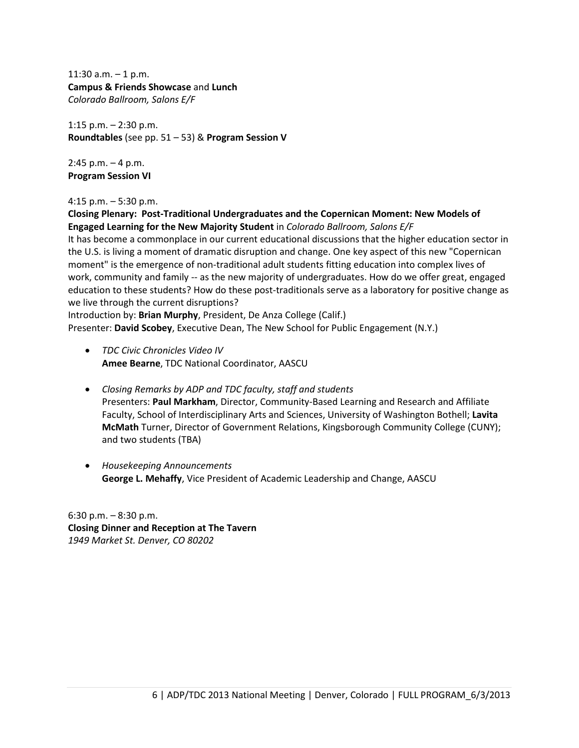11:30 a.m.  $-1$  p.m. **Campus & Friends Showcase** and **Lunch** *Colorado Ballroom, Salons E/F*

1:15 p.m. – 2:30 p.m. **Roundtables** (see pp. 51 – 53) & **Program Session V**

 $2:45$  p.m.  $-4$  p.m. **Program Session VI**

#### 4:15 p.m. – 5:30 p.m.

**Closing Plenary: Post-Traditional Undergraduates and the Copernican Moment: New Models of Engaged Learning for the New Majority Student** in *Colorado Ballroom, Salons E/F* It has become a commonplace in our current educational discussions that the higher education sector in

the U.S. is living a moment of dramatic disruption and change. One key aspect of this new "Copernican moment" is the emergence of non-traditional adult students fitting education into complex lives of work, community and family -- as the new majority of undergraduates. How do we offer great, engaged education to these students? How do these post-traditionals serve as a laboratory for positive change as we live through the current disruptions?

Introduction by: **Brian Murphy**, President, De Anza College (Calif.) Presenter: **David Scobey**, Executive Dean, The New School for Public Engagement (N.Y.)

- *TDC Civic Chronicles Video IV* **Amee Bearne**, TDC National Coordinator, AASCU
- *Closing Remarks by ADP and TDC faculty, staff and students* Presenters: **Paul Markham**, Director, Community-Based Learning and Research and Affiliate Faculty, School of Interdisciplinary Arts and Sciences, University of Washington Bothell; **Lavita McMath** Turner, Director of Government Relations, Kingsborough Community College (CUNY); and two students (TBA)
- *Housekeeping Announcements* **George L. Mehaffy**, Vice President of Academic Leadership and Change, AASCU

6:30 p.m. – 8:30 p.m. **Closing Dinner and Reception at The Tavern** *1949 Market St. Denver, CO 80202*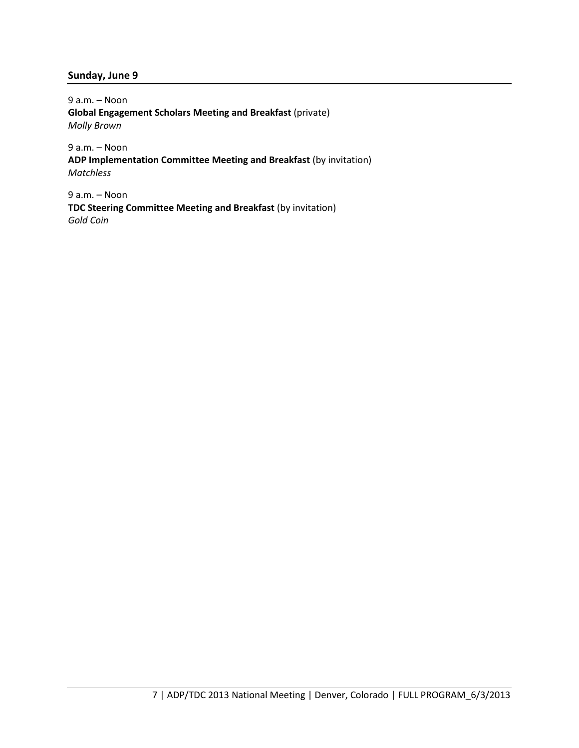#### **Sunday, June 9**

9 a.m. – Noon **Global Engagement Scholars Meeting and Breakfast** (private) *Molly Brown*

9 a.m. – Noon **ADP Implementation Committee Meeting and Breakfast** (by invitation) *Matchless*

9 a.m. – Noon **TDC Steering Committee Meeting and Breakfast** (by invitation) *Gold Coin*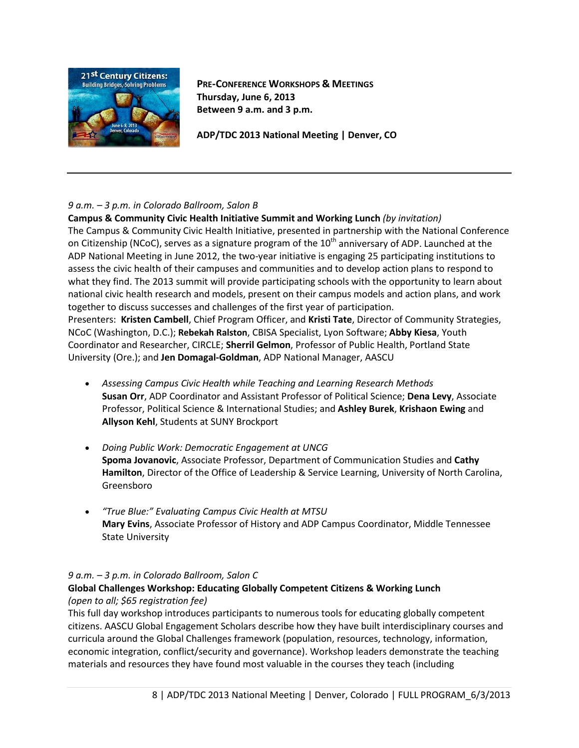

**PRE-CONFERENCE WORKSHOPS & MEETINGS Thursday, June 6, 2013 Between 9 a.m. and 3 p.m.**

**ADP/TDC 2013 National Meeting | Denver, CO**

## *9 a.m. – 3 p.m. in Colorado Ballroom, Salon B*

**Campus & Community Civic Health Initiative Summit and Working Lunch** *(by invitation)* The Campus & Community Civic Health Initiative, presented in partnership with the National Conference on Citizenship (NCoC), serves as a signature program of the  $10<sup>th</sup>$  anniversary of ADP. Launched at the ADP National Meeting in June 2012, the two-year initiative is engaging 25 participating institutions to assess the civic health of their campuses and communities and to develop action plans to respond to what they find. The 2013 summit will provide participating schools with the opportunity to learn about national civic health research and models, present on their campus models and action plans, and work together to discuss successes and challenges of the first year of participation.

Presenters: **Kristen Cambell**, Chief Program Officer, and **Kristi Tate**, Director of Community Strategies, NCoC (Washington, D.C.); **Rebekah Ralston**, CBISA Specialist, Lyon Software; **Abby Kiesa**, Youth Coordinator and Researcher, CIRCLE; **Sherril Gelmon**, Professor of Public Health, Portland State University (Ore.); and **Jen Domagal-Goldman**, ADP National Manager, AASCU

- *Assessing Campus Civic Health while Teaching and Learning Research Methods* **Susan Orr**, ADP Coordinator and Assistant Professor of Political Science; **Dena Levy**, Associate Professor, Political Science & International Studies; and **Ashley Burek**, **Krishaon Ewing** and **Allyson Kehl**, Students at SUNY Brockport
- *Doing Public Work: Democratic Engagement at UNCG* **Spoma Jovanovic**, Associate Professor, Department of Communication Studies and **Cathy Hamilton**, Director of the Office of Leadership & Service Learning, University of North Carolina, Greensboro
- *"True Blue:" Evaluating Campus Civic Health at MTSU* **Mary Evins**, Associate Professor of History and ADP Campus Coordinator, Middle Tennessee State University

# *9 a.m. – 3 p.m. in Colorado Ballroom, Salon C*

# **Global Challenges Workshop: Educating Globally Competent Citizens & Working Lunch** *(open to all; \$65 registration fee)*

This full day workshop introduces participants to numerous tools for educating globally competent citizens. AASCU Global Engagement Scholars describe how they have built interdisciplinary courses and curricula around the Global Challenges framework (population, resources, technology, information, economic integration, conflict/security and governance). Workshop leaders demonstrate the teaching materials and resources they have found most valuable in the courses they teach (including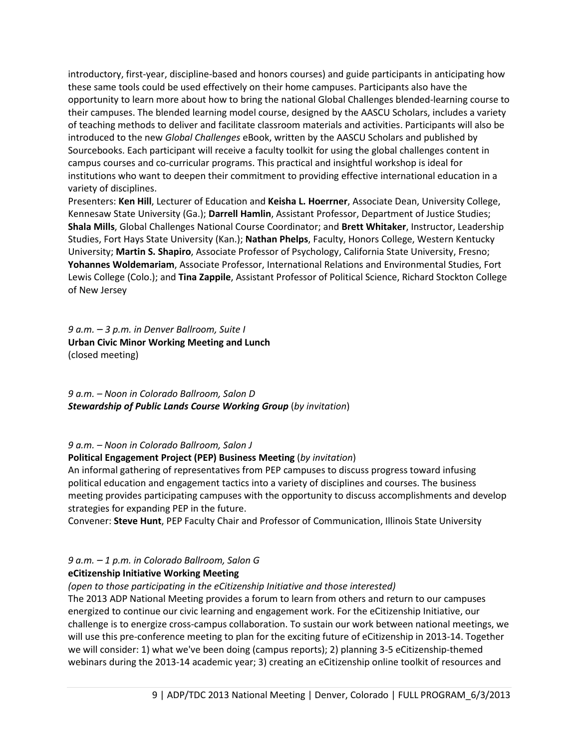introductory, first-year, discipline-based and honors courses) and guide participants in anticipating how these same tools could be used effectively on their home campuses. Participants also have the opportunity to learn more about how to bring the national Global Challenges blended-learning course to their campuses. The blended learning model course, designed by the AASCU Scholars, includes a variety of teaching methods to deliver and facilitate classroom materials and activities. Participants will also be introduced to the new *Global Challenges* eBook, written by the AASCU Scholars and published by Sourcebooks. Each participant will receive a faculty toolkit for using the global challenges content in campus courses and co-curricular programs. This practical and insightful workshop is ideal for institutions who want to deepen their commitment to providing effective international education in a variety of disciplines.

Presenters: **Ken Hill**, Lecturer of Education and **Keisha L. Hoerrner**, Associate Dean, University College, Kennesaw State University (Ga.); **Darrell Hamlin**, Assistant Professor, Department of Justice Studies; **Shala Mills**, Global Challenges National Course Coordinator; and **Brett Whitaker**, Instructor, Leadership Studies, Fort Hays State University (Kan.); **Nathan Phelps**, Faculty, Honors College, Western Kentucky University; **Martin S. Shapiro**, Associate Professor of Psychology, California State University, Fresno; **Yohannes Woldemariam**, Associate Professor, International Relations and Environmental Studies, Fort Lewis College (Colo.); and **Tina Zappile**, Assistant Professor of Political Science, Richard Stockton College of New Jersey

*9 a.m. – 3 p.m. in Denver Ballroom, Suite I* **Urban Civic Minor Working Meeting and Lunch** (closed meeting)

*9 a.m. – Noon in Colorado Ballroom, Salon D Stewardship of Public Lands Course Working Group* (*by invitation*)

#### *9 a.m. – Noon in Colorado Ballroom, Salon J*

#### **Political Engagement Project (PEP) Business Meeting** (*by invitation*)

An informal gathering of representatives from PEP campuses to discuss progress toward infusing political education and engagement tactics into a variety of disciplines and courses. The business meeting provides participating campuses with the opportunity to discuss accomplishments and develop strategies for expanding PEP in the future.

Convener: **Steve Hunt**, PEP Faculty Chair and Professor of Communication, Illinois State University

## *9 a.m. – 1 p.m. in Colorado Ballroom, Salon G*

#### **eCitizenship Initiative Working Meeting**

*(open to those participating in the eCitizenship Initiative and those interested)*

The 2013 ADP National Meeting provides a forum to learn from others and return to our campuses energized to continue our civic learning and engagement work. For the eCitizenship Initiative, our challenge is to energize cross-campus collaboration. To sustain our work between national meetings, we will use this pre-conference meeting to plan for the exciting future of eCitizenship in 2013-14. Together we will consider: 1) what we've been doing (campus reports); 2) planning 3-5 eCitizenship-themed webinars during the 2013-14 academic year; 3) creating an eCitizenship online toolkit of resources and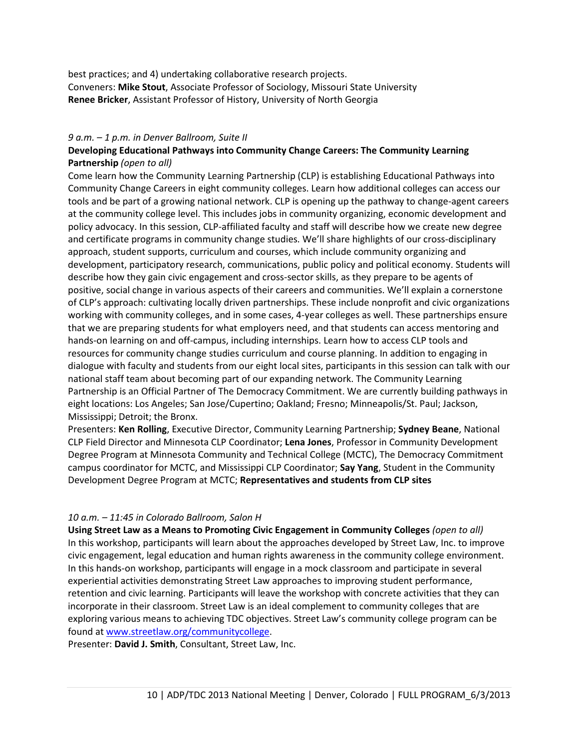best practices; and 4) undertaking collaborative research projects. Conveners: **Mike Stout**, Associate Professor of Sociology, Missouri State University **Renee Bricker**, Assistant Professor of History, University of North Georgia

#### *9 a.m. – 1 p.m. in Denver Ballroom, Suite II*

## **Developing Educational Pathways into Community Change Careers: The Community Learning Partnership** *(open to all)*

Come learn how the Community Learning Partnership (CLP) is establishing Educational Pathways into Community Change Careers in eight community colleges. Learn how additional colleges can access our tools and be part of a growing national network. CLP is opening up the pathway to change-agent careers at the community college level. This includes jobs in community organizing, economic development and policy advocacy. In this session, CLP-affiliated faculty and staff will describe how we create new degree and certificate programs in community change studies. We'll share highlights of our cross-disciplinary approach, student supports, curriculum and courses, which include community organizing and development, participatory research, communications, public policy and political economy. Students will describe how they gain civic engagement and cross-sector skills, as they prepare to be agents of positive, social change in various aspects of their careers and communities. We'll explain a cornerstone of CLP's approach: cultivating locally driven partnerships. These include nonprofit and civic organizations working with community colleges, and in some cases, 4-year colleges as well. These partnerships ensure that we are preparing students for what employers need, and that students can access mentoring and hands-on learning on and off-campus, including internships. Learn how to access CLP tools and resources for community change studies curriculum and course planning. In addition to engaging in dialogue with faculty and students from our eight local sites, participants in this session can talk with our national staff team about becoming part of our expanding network. The Community Learning Partnership is an Official Partner of The Democracy Commitment. We are currently building pathways in eight locations: Los Angeles; San Jose/Cupertino; Oakland; Fresno; Minneapolis/St. Paul; Jackson, Mississippi; Detroit; the Bronx.

Presenters: **Ken Rolling**, Executive Director, Community Learning Partnership; **Sydney Beane**, National CLP Field Director and Minnesota CLP Coordinator; **Lena Jones**, Professor in Community Development Degree Program at Minnesota Community and Technical College (MCTC), The Democracy Commitment campus coordinator for MCTC, and Mississippi CLP Coordinator; **Say Yang**, Student in the Community Development Degree Program at MCTC; **Representatives and students from CLP sites**

## *10 a.m. – 11:45 in Colorado Ballroom, Salon H*

**Using Street Law as a Means to Promoting Civic Engagement in Community Colleges** *(open to all)* In this workshop, participants will learn about the approaches developed by Street Law, Inc. to improve civic engagement, legal education and human rights awareness in the community college environment. In this hands-on workshop, participants will engage in a mock classroom and participate in several experiential activities demonstrating Street Law approaches to improving student performance, retention and civic learning. Participants will leave the workshop with concrete activities that they can incorporate in their classroom. Street Law is an ideal complement to community colleges that are exploring various means to achieving TDC objectives. Street Law's community college program can be found at [www.streetlaw.org/communitycollege.](http://www.streetlaw.org/communitycollege)

Presenter: **David J. Smith**, Consultant, Street Law, Inc.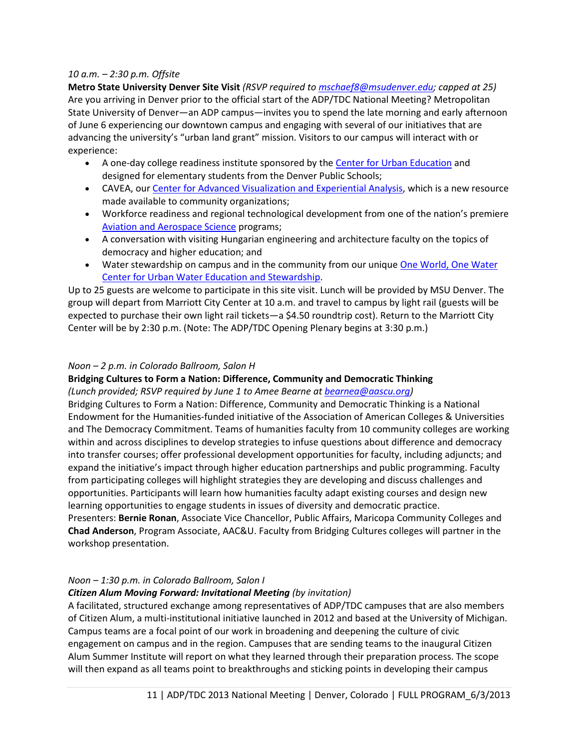#### *10 a.m. – 2:30 p.m. Offsite*

**Metro State University Denver Site Visit** *(RSVP required to [mschaef8@msudenver.edu;](mailto:mschaef8@msudenver.edu) capped at 25)* Are you arriving in Denver prior to the official start of the ADP/TDC National Meeting? Metropolitan State University of Denver—an ADP campus—invites you to spend the late morning and early afternoon of June 6 experiencing our downtown campus and engaging with several of our initiatives that are advancing the university's "urban land grant" mission. Visitors to our campus will interact with or experience:

- A one-day college readiness institute sponsored by the [Center for Urban Education](http://www.metrostatecue.org/) and designed for elementary students from the Denver Public Schools;
- CAVEA, ou[r Center for Advanced Visualization and Experiential Analysis,](http://www.msudenver.edu/cavea/) which is a new resource made available to community organizations;
- Workforce readiness and regional technological development from one of the nation's premiere [Aviation and Aerospace Science](http://www.msudenver.edu/aviation/) programs;
- A conversation with visiting Hungarian engineering and architecture faculty on the topics of democracy and higher education; and
- Water stewardship on campus and in the community from our unique [One World, One Water](http://www.msudenver.edu/owow/)  [Center for Urban Water Education and Stewardship.](http://www.msudenver.edu/owow/)

Up to 25 guests are welcome to participate in this site visit. Lunch will be provided by MSU Denver. The group will depart from Marriott City Center at 10 a.m. and travel to campus by light rail (guests will be expected to purchase their own light rail tickets—a \$4.50 roundtrip cost). Return to the Marriott City Center will be by 2:30 p.m. (Note: The ADP/TDC Opening Plenary begins at 3:30 p.m.)

#### *Noon – 2 p.m. in Colorado Ballroom, Salon H*

## **Bridging Cultures to Form a Nation: Difference, Community and Democratic Thinking**

#### *(Lunch provided; RSVP required by June 1 to Amee Bearne at [bearnea@aascu.org\)](mailto:bearnea@aascu.org)*

Bridging Cultures to Form a Nation: Difference, Community and Democratic Thinking is a National Endowment for the Humanities-funded initiative of the Association of American Colleges & Universities and The Democracy Commitment. Teams of humanities faculty from 10 community colleges are working within and across disciplines to develop strategies to infuse questions about difference and democracy into transfer courses; offer professional development opportunities for faculty, including adjuncts; and expand the initiative's impact through higher education partnerships and public programming. Faculty from participating colleges will highlight strategies they are developing and discuss challenges and opportunities. Participants will learn how humanities faculty adapt existing courses and design new learning opportunities to engage students in issues of diversity and democratic practice.

Presenters: **Bernie Ronan**, Associate Vice Chancellor, Public Affairs, Maricopa Community Colleges and **Chad Anderson**, Program Associate, AAC&U. Faculty from Bridging Cultures colleges will partner in the workshop presentation.

## *Noon – 1:30 p.m. in Colorado Ballroom, Salon I*

## *Citizen Alum Moving Forward: Invitational Meeting (by invitation)*

A facilitated, structured exchange among representatives of ADP/TDC campuses that are also members of Citizen Alum, a multi-institutional initiative launched in 2012 and based at the University of Michigan. Campus teams are a focal point of our work in broadening and deepening the culture of civic engagement on campus and in the region. Campuses that are sending teams to the inaugural Citizen Alum Summer Institute will report on what they learned through their preparation process. The scope will then expand as all teams point to breakthroughs and sticking points in developing their campus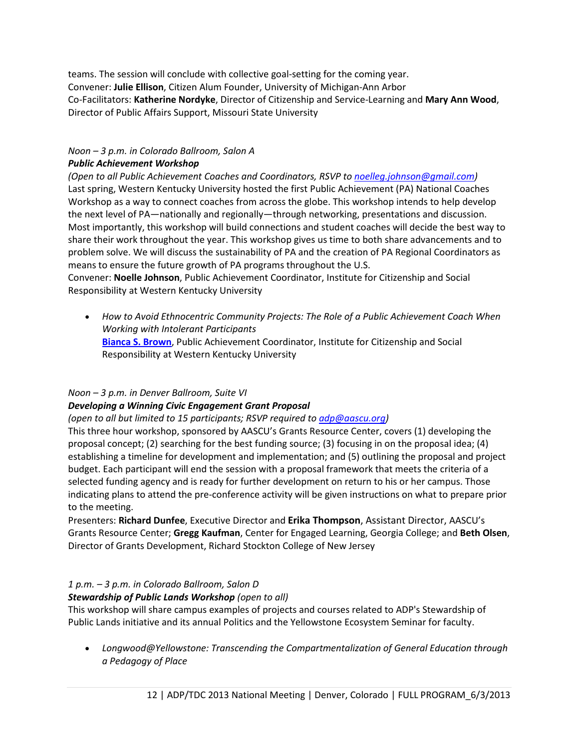teams. The session will conclude with collective goal-setting for the coming year. Convener: **Julie Ellison**, Citizen Alum Founder, University of Michigan-Ann Arbor Co-Facilitators: **Katherine Nordyke**, Director of Citizenship and Service-Learning and **Mary Ann Wood**, Director of Public Affairs Support, Missouri State University

#### *Noon – 3 p.m. in Colorado Ballroom, Salon A Public Achievement Workshop*

*(Open to all Public Achievement Coaches and Coordinators, RSVP to [noelleg.johnson@gmail.com\)](mailto:noelleg.johnson@gmail.com?subject=PA%20Workshop%20RSVP)* Last spring, Western Kentucky University hosted the first Public Achievement (PA) National Coaches Workshop as a way to connect coaches from across the globe. This workshop intends to help develop the next level of PA—nationally and regionally—through networking, presentations and discussion. Most importantly, this workshop will build connections and student coaches will decide the best way to share their work throughout the year. This workshop gives us time to both share advancements and to problem solve. We will discuss the sustainability of PA and the creation of PA Regional Coordinators as means to ensure the future growth of PA programs throughout the U.S.

Convener: **Noelle Johnson**, Public Achievement Coordinator, Institute for Citizenship and Social Responsibility at Western Kentucky University

• *How to Avoid Ethnocentric Community Projects: The Role of a Public Achievement Coach When Working with Intolerant Participants* **[Bianca S. Brown](http://www.aascu.org/meetings/adptdc13/?view=speakers%23biancabrown)**, Public Achievement Coordinator, Institute for Citizenship and Social Responsibility at Western Kentucky University

## *Noon – 3 p.m. in Denver Ballroom, Suite VI*

## *Developing a Winning Civic Engagement Grant Proposal*

*(open to all but limited to 15 participants; RSVP required to [adp@aascu.org\)](mailto:adp@aascu.org%20?subject=RSVP%20for%20Developing%20a%20Winning%20Civic%20Engagement%20Grant%20Proposal)*

This three hour workshop, sponsored by AASCU's Grants Resource Center, covers (1) developing the proposal concept; (2) searching for the best funding source; (3) focusing in on the proposal idea; (4) establishing a timeline for development and implementation; and (5) outlining the proposal and project budget. Each participant will end the session with a proposal framework that meets the criteria of a selected funding agency and is ready for further development on return to his or her campus. Those indicating plans to attend the pre-conference activity will be given instructions on what to prepare prior to the meeting.

Presenters: **Richard Dunfee**, Executive Director and **Erika Thompson**, Assistant Director, AASCU's Grants Resource Center; **Gregg Kaufman**, Center for Engaged Learning, Georgia College; and **Beth Olsen**, Director of Grants Development, Richard Stockton College of New Jersey

# *1 p.m. – 3 p.m. in Colorado Ballroom, Salon D*

# *Stewardship of Public Lands Workshop (open to all)*

This workshop will share campus examples of projects and courses related to ADP's Stewardship of Public Lands initiative and its annual Politics and the Yellowstone Ecosystem Seminar for faculty.

• *Longwood@Yellowstone: Transcending the Compartmentalization of General Education through a Pedagogy of Place*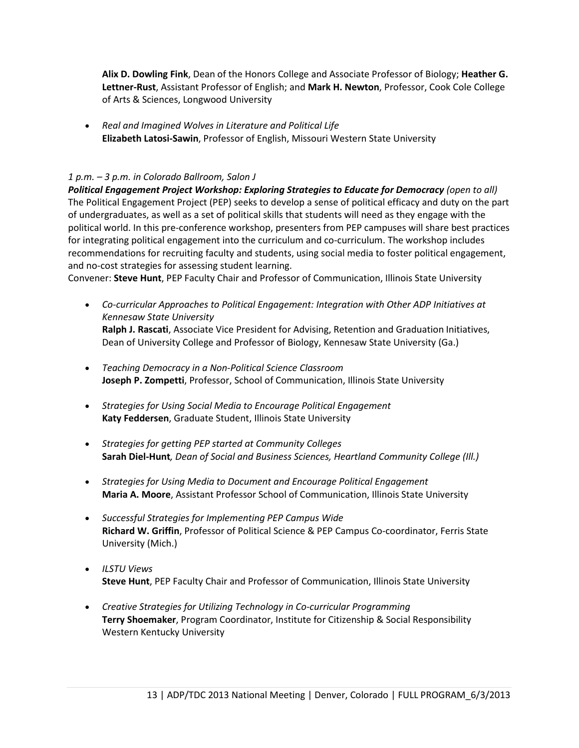**Alix D. Dowling Fink**, Dean of the Honors College and Associate Professor of Biology; **Heather G. Lettner-Rust**, Assistant Professor of English; and **Mark H. Newton**, Professor, Cook Cole College of Arts & Sciences, Longwood University

• *Real and Imagined Wolves in Literature and Political Life* **Elizabeth Latosi-Sawin**, Professor of English, Missouri Western State University

#### *1 p.m. – 3 p.m. in Colorado Ballroom, Salon J*

*Political Engagement Project Workshop: Exploring Strategies to Educate for Democracy (open to all)* The Political Engagement Project (PEP) seeks to develop a sense of political efficacy and duty on the part of undergraduates, as well as a set of political skills that students will need as they engage with the political world. In this pre-conference workshop, presenters from PEP campuses will share best practices for integrating political engagement into the curriculum and co-curriculum. The workshop includes recommendations for recruiting faculty and students, using social media to foster political engagement, and no-cost strategies for assessing student learning.

Convener: **Steve Hunt**, PEP Faculty Chair and Professor of Communication, Illinois State University

- *Co-curricular Approaches to Political Engagement: Integration with Other ADP Initiatives at Kennesaw State University* **Ralph J. Rascati**, Associate Vice President for Advising, Retention and Graduation Initiatives, Dean of University College and Professor of Biology, Kennesaw State University (Ga.)
- *Teaching Democracy in a Non-Political Science Classroom* **Joseph P. Zompetti**, Professor, School of Communication, Illinois State University
- *Strategies for Using Social Media to Encourage Political Engagement* **Katy Feddersen**, Graduate Student, Illinois State University
- *Strategies for getting PEP started at Community Colleges* **Sarah Diel-Hunt***, Dean of Social and Business Sciences, Heartland Community College (Ill.)*
- *Strategies for Using Media to Document and Encourage Political Engagement* **Maria A. Moore**, Assistant Professor School of Communication, Illinois State University
- *Successful Strategies for Implementing PEP Campus Wide* **Richard W. Griffin**, Professor of Political Science & PEP Campus Co-coordinator, Ferris State University (Mich.)
- *ILSTU Views* **Steve Hunt**, PEP Faculty Chair and Professor of Communication, Illinois State University
- *Creative Strategies for Utilizing Technology in Co-curricular Programming* **Terry Shoemaker**, Program Coordinator, Institute for Citizenship & Social Responsibility Western Kentucky University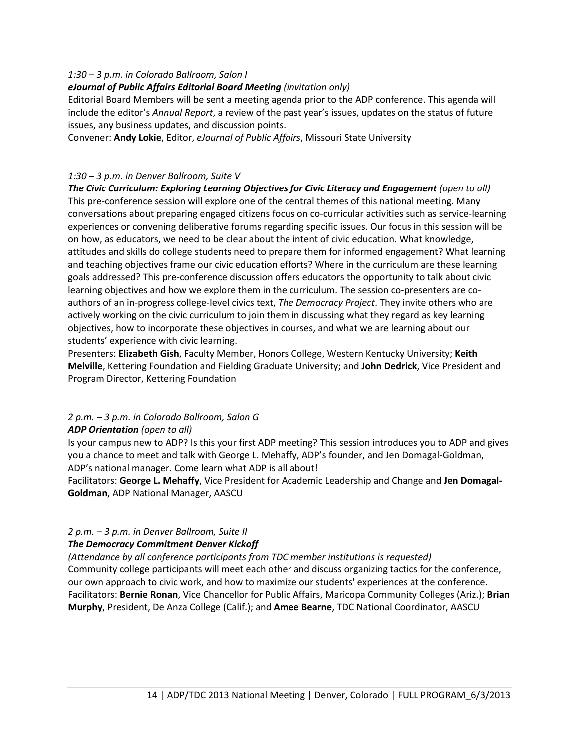#### *1:30 – 3 p.m. in Colorado Ballroom, Salon I*

#### *eJournal of Public Affairs Editorial Board Meeting (invitation only)*

Editorial Board Members will be sent a meeting agenda prior to the ADP conference. This agenda will include the editor's *Annual Report*, a review of the past year's issues, updates on the status of future issues, any business updates, and discussion points.

Convener: **Andy Lokie**, Editor, *eJournal of Public Affairs*, Missouri State University

#### *1:30 – 3 p.m. in Denver Ballroom, Suite V*

*The Civic Curriculum: Exploring Learning Objectives for Civic Literacy and Engagement (open to all)* This pre-conference session will explore one of the central themes of this national meeting. Many conversations about preparing engaged citizens focus on co-curricular activities such as service-learning experiences or convening deliberative forums regarding specific issues. Our focus in this session will be on how, as educators, we need to be clear about the intent of civic education. What knowledge, attitudes and skills do college students need to prepare them for informed engagement? What learning and teaching objectives frame our civic education efforts? Where in the curriculum are these learning goals addressed? This pre-conference discussion offers educators the opportunity to talk about civic learning objectives and how we explore them in the curriculum. The session co-presenters are coauthors of an in-progress college-level civics text, *The Democracy Project*. They invite others who are actively working on the civic curriculum to join them in discussing what they regard as key learning objectives, how to incorporate these objectives in courses, and what we are learning about our students' experience with civic learning.

Presenters: **Elizabeth Gish**, Faculty Member, Honors College, Western Kentucky University; **Keith Melville**, Kettering Foundation and Fielding Graduate University; and **John Dedrick**, Vice President and Program Director, Kettering Foundation

# *2 p.m. – 3 p.m. in Colorado Ballroom, Salon G*

#### *ADP Orientation (open to all)*

Is your campus new to ADP? Is this your first ADP meeting? This session introduces you to ADP and gives you a chance to meet and talk with George L. Mehaffy, ADP's founder, and Jen Domagal-Goldman, ADP's national manager. Come learn what ADP is all about!

Facilitators: **George L. Mehaffy**, Vice President for Academic Leadership and Change and **Jen Domagal-Goldman**, ADP National Manager, AASCU

## *2 p.m. – 3 p.m. in Denver Ballroom, Suite II*

## *The Democracy Commitment Denver Kickoff*

*(Attendance by all conference participants from TDC member institutions is requested)* Community college participants will meet each other and discuss organizing tactics for the conference, our own approach to civic work, and how to maximize our students' experiences at the conference. Facilitators: **Bernie Ronan**, Vice Chancellor for Public Affairs, Maricopa Community Colleges (Ariz.); **Brian Murphy**, President, De Anza College (Calif.); and **Amee Bearne**, TDC National Coordinator, AASCU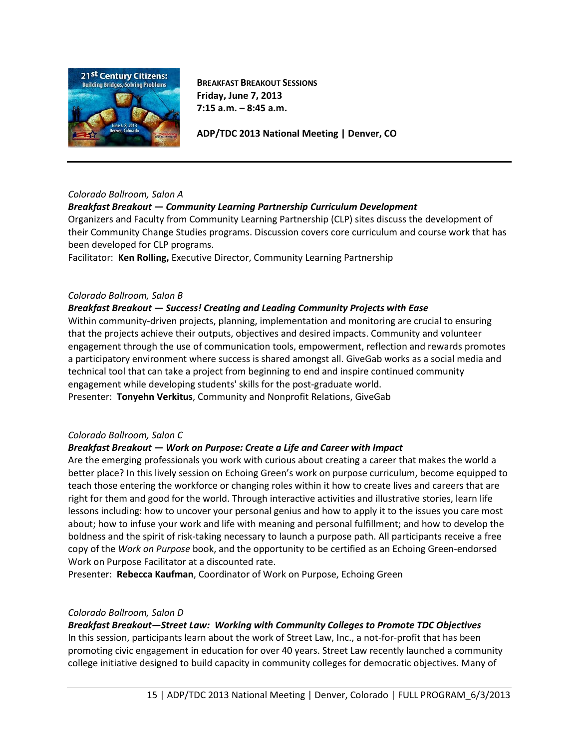

**BREAKFAST BREAKOUT SESSIONS Friday, June 7, 2013 7:15 a.m. – 8:45 a.m.** 

**ADP/TDC 2013 National Meeting | Denver, CO**

#### *Colorado Ballroom, Salon A*

#### *Breakfast Breakout — Community Learning Partnership Curriculum Development*

Organizers and Faculty from Community Learning Partnership (CLP) sites discuss the development of their Community Change Studies programs. Discussion covers core curriculum and course work that has been developed for CLP programs.

Facilitator: **Ken Rolling,** Executive Director, Community Learning Partnership

#### *Colorado Ballroom, Salon B*

#### *Breakfast Breakout — Success! Creating and Leading Community Projects with Ease*

Within community-driven projects, planning, implementation and monitoring are crucial to ensuring that the projects achieve their outputs, objectives and desired impacts. Community and volunteer engagement through the use of communication tools, empowerment, reflection and rewards promotes a participatory environment where success is shared amongst all. GiveGab works as a social media and technical tool that can take a project from beginning to end and inspire continued community engagement while developing students' skills for the post-graduate world.

Presenter: **Tonyehn Verkitus**, Community and Nonprofit Relations, GiveGab

#### *Colorado Ballroom, Salon C*

#### *Breakfast Breakout — Work on Purpose: Create a Life and Career with Impact*

Are the emerging professionals you work with curious about creating a career that makes the world a better place? In this lively session on Echoing Green's work on purpose curriculum, become equipped to teach those entering the workforce or changing roles within it how to create lives and careers that are right for them and good for the world. Through interactive activities and illustrative stories, learn life lessons including: how to uncover your personal genius and how to apply it to the issues you care most about; how to infuse your work and life with meaning and personal fulfillment; and how to develop the boldness and the spirit of risk-taking necessary to launch a purpose path. All participants receive a free copy of the *Work on Purpose* book, and the opportunity to be certified as an Echoing Green-endorsed Work on Purpose Facilitator at a discounted rate.

Presenter: **Rebecca Kaufman**, Coordinator of Work on Purpose, Echoing Green

#### *Colorado Ballroom, Salon D*

# *Breakfast Breakout—Street Law: Working with Community Colleges to Promote TDC Objectives*

In this session, participants learn about the work of Street Law, Inc., a not-for-profit that has been promoting civic engagement in education for over 40 years. Street Law recently launched a community college initiative designed to build capacity in community colleges for democratic objectives. Many of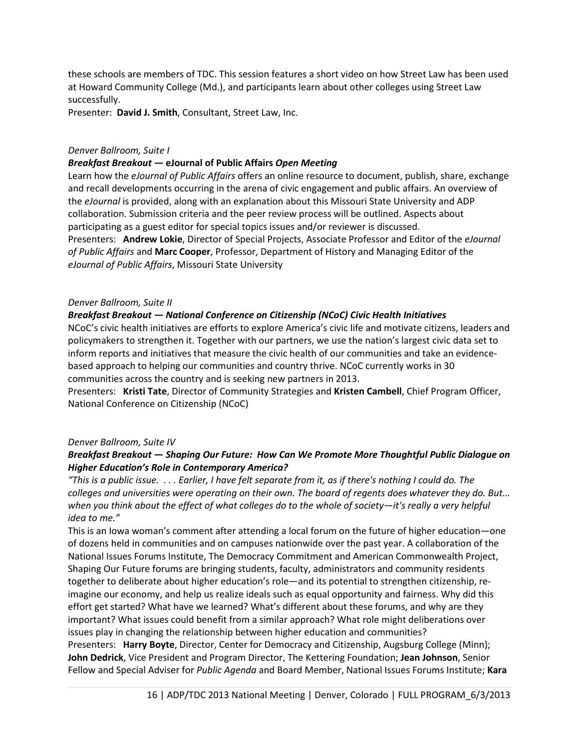these schools are members of TDC. This session features a short video on how Street Law has been used at Howard Community College (Md.), and participants learn about other colleges using Street Law successfully.

Presenter: **David J. Smith**, Consultant, Street Law, Inc.

#### *Denver Ballroom, Suite I*

#### *Breakfast Breakout —* **eJournal of Public Affairs** *Open Meeting*

Learn how the *eJournal of Public Affairs* offers an online resource to document, publish, share, exchange and recall developments occurring in the arena of civic engagement and public affairs. An overview of the *eJournal* is provided, along with an explanation about this Missouri State University and ADP collaboration. Submission criteria and the peer review process will be outlined. Aspects about participating as a guest editor for special topics issues and/or reviewer is discussed. Presenters: **Andrew Lokie**, Director of Special Projects, Associate Professor and Editor of the *eJournal of Public Affairs* and **Marc Cooper**, Professor, Department of History and Managing Editor of the *eJournal of Public Affairs*, Missouri State University

#### *Denver Ballroom, Suite II*

#### *Breakfast Breakout — National Conference on Citizenship (NCoC) Civic Health Initiatives*

NCoC's civic health initiatives are efforts to explore America's civic life and motivate citizens, leaders and policymakers to strengthen it. Together with our partners, we use the nation's largest civic data set to inform reports and initiatives that measure the civic health of our communities and take an evidencebased approach to helping our communities and country thrive. NCoC currently works in 30 communities across the country and is seeking new partners in 2013.

Presenters: **Kristi Tate**, Director of Community Strategies and **Kristen Cambell**, Chief Program Officer, National Conference on Citizenship (NCoC)

#### *Denver Ballroom, Suite IV*

#### *Breakfast Breakout — Shaping Our Future: How Can We Promote More Thoughtful Public Dialogue on Higher Education's Role in Contemporary America?*

*"This is a public issue. . . . Earlier, I have felt separate from it, as if there's nothing I could do. The colleges and universities were operating on their own. The board of regents does whatever they do. But... when you think about the effect of what colleges do to the whole of society—it's really a very helpful idea to me."*

This is an Iowa woman's comment after attending a local forum on the future of higher education—one of dozens held in communities and on campuses nationwide over the past year. A collaboration of the National Issues Forums Institute, The Democracy Commitment and American Commonwealth Project, Shaping Our Future forums are bringing students, faculty, administrators and community residents together to deliberate about higher education's role—and its potential to strengthen citizenship, reimagine our economy, and help us realize ideals such as equal opportunity and fairness. Why did this effort get started? What have we learned? What's different about these forums, and why are they important? What issues could benefit from a similar approach? What role might deliberations over issues play in changing the relationship between higher education and communities? Presenters: **Harry Boyte**, Director, Center for Democracy and Citizenship, Augsburg College (Minn); **John Dedrick**, Vice President and Program Director, The Kettering Foundation; **Jean Johnson**, Senior Fellow and Special Adviser for *Public Agenda* and Board Member, National Issues Forums Institute; **Kara**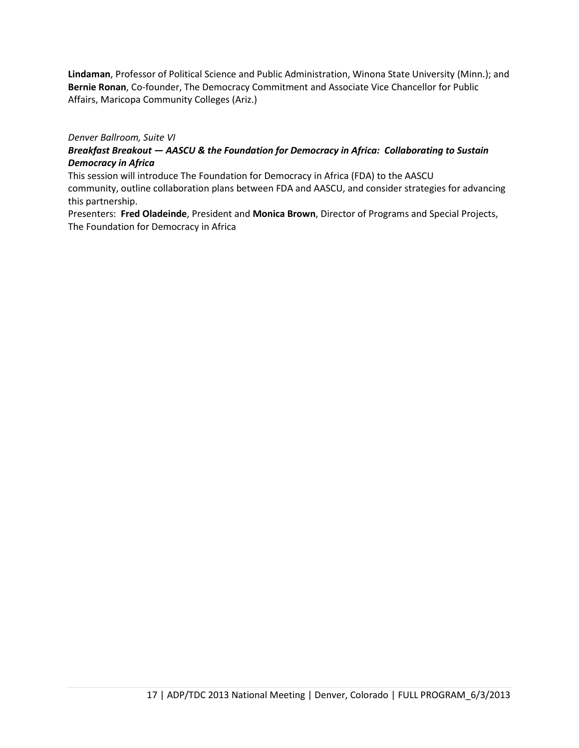**Lindaman**, Professor of Political Science and Public Administration, Winona State University (Minn.); and **Bernie Ronan**, Co-founder, The Democracy Commitment and Associate Vice Chancellor for Public Affairs, Maricopa Community Colleges (Ariz.)

*Denver Ballroom, Suite VI*

## *Breakfast Breakout — AASCU & the Foundation for Democracy in Africa: Collaborating to Sustain Democracy in Africa*

This session will introduce The Foundation for Democracy in Africa (FDA) to the AASCU

community, outline collaboration plans between FDA and AASCU, and consider strategies for advancing this partnership.

Presenters: **Fred Oladeinde**, President and **Monica Brown**, Director of Programs and Special Projects, The Foundation for Democracy in Africa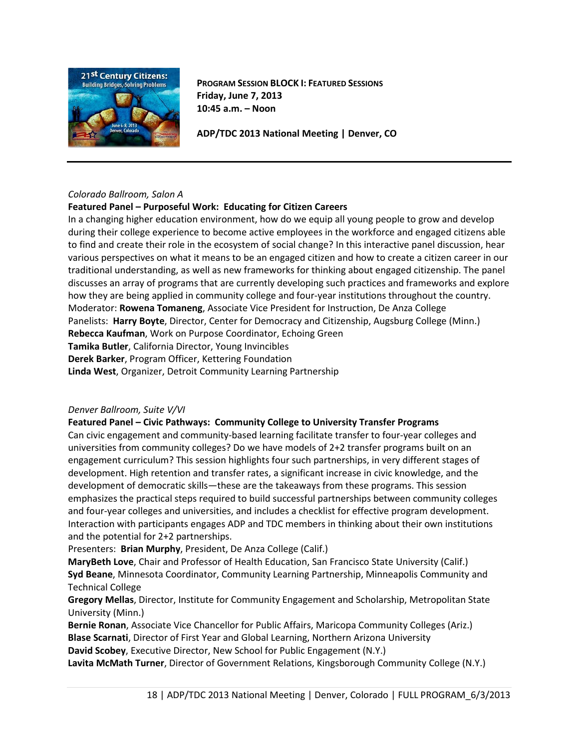

**PROGRAM SESSION BLOCK I: FEATURED SESSIONS Friday, June 7, 2013 10:45 a.m. – Noon**

**ADP/TDC 2013 National Meeting | Denver, CO**

#### *Colorado Ballroom, Salon A*

#### **Featured Panel – Purposeful Work: Educating for Citizen Careers**

In a changing higher education environment, how do we equip all young people to grow and develop during their college experience to become active employees in the workforce and engaged citizens able to find and create their role in the ecosystem of social change? In this interactive panel discussion, hear various perspectives on what it means to be an engaged citizen and how to create a citizen career in our traditional understanding, as well as new frameworks for thinking about engaged citizenship. The panel discusses an array of programs that are currently developing such practices and frameworks and explore how they are being applied in community college and four-year institutions throughout the country. Moderator: **Rowena Tomaneng**, Associate Vice President for Instruction, De Anza College Panelists: **Harry Boyte**, Director, Center for Democracy and Citizenship, Augsburg College (Minn.) **Rebecca Kaufman**, Work on Purpose Coordinator, Echoing Green **Tamika Butler**, California Director, Young Invincibles **Derek Barker**, Program Officer, Kettering Foundation **Linda West**, Organizer, Detroit Community Learning Partnership

#### *Denver Ballroom, Suite V/VI*

#### **Featured Panel – Civic Pathways: Community College to University Transfer Programs**

Can civic engagement and community-based learning facilitate transfer to four-year colleges and universities from community colleges? Do we have models of 2+2 transfer programs built on an engagement curriculum? This session highlights four such partnerships, in very different stages of development. High retention and transfer rates, a significant increase in civic knowledge, and the development of democratic skills—these are the takeaways from these programs. This session emphasizes the practical steps required to build successful partnerships between community colleges and four-year colleges and universities, and includes a checklist for effective program development. Interaction with participants engages ADP and TDC members in thinking about their own institutions and the potential for 2+2 partnerships.

Presenters: **Brian Murphy**, President, De Anza College (Calif.)

**MaryBeth Love**, Chair and Professor of Health Education, San Francisco State University (Calif.) **Syd Beane**, Minnesota Coordinator, Community Learning Partnership, Minneapolis Community and Technical College

**Gregory Mellas**, Director, Institute for Community Engagement and Scholarship, Metropolitan State University (Minn.)

**Bernie Ronan**, Associate Vice Chancellor for Public Affairs, Maricopa Community Colleges (Ariz.) **Blase Scarnati**, Director of First Year and Global Learning, Northern Arizona University **David Scobey**, Executive Director, New School for Public Engagement (N.Y.)

**Lavita McMath Turner**, Director of Government Relations, Kingsborough Community College (N.Y.)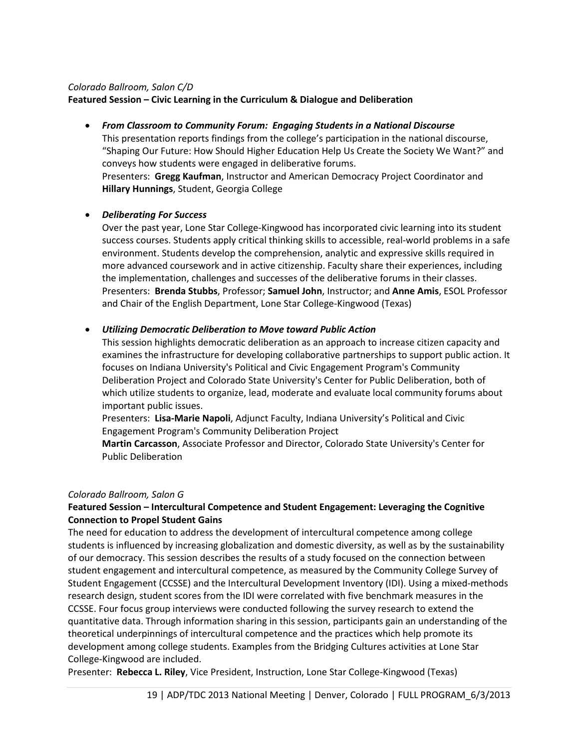#### *Colorado Ballroom, Salon C/D*

#### **Featured Session – Civic Learning in the Curriculum & Dialogue and Deliberation**

• *From Classroom to Community Forum: Engaging Students in a National Discourse* This presentation reports findings from the college's participation in the national discourse, "Shaping Our Future: How Should Higher Education Help Us Create the Society We Want?" and conveys how students were engaged in deliberative forums. Presenters: **Gregg Kaufman**, Instructor and American Democracy Project Coordinator and **Hillary Hunnings**, Student, Georgia College

#### • *Deliberating For Success*

Over the past year, Lone Star College-Kingwood has incorporated civic learning into its student success courses. Students apply critical thinking skills to accessible, real-world problems in a safe environment. Students develop the comprehension, analytic and expressive skills required in more advanced coursework and in active citizenship. Faculty share their experiences, including the implementation, challenges and successes of the deliberative forums in their classes. Presenters: **Brenda Stubbs**, Professor; **Samuel John**, Instructor; and **Anne Amis**, ESOL Professor and Chair of the English Department, Lone Star College-Kingwood (Texas)

#### • *Utilizing Democratic Deliberation to Move toward Public Action*

This session highlights democratic deliberation as an approach to increase citizen capacity and examines the infrastructure for developing collaborative partnerships to support public action. It focuses on Indiana University's Political and Civic Engagement Program's Community Deliberation Project and Colorado State University's Center for Public Deliberation, both of which utilize students to organize, lead, moderate and evaluate local community forums about important public issues.

Presenters: **Lisa-Marie Napoli**, Adjunct Faculty, Indiana University's Political and Civic Engagement Program's Community Deliberation Project

**Martin Carcasson**, Associate Professor and Director, Colorado State University's Center for Public Deliberation

#### *Colorado Ballroom, Salon G*

## **Featured Session – Intercultural Competence and Student Engagement: Leveraging the Cognitive Connection to Propel Student Gains**

The need for education to address the development of intercultural competence among college students is influenced by increasing globalization and domestic diversity, as well as by the sustainability of our democracy. This session describes the results of a study focused on the connection between student engagement and intercultural competence, as measured by the Community College Survey of Student Engagement (CCSSE) and the Intercultural Development Inventory (IDI). Using a mixed-methods research design, student scores from the IDI were correlated with five benchmark measures in the CCSSE. Four focus group interviews were conducted following the survey research to extend the quantitative data. Through information sharing in this session, participants gain an understanding of the theoretical underpinnings of intercultural competence and the practices which help promote its development among college students. Examples from the Bridging Cultures activities at Lone Star College-Kingwood are included.

Presenter: **Rebecca L. Riley**, Vice President, Instruction, Lone Star College-Kingwood (Texas)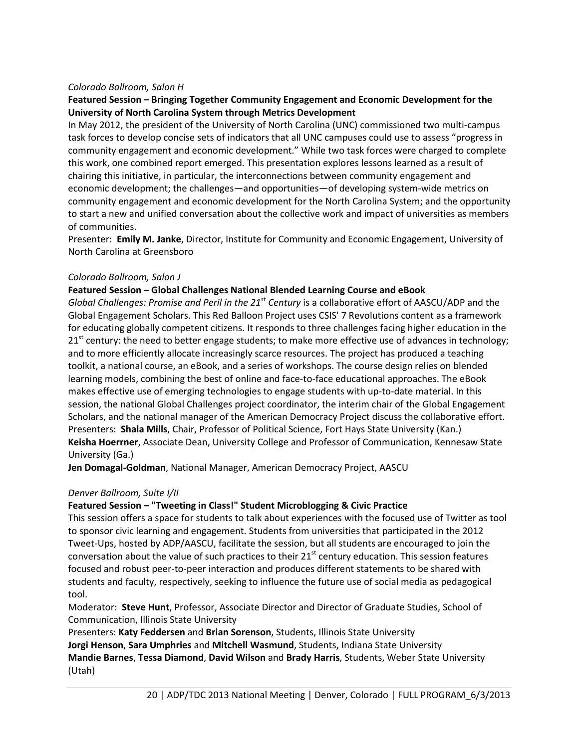#### *Colorado Ballroom, Salon H*

#### **Featured Session – Bringing Together Community Engagement and Economic Development for the University of North Carolina System through Metrics Development**

In May 2012, the president of the University of North Carolina (UNC) commissioned two multi-campus task forces to develop concise sets of indicators that all UNC campuses could use to assess "progress in community engagement and economic development." While two task forces were charged to complete this work, one combined report emerged. This presentation explores lessons learned as a result of chairing this initiative, in particular, the interconnections between community engagement and economic development; the challenges—and opportunities—of developing system-wide metrics on community engagement and economic development for the North Carolina System; and the opportunity to start a new and unified conversation about the collective work and impact of universities as members of communities.

Presenter: **Emily M. Janke**, Director, Institute for Community and Economic Engagement, University of North Carolina at Greensboro

#### *Colorado Ballroom, Salon J*

#### **Featured Session – Global Challenges National Blended Learning Course and eBook**

*Global Challenges: Promise and Peril in the 21st Century* is a collaborative effort of AASCU/ADP and the Global Engagement Scholars. This Red Balloon Project uses CSIS' 7 Revolutions content as a framework for educating globally competent citizens. It responds to three challenges facing higher education in the  $21<sup>st</sup>$  century: the need to better engage students; to make more effective use of advances in technology; and to more efficiently allocate increasingly scarce resources. The project has produced a teaching toolkit, a national course, an eBook, and a series of workshops. The course design relies on blended learning models, combining the best of online and face-to-face educational approaches. The eBook makes effective use of emerging technologies to engage students with up-to-date material. In this session, the national Global Challenges project coordinator, the interim chair of the Global Engagement Scholars, and the national manager of the American Democracy Project discuss the collaborative effort. Presenters: **Shala Mills**, Chair, Professor of Political Science, Fort Hays State University (Kan.) **Keisha Hoerrner**, Associate Dean, University College and Professor of Communication, Kennesaw State University (Ga.)

**Jen Domagal-Goldman**, National Manager, American Democracy Project, AASCU

#### *Denver Ballroom, Suite I/II*

#### **Featured Session – "Tweeting in Class!" Student Microblogging & Civic Practice**

This session offers a space for students to talk about experiences with the focused use of Twitter as tool to sponsor civic learning and engagement. Students from universities that participated in the 2012 Tweet-Ups, hosted by ADP/AASCU, facilitate the session, but all students are encouraged to join the conversation about the value of such practices to their  $21^{st}$  century education. This session features focused and robust peer-to-peer interaction and produces different statements to be shared with students and faculty, respectively, seeking to influence the future use of social media as pedagogical tool.

Moderator: **Steve Hunt**, Professor, Associate Director and Director of Graduate Studies, School of Communication, Illinois State University

Presenters: **Katy Feddersen** and **Brian Sorenson**, Students, Illinois State University **Jorgi Henson**, **Sara Umphries** and **Mitchell Wasmund**, Students, Indiana State University **Mandie Barnes**, **Tessa Diamond**, **David Wilson** and **Brady Harris**, Students, Weber State University (Utah)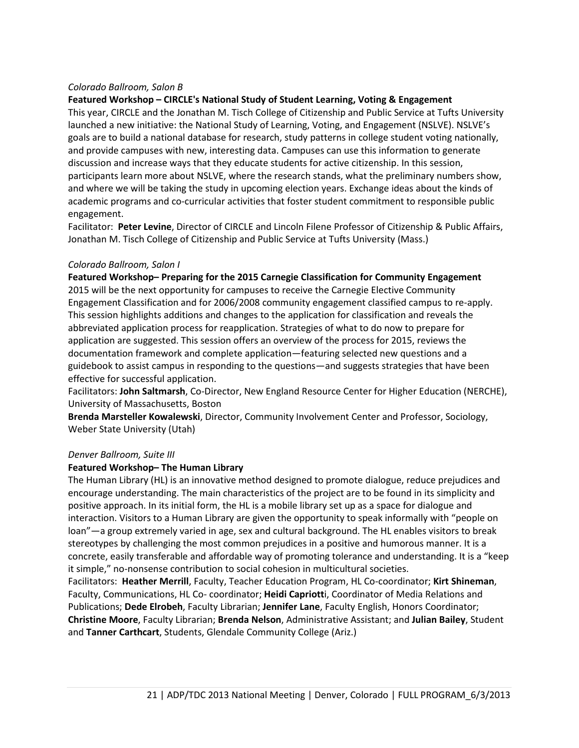#### *Colorado Ballroom, Salon B*

#### **Featured Workshop – CIRCLE's National Study of Student Learning, Voting & Engagement**

This year, CIRCLE and the Jonathan M. Tisch College of Citizenship and Public Service at Tufts University launched a new initiative: the National Study of Learning, Voting, and Engagement (NSLVE). NSLVE's goals are to build a national database for research, study patterns in college student voting nationally, and provide campuses with new, interesting data. Campuses can use this information to generate discussion and increase ways that they educate students for active citizenship. In this session, participants learn more about NSLVE, where the research stands, what the preliminary numbers show, and where we will be taking the study in upcoming election years. Exchange ideas about the kinds of academic programs and co-curricular activities that foster student commitment to responsible public engagement.

Facilitator: **Peter Levine**, Director of CIRCLE and Lincoln Filene Professor of Citizenship & Public Affairs, Jonathan M. Tisch College of Citizenship and Public Service at Tufts University (Mass.)

#### *Colorado Ballroom, Salon I*

**Featured Workshop– Preparing for the 2015 Carnegie Classification for Community Engagement**  2015 will be the next opportunity for campuses to receive the Carnegie Elective Community Engagement Classification and for 2006/2008 community engagement classified campus to re-apply. This session highlights additions and changes to the application for classification and reveals the abbreviated application process for reapplication. Strategies of what to do now to prepare for application are suggested. This session offers an overview of the process for 2015, reviews the documentation framework and complete application—featuring selected new questions and a guidebook to assist campus in responding to the questions—and suggests strategies that have been effective for successful application.

Facilitators: **John Saltmarsh**, Co-Director, New England Resource Center for Higher Education (NERCHE), University of Massachusetts, Boston

**Brenda Marsteller Kowalewski**, Director, Community Involvement Center and Professor, Sociology, Weber State University (Utah)

#### *Denver Ballroom, Suite III*

#### **Featured Workshop– The Human Library**

The Human Library (HL) is an innovative method designed to promote dialogue, reduce prejudices and encourage understanding. The main characteristics of the project are to be found in its simplicity and positive approach. In its initial form, the HL is a mobile library set up as a space for dialogue and interaction. Visitors to a Human Library are given the opportunity to speak informally with "people on loan"—a group extremely varied in age, sex and cultural background. The HL enables visitors to break stereotypes by challenging the most common prejudices in a positive and humorous manner. It is a concrete, easily transferable and affordable way of promoting tolerance and understanding. It is a "keep it simple," no-nonsense contribution to social cohesion in multicultural societies.

Facilitators: **Heather Merrill**, Faculty, Teacher Education Program, HL Co-coordinator; **Kirt Shineman**, Faculty, Communications, HL Co- coordinator; **Heidi Capriott**i, Coordinator of Media Relations and Publications; **Dede Elrobeh**, Faculty Librarian; **Jennifer Lane**, Faculty English, Honors Coordinator; **Christine Moore**, Faculty Librarian; **Brenda Nelson**, Administrative Assistant; and **Julian Bailey**, Student and **Tanner Carthcart**, Students, Glendale Community College (Ariz.)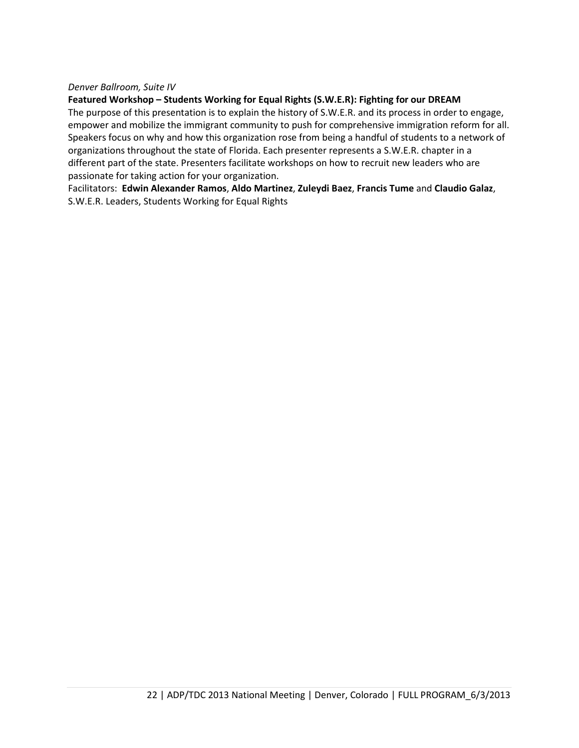#### *Denver Ballroom, Suite IV*

#### **Featured Workshop – Students Working for Equal Rights (S.W.E.R): Fighting for our DREAM**

The purpose of this presentation is to explain the history of S.W.E.R. and its process in order to engage, empower and mobilize the immigrant community to push for comprehensive immigration reform for all. Speakers focus on why and how this organization rose from being a handful of students to a network of organizations throughout the state of Florida. Each presenter represents a S.W.E.R. chapter in a different part of the state. Presenters facilitate workshops on how to recruit new leaders who are passionate for taking action for your organization.

Facilitators: **Edwin Alexander Ramos**, **Aldo Martinez**, **Zuleydi Baez**, **Francis Tume** and **Claudio Galaz**, S.W.E.R. Leaders, Students Working for Equal Rights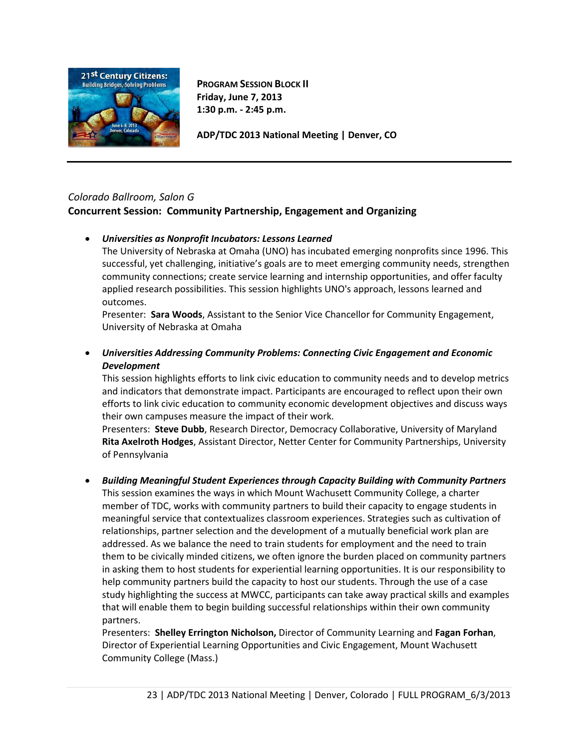

**PROGRAM SESSION BLOCK II Friday, June 7, 2013 1:30 p.m. - 2:45 p.m.**

**ADP/TDC 2013 National Meeting | Denver, CO**

## *Colorado Ballroom, Salon G* **Concurrent Session: Community Partnership, Engagement and Organizing**

## • *Universities as Nonprofit Incubators: Lessons Learned*

The University of Nebraska at Omaha (UNO) has incubated emerging nonprofits since 1996. This successful, yet challenging, initiative's goals are to meet emerging community needs, strengthen community connections; create service learning and internship opportunities, and offer faculty applied research possibilities. This session highlights UNO's approach, lessons learned and outcomes.

Presenter: **Sara Woods**, Assistant to the Senior Vice Chancellor for Community Engagement, University of Nebraska at Omaha

## • *Universities Addressing Community Problems: Connecting Civic Engagement and Economic Development*

This session highlights efforts to link civic education to community needs and to develop metrics and indicators that demonstrate impact. Participants are encouraged to reflect upon their own efforts to link civic education to community economic development objectives and discuss ways their own campuses measure the impact of their work.

Presenters: **Steve Dubb**, Research Director, Democracy Collaborative, University of Maryland **Rita Axelroth Hodges**, Assistant Director, Netter Center for Community Partnerships, University of Pennsylvania

## • *Building Meaningful Student Experiences through Capacity Building with Community Partners*

This session examines the ways in which Mount Wachusett Community College, a charter member of TDC, works with community partners to build their capacity to engage students in meaningful service that contextualizes classroom experiences. Strategies such as cultivation of relationships, partner selection and the development of a mutually beneficial work plan are addressed. As we balance the need to train students for employment and the need to train them to be civically minded citizens, we often ignore the burden placed on community partners in asking them to host students for experiential learning opportunities. It is our responsibility to help community partners build the capacity to host our students. Through the use of a case study highlighting the success at MWCC, participants can take away practical skills and examples that will enable them to begin building successful relationships within their own community partners.

Presenters: **Shelley Errington Nicholson,** Director of Community Learning and **Fagan Forhan**, Director of Experiential Learning Opportunities and Civic Engagement, Mount Wachusett Community College (Mass.)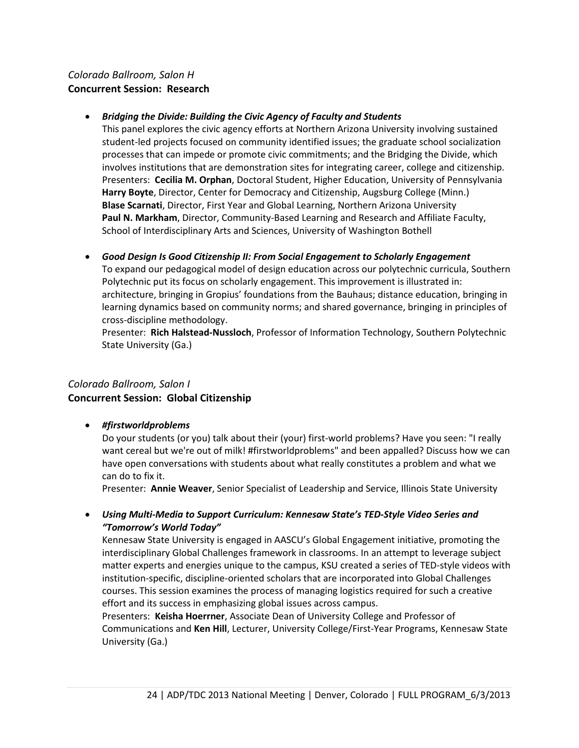# *Colorado Ballroom, Salon H* **Concurrent Session: Research**

## • *Bridging the Divide: Building the Civic Agency of Faculty and Students*

This panel explores the civic agency efforts at Northern Arizona University involving sustained student-led projects focused on community identified issues; the graduate school socialization processes that can impede or promote civic commitments; and the Bridging the Divide, which involves institutions that are demonstration sites for integrating career, college and citizenship. Presenters: **Cecilia M. Orphan**, Doctoral Student, Higher Education, University of Pennsylvania **Harry Boyte**, Director, Center for Democracy and Citizenship, Augsburg College (Minn.) **Blase Scarnati**, Director, First Year and Global Learning, Northern Arizona University **Paul N. Markham**, Director, Community-Based Learning and Research and Affiliate Faculty, School of Interdisciplinary Arts and Sciences, University of Washington Bothell

• *Good Design Is Good Citizenship II: From Social Engagement to Scholarly Engagement* To expand our pedagogical model of design education across our polytechnic curricula, Southern Polytechnic put its focus on scholarly engagement. This improvement is illustrated in: architecture, bringing in Gropius' foundations from the Bauhaus; distance education, bringing in learning dynamics based on community norms; and shared governance, bringing in principles of cross-discipline methodology.

Presenter: **Rich Halstead-Nussloch**, Professor of Information Technology, Southern Polytechnic State University (Ga.)

# *Colorado Ballroom, Salon I* **Concurrent Session: Global Citizenship**

• *#firstworldproblems*

Do your students (or you) talk about their (your) first-world problems? Have you seen: "I really want cereal but we're out of milk! #firstworldproblems" and been appalled? Discuss how we can have open conversations with students about what really constitutes a problem and what we can do to fix it.

Presenter: **Annie Weaver**, Senior Specialist of Leadership and Service, Illinois State University

• *Using Multi-Media to Support Curriculum: Kennesaw State's TED-Style Video Series and "Tomorrow's World Today"*

Kennesaw State University is engaged in AASCU's Global Engagement initiative, promoting the interdisciplinary Global Challenges framework in classrooms. In an attempt to leverage subject matter experts and energies unique to the campus, KSU created a series of TED-style videos with institution-specific, discipline-oriented scholars that are incorporated into Global Challenges courses. This session examines the process of managing logistics required for such a creative effort and its success in emphasizing global issues across campus.

Presenters: **Keisha Hoerrner**, Associate Dean of University College and Professor of Communications and **Ken Hill**, Lecturer, University College/First-Year Programs, Kennesaw State University (Ga.)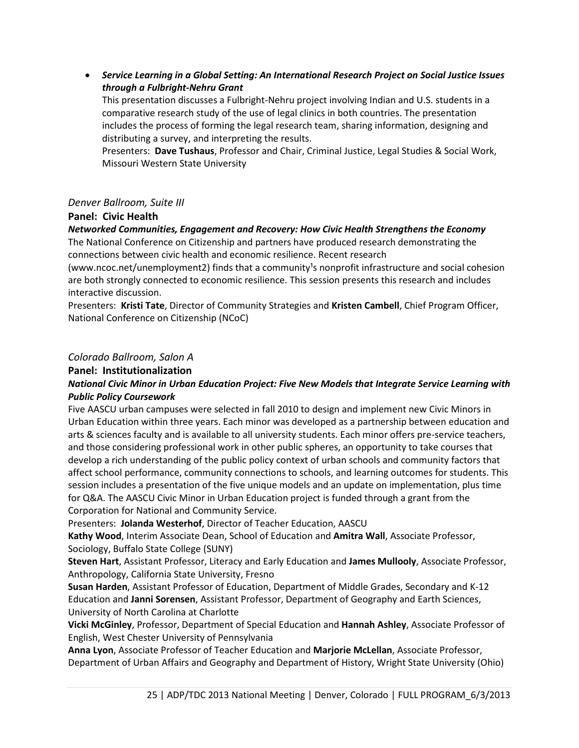• *Service Learning in a Global Setting: An International Research Project on Social Justice Issues through a Fulbright-Nehru Grant*

This presentation discusses a Fulbright-Nehru project involving Indian and U.S. students in a comparative research study of the use of legal clinics in both countries. The presentation includes the process of forming the legal research team, sharing information, designing and distributing a survey, and interpreting the results.

Presenters: **Dave Tushaus**, Professor and Chair, Criminal Justice, Legal Studies & Social Work, Missouri Western State University

#### *Denver Ballroom, Suite III*

## **Panel: Civic Health**

## *Networked Communities, Engagement and Recovery: How Civic Health Strengthens the Economy*

The National Conference on Citizenship and partners have produced research demonstrating the connections between civic health and economic resilience. Recent research

(www.ncoc.net/unemployment2) finds that a community<sup>1</sup>s nonprofit infrastructure and social cohesion are both strongly connected to economic resilience. This session presents this research and includes interactive discussion.

Presenters: **Kristi Tate**, Director of Community Strategies and **Kristen Cambell**, Chief Program Officer, National Conference on Citizenship (NCoC)

#### *Colorado Ballroom, Salon A*

#### **Panel: Institutionalization**

## *National Civic Minor in Urban Education Project: Five New Models that Integrate Service Learning with Public Policy Coursework*

Five AASCU urban campuses were selected in fall 2010 to design and implement new Civic Minors in Urban Education within three years. Each minor was developed as a partnership between education and arts & sciences faculty and is available to all university students. Each minor offers pre-service teachers, and those considering professional work in other public spheres, an opportunity to take courses that develop a rich understanding of the public policy context of urban schools and community factors that affect school performance, community connections to schools, and learning outcomes for students. This session includes a presentation of the five unique models and an update on implementation, plus time for Q&A. The AASCU Civic Minor in Urban Education project is funded through a grant from the Corporation for National and Community Service.

Presenters: **Jolanda Westerhof**, Director of Teacher Education, AASCU

**Kathy Wood**, Interim Associate Dean, School of Education and **Amitra Wall**, Associate Professor, Sociology, Buffalo State College (SUNY)

**Steven Hart**, Assistant Professor, Literacy and Early Education and **James Mullooly**, Associate Professor, Anthropology, California State University, Fresno

**Susan Harden**, Assistant Professor of Education, Department of Middle Grades, Secondary and K-12 Education and **Janni Sorensen**, Assistant Professor, Department of Geography and Earth Sciences, University of North Carolina at Charlotte

**Vicki McGinley**, Professor, Department of Special Education and **Hannah Ashley**, Associate Professor of English, West Chester University of Pennsylvania

**Anna Lyon**, Associate Professor of Teacher Education and **Marjorie McLellan**, Associate Professor, Department of Urban Affairs and Geography and Department of History, Wright State University (Ohio)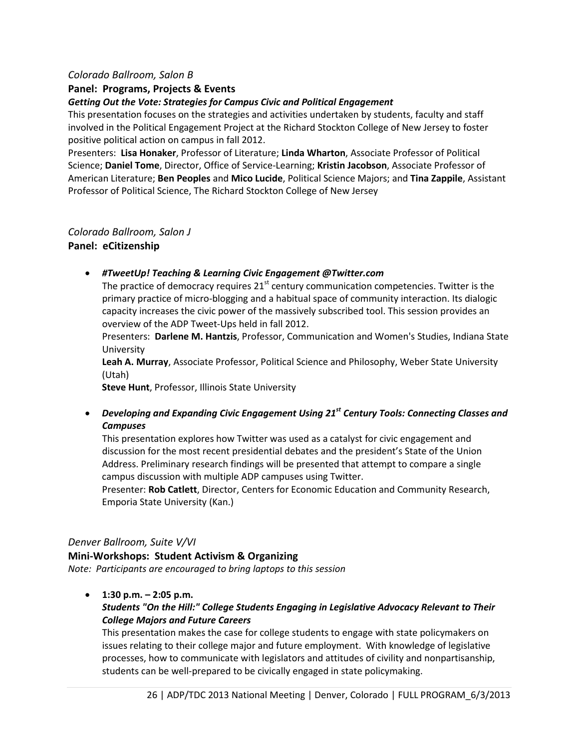## *Colorado Ballroom, Salon B*

#### **Panel: Programs, Projects & Events**

#### *Getting Out the Vote: Strategies for Campus Civic and Political Engagement*

This presentation focuses on the strategies and activities undertaken by students, faculty and staff involved in the Political Engagement Project at the Richard Stockton College of New Jersey to foster positive political action on campus in fall 2012.

Presenters: **Lisa Honaker**, Professor of Literature; **Linda Wharton**, Associate Professor of Political Science; **Daniel Tome**, Director, Office of Service-Learning; **Kristin Jacobson**, Associate Professor of American Literature; **Ben Peoples** and **Mico Lucide**, Political Science Majors; and **Tina Zappile**, Assistant Professor of Political Science, The Richard Stockton College of New Jersey

#### *Colorado Ballroom, Salon J*

#### **Panel: eCitizenship**

• *#TweetUp! Teaching & Learning Civic Engagement @Twitter.com*

The practice of democracy requires  $21<sup>st</sup>$  century communication competencies. Twitter is the primary practice of micro-blogging and a habitual space of community interaction. Its dialogic capacity increases the civic power of the massively subscribed tool. This session provides an overview of the ADP Tweet-Ups held in fall 2012.

Presenters: **Darlene M. Hantzis**, Professor, Communication and Women's Studies, Indiana State University

**Leah A. Murray**, Associate Professor, Political Science and Philosophy, Weber State University (Utah)

**Steve Hunt**, Professor, Illinois State University

• *Developing and Expanding Civic Engagement Using 21st Century Tools: Connecting Classes and Campuses*

This presentation explores how Twitter was used as a catalyst for civic engagement and discussion for the most recent presidential debates and the president's State of the Union Address. Preliminary research findings will be presented that attempt to compare a single campus discussion with multiple ADP campuses using Twitter.

Presenter: **Rob Catlett**, Director, Centers for Economic Education and Community Research, Emporia State University (Kan.)

## *Denver Ballroom, Suite V/VI*

#### **Mini-Workshops: Student Activism & Organizing**

*Note: Participants are encouraged to bring laptops to this session*

• **1:30 p.m. – 2:05 p.m.**

## *Students "On the Hill:" College Students Engaging in Legislative Advocacy Relevant to Their College Majors and Future Careers*

This presentation makes the case for college students to engage with state policymakers on issues relating to their college major and future employment. With knowledge of legislative processes, how to communicate with legislators and attitudes of civility and nonpartisanship, students can be well-prepared to be civically engaged in state policymaking.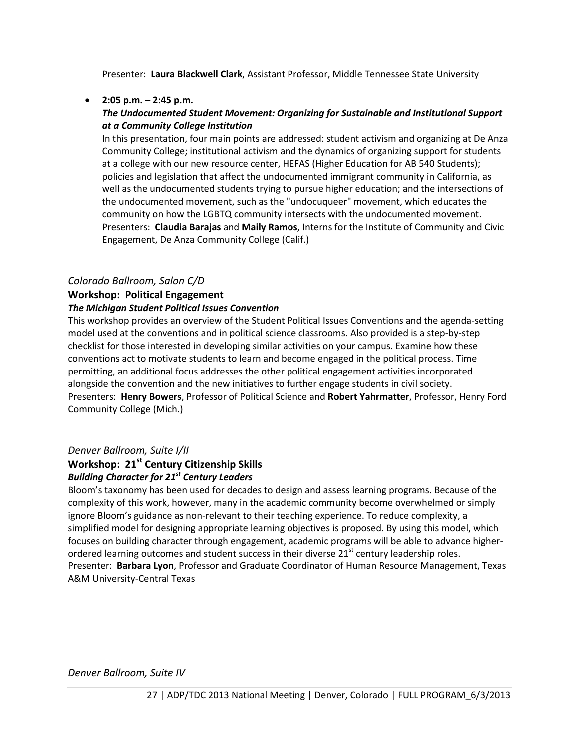Presenter: **Laura Blackwell Clark**, Assistant Professor, Middle Tennessee State University

## • **2:05 p.m. – 2:45 p.m.**

## *The Undocumented Student Movement: Organizing for Sustainable and Institutional Support at a Community College Institution*

In this presentation, four main points are addressed: student activism and organizing at De Anza Community College; institutional activism and the dynamics of organizing support for students at a college with our new resource center, HEFAS (Higher Education for AB 540 Students); policies and legislation that affect the undocumented immigrant community in California, as well as the undocumented students trying to pursue higher education; and the intersections of the undocumented movement, such as the "undocuqueer" movement, which educates the community on how the LGBTQ community intersects with the undocumented movement. Presenters: **Claudia Barajas** and **Maily Ramos**, Interns for the Institute of Community and Civic Engagement, De Anza Community College (Calif.)

## *Colorado Ballroom, Salon C/D*

# **Workshop: Political Engagement**

#### *The Michigan Student Political Issues Convention*

This workshop provides an overview of the Student Political Issues Conventions and the agenda-setting model used at the conventions and in political science classrooms. Also provided is a step-by-step checklist for those interested in developing similar activities on your campus. Examine how these conventions act to motivate students to learn and become engaged in the political process. Time permitting, an additional focus addresses the other political engagement activities incorporated alongside the convention and the new initiatives to further engage students in civil society. Presenters: **Henry Bowers**, Professor of Political Science and **Robert Yahrmatter**, Professor, Henry Ford Community College (Mich.)

## *Denver Ballroom, Suite I/II*

# **Workshop: 21st Century Citizenship Skills**

# *Building Character for 21st Century Leaders*

Bloom's taxonomy has been used for decades to design and assess learning programs. Because of the complexity of this work, however, many in the academic community become overwhelmed or simply ignore Bloom's guidance as non-relevant to their teaching experience. To reduce complexity, a simplified model for designing appropriate learning objectives is proposed. By using this model, which focuses on building character through engagement, academic programs will be able to advance higherordered learning outcomes and student success in their diverse  $21<sup>st</sup>$  century leadership roles. Presenter: **Barbara Lyon**, Professor and Graduate Coordinator of Human Resource Management, Texas A&M University-Central Texas

*Denver Ballroom, Suite IV*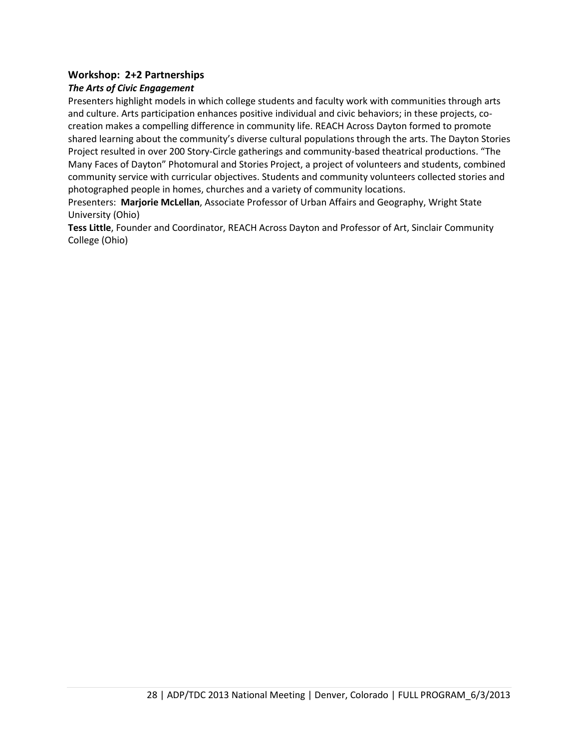## **Workshop: 2+2 Partnerships**

## *The Arts of Civic Engagement*

Presenters highlight models in which college students and faculty work with communities through arts and culture. Arts participation enhances positive individual and civic behaviors; in these projects, cocreation makes a compelling difference in community life. REACH Across Dayton formed to promote shared learning about the community's diverse cultural populations through the arts. The Dayton Stories Project resulted in over 200 Story-Circle gatherings and community-based theatrical productions. "The Many Faces of Dayton" Photomural and Stories Project, a project of volunteers and students, combined community service with curricular objectives. Students and community volunteers collected stories and photographed people in homes, churches and a variety of community locations.

Presenters: **Marjorie McLellan**, Associate Professor of Urban Affairs and Geography, Wright State University (Ohio)

**Tess Little**, Founder and Coordinator, REACH Across Dayton and Professor of Art, Sinclair Community College (Ohio)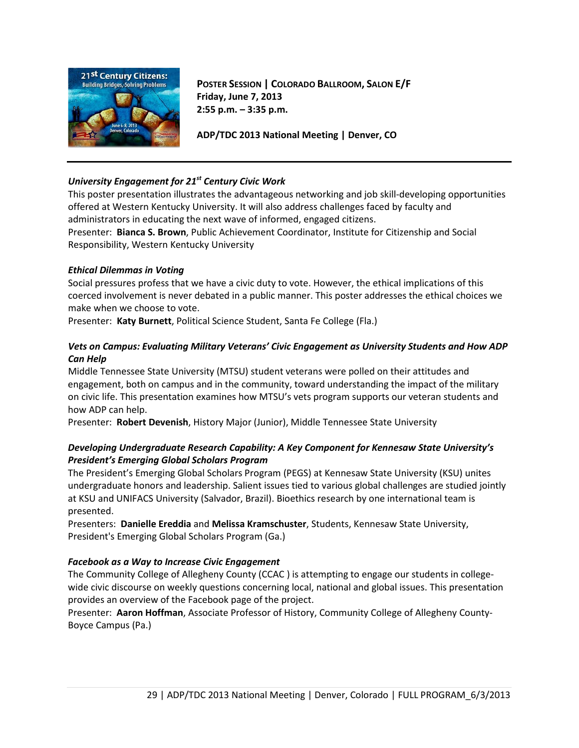

**POSTER SESSION | COLORADO BALLROOM, SALON E/F Friday, June 7, 2013 2:55 p.m. – 3:35 p.m.**

**ADP/TDC 2013 National Meeting | Denver, CO**

## *University Engagement for 21st Century Civic Work*

This poster presentation illustrates the advantageous networking and job skill-developing opportunities offered at Western Kentucky University. It will also address challenges faced by faculty and administrators in educating the next wave of informed, engaged citizens. Presenter: **Bianca S. Brown**, Public Achievement Coordinator, Institute for Citizenship and Social Responsibility, Western Kentucky University

#### *Ethical Dilemmas in Voting*

Social pressures profess that we have a civic duty to vote. However, the ethical implications of this coerced involvement is never debated in a public manner. This poster addresses the ethical choices we make when we choose to vote.

Presenter: **Katy Burnett**, Political Science Student, Santa Fe College (Fla.)

#### *Vets on Campus: Evaluating Military Veterans' Civic Engagement as University Students and How ADP Can Help*

Middle Tennessee State University (MTSU) student veterans were polled on their attitudes and engagement, both on campus and in the community, toward understanding the impact of the military on civic life. This presentation examines how MTSU's vets program supports our veteran students and how ADP can help.

Presenter: **Robert Devenish**, History Major (Junior), Middle Tennessee State University

## *Developing Undergraduate Research Capability: A Key Component for Kennesaw State University's President's Emerging Global Scholars Program*

The President's Emerging Global Scholars Program (PEGS) at Kennesaw State University (KSU) unites undergraduate honors and leadership. Salient issues tied to various global challenges are studied jointly at KSU and UNIFACS University (Salvador, Brazil). Bioethics research by one international team is presented.

Presenters: **Danielle Ereddia** and **Melissa Kramschuster**, Students, Kennesaw State University, President's Emerging Global Scholars Program (Ga.)

#### *Facebook as a Way to Increase Civic Engagement*

The Community College of Allegheny County (CCAC ) is attempting to engage our students in collegewide civic discourse on weekly questions concerning local, national and global issues. This presentation provides an overview of the Facebook page of the project.

Presenter: **Aaron Hoffman**, Associate Professor of History, Community College of Allegheny County-Boyce Campus (Pa.)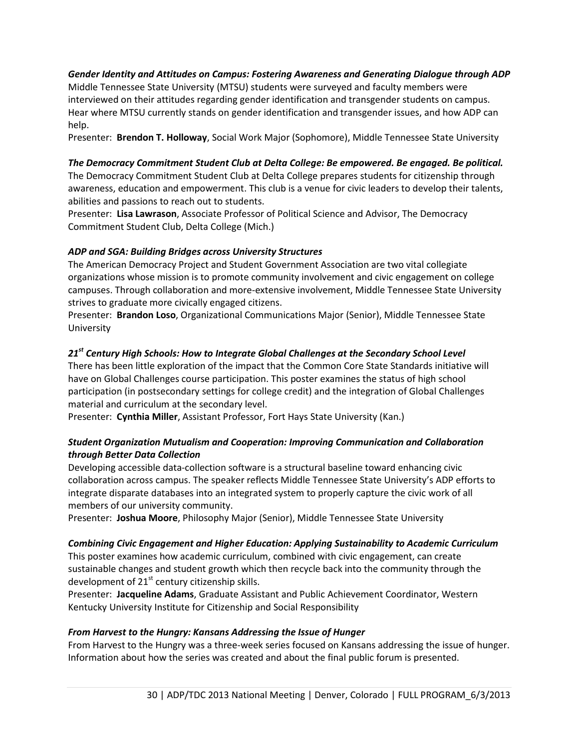#### *Gender Identity and Attitudes on Campus: Fostering Awareness and Generating Dialogue through ADP*

Middle Tennessee State University (MTSU) students were surveyed and faculty members were interviewed on their attitudes regarding gender identification and transgender students on campus. Hear where MTSU currently stands on gender identification and transgender issues, and how ADP can help.

Presenter: **Brendon T. Holloway**, Social Work Major (Sophomore), Middle Tennessee State University

#### *The Democracy Commitment Student Club at Delta College: Be empowered. Be engaged. Be political.*

The Democracy Commitment Student Club at Delta College prepares students for citizenship through awareness, education and empowerment. This club is a venue for civic leaders to develop their talents, abilities and passions to reach out to students.

Presenter: **Lisa Lawrason**, Associate Professor of Political Science and Advisor, The Democracy Commitment Student Club, Delta College (Mich.)

#### *ADP and SGA: Building Bridges across University Structures*

The American Democracy Project and Student Government Association are two vital collegiate organizations whose mission is to promote community involvement and civic engagement on college campuses. Through collaboration and more-extensive involvement, Middle Tennessee State University strives to graduate more civically engaged citizens.

Presenter: **Brandon Loso**, Organizational Communications Major (Senior), Middle Tennessee State University

#### *21st Century High Schools: How to Integrate Global Challenges at the Secondary School Level*

There has been little exploration of the impact that the Common Core State Standards initiative will have on Global Challenges course participation. This poster examines the status of high school participation (in postsecondary settings for college credit) and the integration of Global Challenges material and curriculum at the secondary level.

Presenter: **Cynthia Miller**, Assistant Professor, Fort Hays State University (Kan.)

#### *Student Organization Mutualism and Cooperation: Improving Communication and Collaboration through Better Data Collection*

Developing accessible data-collection software is a structural baseline toward enhancing civic collaboration across campus. The speaker reflects Middle Tennessee State University's ADP efforts to integrate disparate databases into an integrated system to properly capture the civic work of all members of our university community.

Presenter: **Joshua Moore**, Philosophy Major (Senior), Middle Tennessee State University

#### *Combining Civic Engagement and Higher Education: Applying Sustainability to Academic Curriculum*

This poster examines how academic curriculum, combined with civic engagement, can create sustainable changes and student growth which then recycle back into the community through the development of  $21<sup>st</sup>$  century citizenship skills.

Presenter: **Jacqueline Adams**, Graduate Assistant and Public Achievement Coordinator, Western Kentucky University Institute for Citizenship and Social Responsibility

#### *From Harvest to the Hungry: Kansans Addressing the Issue of Hunger*

From Harvest to the Hungry was a three-week series focused on Kansans addressing the issue of hunger. Information about how the series was created and about the final public forum is presented.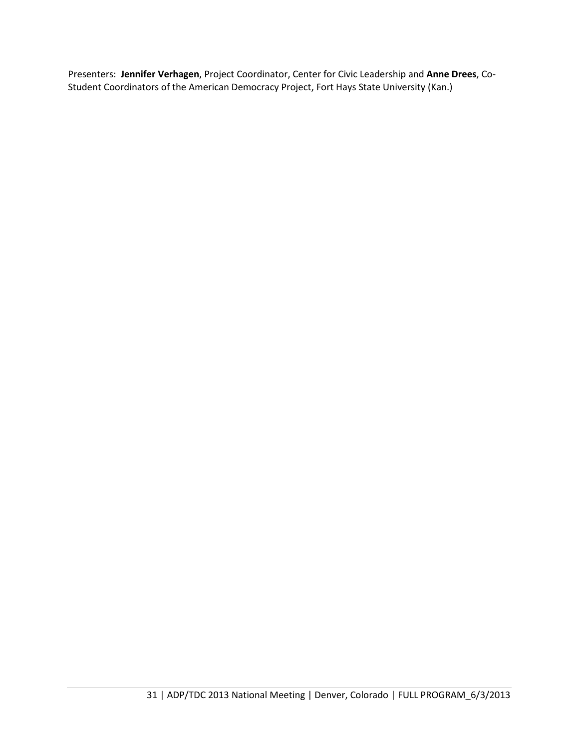Presenters: **Jennifer Verhagen**, Project Coordinator, Center for Civic Leadership and **Anne Drees**, Co-Student Coordinators of the American Democracy Project, Fort Hays State University (Kan.)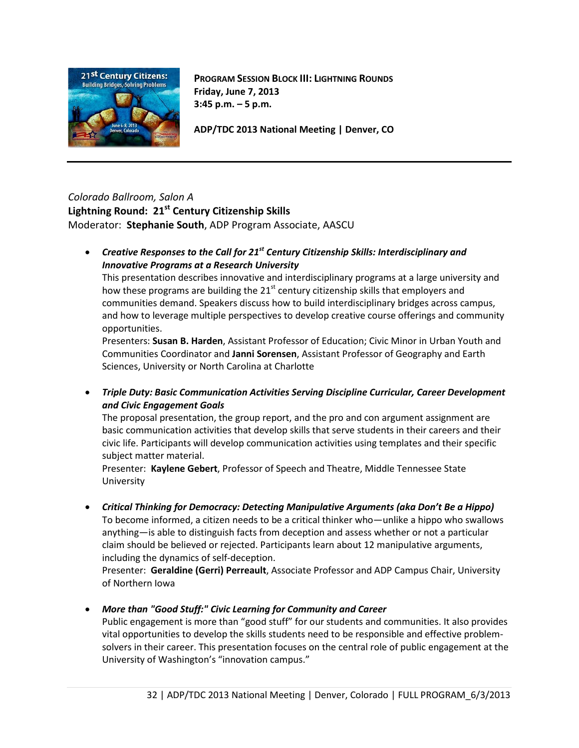

**PROGRAM SESSION BLOCK III: LIGHTNING ROUNDS Friday, June 7, 2013 3:45 p.m. – 5 p.m.**

**ADP/TDC 2013 National Meeting | Denver, CO**

#### *Colorado Ballroom, Salon A* Lightning Round: 21<sup>st</sup> Century Citizenship Skills

Moderator: **Stephanie South**, ADP Program Associate, AASCU

• *Creative Responses to the Call for 21st Century Citizenship Skills: Interdisciplinary and Innovative Programs at a Research University*

This presentation describes innovative and interdisciplinary programs at a large university and how these programs are building the  $21<sup>st</sup>$  century citizenship skills that employers and communities demand. Speakers discuss how to build interdisciplinary bridges across campus, and how to leverage multiple perspectives to develop creative course offerings and community opportunities.

Presenters: **Susan B. Harden**, Assistant Professor of Education; Civic Minor in Urban Youth and Communities Coordinator and **Janni Sorensen**, Assistant Professor of Geography and Earth Sciences, University or North Carolina at Charlotte

• *Triple Duty: Basic Communication Activities Serving Discipline Curricular, Career Development and Civic Engagement Goals*

The proposal presentation, the group report, and the pro and con argument assignment are basic communication activities that develop skills that serve students in their careers and their civic life. Participants will develop communication activities using templates and their specific subject matter material.

Presenter: **Kaylene Gebert**, Professor of Speech and Theatre, Middle Tennessee State University

• *Critical Thinking for Democracy: Detecting Manipulative Arguments (aka Don't Be a Hippo)*

To become informed, a citizen needs to be a critical thinker who—unlike a hippo who swallows anything—is able to distinguish facts from deception and assess whether or not a particular claim should be believed or rejected. Participants learn about 12 manipulative arguments, including the dynamics of self-deception.

Presenter: **Geraldine (Gerri) Perreault**, Associate Professor and ADP Campus Chair, University of Northern Iowa

• *More than "Good Stuff:" Civic Learning for Community and Career*

Public engagement is more than "good stuff" for our students and communities. It also provides vital opportunities to develop the skills students need to be responsible and effective problemsolvers in their career. This presentation focuses on the central role of public engagement at the University of Washington's "innovation campus."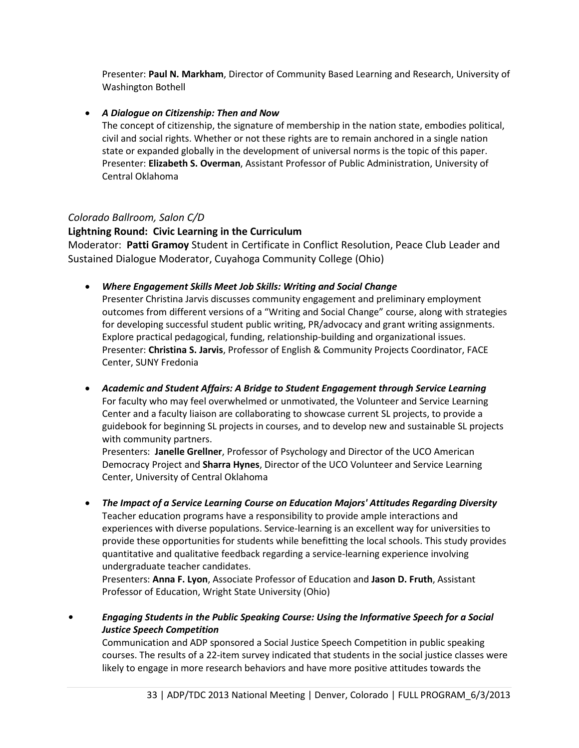Presenter: **Paul N. Markham**, Director of Community Based Learning and Research, University of Washington Bothell

## • *A Dialogue on Citizenship: Then and Now*

The concept of citizenship, the signature of membership in the nation state, embodies political, civil and social rights. Whether or not these rights are to remain anchored in a single nation state or expanded globally in the development of universal norms is the topic of this paper. Presenter: **Elizabeth S. Overman**, Assistant Professor of Public Administration, University of Central Oklahoma

# *Colorado Ballroom, Salon C/D*

## **Lightning Round: Civic Learning in the Curriculum**

Moderator: **Patti Gramoy** Student in Certificate in Conflict Resolution, Peace Club Leader and Sustained Dialogue Moderator, Cuyahoga Community College (Ohio)

• *Where Engagement Skills Meet Job Skills: Writing and Social Change*

Presenter Christina Jarvis discusses community engagement and preliminary employment outcomes from different versions of a "Writing and Social Change" course, along with strategies for developing successful student public writing, PR/advocacy and grant writing assignments. Explore practical pedagogical, funding, relationship-building and organizational issues. Presenter: **Christina S. Jarvis**, Professor of English & Community Projects Coordinator, FACE Center, SUNY Fredonia

• *Academic and Student Affairs: A Bridge to Student Engagement through Service Learning* For faculty who may feel overwhelmed or unmotivated, the Volunteer and Service Learning Center and a faculty liaison are collaborating to showcase current SL projects, to provide a guidebook for beginning SL projects in courses, and to develop new and sustainable SL projects with community partners.

Presenters: **Janelle Grellner**, Professor of Psychology and Director of the UCO American Democracy Project and **Sharra Hynes**, Director of the UCO Volunteer and Service Learning Center, University of Central Oklahoma

• *The Impact of a Service Learning Course on Education Majors' Attitudes Regarding Diversity* Teacher education programs have a responsibility to provide ample interactions and experiences with diverse populations. Service-learning is an excellent way for universities to provide these opportunities for students while benefitting the local schools. This study provides quantitative and qualitative feedback regarding a service-learning experience involving undergraduate teacher candidates.

Presenters: **Anna F. Lyon**, Associate Professor of Education and **Jason D. Fruth**, Assistant Professor of Education, Wright State University (Ohio)

*• Engaging Students in the Public Speaking Course: Using the Informative Speech for a Social Justice Speech Competition*

Communication and ADP sponsored a Social Justice Speech Competition in public speaking courses. The results of a 22-item survey indicated that students in the social justice classes were likely to engage in more research behaviors and have more positive attitudes towards the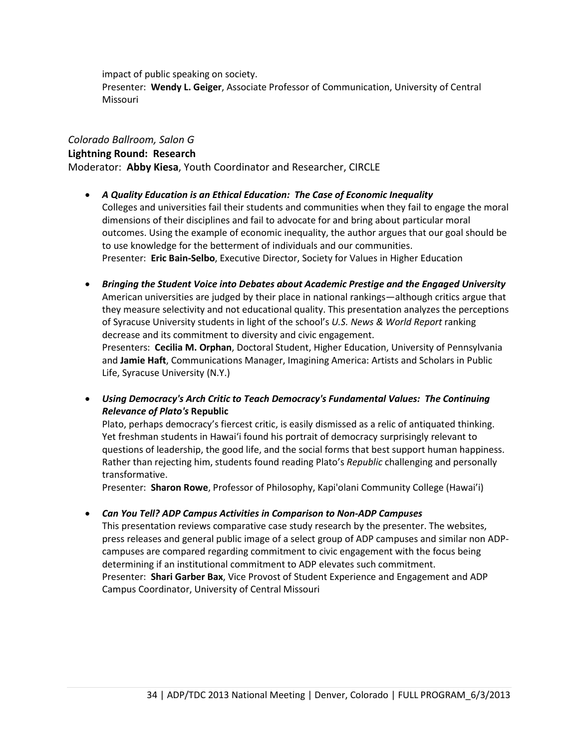impact of public speaking on society. Presenter: **Wendy L. Geiger**, Associate Professor of Communication, University of Central Missouri

## *Colorado Ballroom, Salon G*

## **Lightning Round: Research**

Moderator: **Abby Kiesa**, Youth Coordinator and Researcher, CIRCLE

- *A Quality Education is an Ethical Education: The Case of Economic Inequality* Colleges and universities fail their students and communities when they fail to engage the moral dimensions of their disciplines and fail to advocate for and bring about particular moral outcomes. Using the example of economic inequality, the author argues that our goal should be to use knowledge for the betterment of individuals and our communities. Presenter: **Eric Bain-Selbo**, Executive Director, Society for Values in Higher Education
- *Bringing the Student Voice into Debates about Academic Prestige and the Engaged University* American universities are judged by their place in national rankings—although critics argue that they measure selectivity and not educational quality. This presentation analyzes the perceptions of Syracuse University students in light of the school's *U.S. News & World Report* ranking decrease and its commitment to diversity and civic engagement.

Presenters: **Cecilia M. Orphan**, Doctoral Student, Higher Education, University of Pennsylvania and **Jamie Haft**, Communications Manager, Imagining America: Artists and Scholars in Public Life, Syracuse University (N.Y.)

• *Using Democracy's Arch Critic to Teach Democracy's Fundamental Values: The Continuing Relevance of Plato's* **Republic**

Plato, perhaps democracy's fiercest critic, is easily dismissed as a relic of antiquated thinking. Yet freshman students in Hawai'i found his portrait of democracy surprisingly relevant to questions of leadership, the good life, and the social forms that best support human happiness. Rather than rejecting him, students found reading Plato's *Republic* challenging and personally transformative.

Presenter: **Sharon Rowe**, Professor of Philosophy, Kapi'olani Community College (Hawai'i)

• *Can You Tell? ADP Campus Activities in Comparison to Non-ADP Campuses*

This presentation reviews comparative case study research by the presenter. The websites, press releases and general public image of a select group of ADP campuses and similar non ADPcampuses are compared regarding commitment to civic engagement with the focus being determining if an institutional commitment to ADP elevates such commitment. Presenter: **Shari Garber Bax**, Vice Provost of Student Experience and Engagement and ADP Campus Coordinator, University of Central Missouri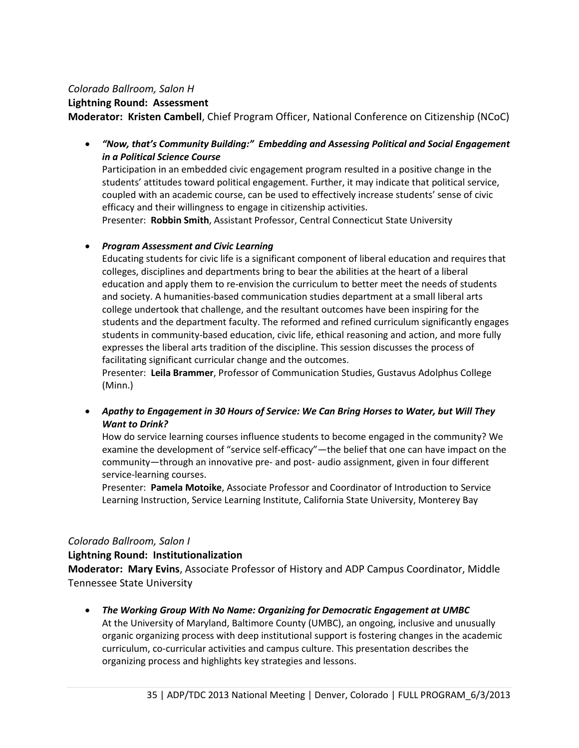#### *Colorado Ballroom, Salon H*

#### **Lightning Round: Assessment**

**Moderator: Kristen Cambell**, Chief Program Officer, National Conference on Citizenship (NCoC)

• *"Now, that's Community Building:" Embedding and Assessing Political and Social Engagement in a Political Science Course*

Participation in an embedded civic engagement program resulted in a positive change in the students' attitudes toward political engagement. Further, it may indicate that political service, coupled with an academic course, can be used to effectively increase students' sense of civic efficacy and their willingness to engage in citizenship activities.

Presenter: **Robbin Smith**, Assistant Professor, Central Connecticut State University

## • *Program Assessment and Civic Learning*

Educating students for civic life is a significant component of liberal education and requires that colleges, disciplines and departments bring to bear the abilities at the heart of a liberal education and apply them to re-envision the curriculum to better meet the needs of students and society. A humanities-based communication studies department at a small liberal arts college undertook that challenge, and the resultant outcomes have been inspiring for the students and the department faculty. The reformed and refined curriculum significantly engages students in community-based education, civic life, ethical reasoning and action, and more fully expresses the liberal arts tradition of the discipline. This session discusses the process of facilitating significant curricular change and the outcomes.

Presenter: **Leila Brammer**, Professor of Communication Studies, Gustavus Adolphus College (Minn.)

• *Apathy to Engagement in 30 Hours of Service: We Can Bring Horses to Water, but Will They Want to Drink?* 

How do service learning courses influence students to become engaged in the community? We examine the development of "service self-efficacy"—the belief that one can have impact on the community—through an innovative pre- and post- audio assignment, given in four different service-learning courses.

Presenter: **Pamela Motoike**, Associate Professor and Coordinator of Introduction to Service Learning Instruction, Service Learning Institute, California State University, Monterey Bay

## *Colorado Ballroom, Salon I*

#### **Lightning Round: Institutionalization**

**Moderator: Mary Evins**, Associate Professor of History and ADP Campus Coordinator, Middle Tennessee State University

• *The Working Group With No Name: Organizing for Democratic Engagement at UMBC* At the University of Maryland, Baltimore County (UMBC), an ongoing, inclusive and unusually organic organizing process with deep institutional support is fostering changes in the academic curriculum, co-curricular activities and campus culture. This presentation describes the organizing process and highlights key strategies and lessons.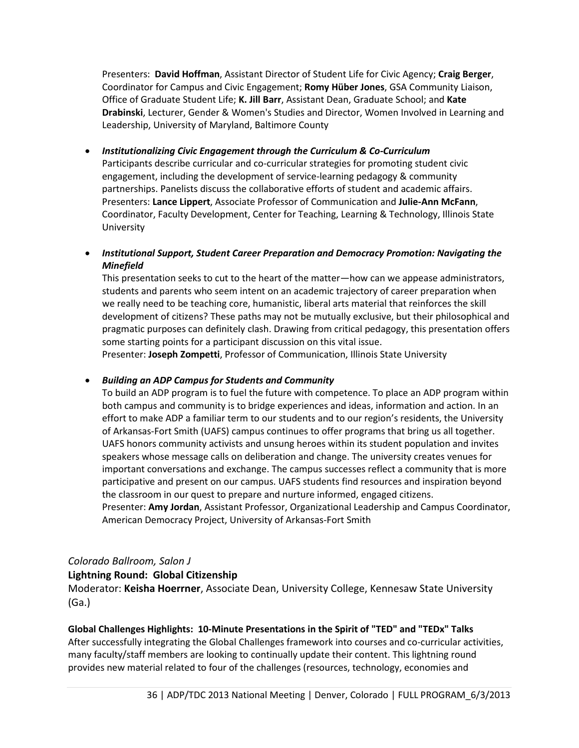Presenters: **David Hoffman**, Assistant Director of Student Life for Civic Agency; **Craig Berger**, Coordinator for Campus and Civic Engagement; **Romy Hüber Jones**, GSA Community Liaison, Office of Graduate Student Life; **K. Jill Barr**, Assistant Dean, Graduate School; and **Kate Drabinski**, Lecturer, Gender & Women's Studies and Director, Women Involved in Learning and Leadership, University of Maryland, Baltimore County

- *Institutionalizing Civic Engagement through the Curriculum & Co-Curriculum* Participants describe curricular and co-curricular strategies for promoting student civic engagement, including the development of service-learning pedagogy & community partnerships. Panelists discuss the collaborative efforts of student and academic affairs. Presenters: **Lance Lippert**, Associate Professor of Communication and **Julie-Ann McFann**, Coordinator, Faculty Development, Center for Teaching, Learning & Technology, Illinois State University
- *Institutional Support, Student Career Preparation and Democracy Promotion: Navigating the Minefield*

This presentation seeks to cut to the heart of the matter—how can we appease administrators, students and parents who seem intent on an academic trajectory of career preparation when we really need to be teaching core, humanistic, liberal arts material that reinforces the skill development of citizens? These paths may not be mutually exclusive, but their philosophical and pragmatic purposes can definitely clash. Drawing from critical pedagogy, this presentation offers some starting points for a participant discussion on this vital issue.

Presenter: **Joseph Zompetti**, Professor of Communication, Illinois State University

## • *Building an ADP Campus for Students and Community*

To build an ADP program is to fuel the future with competence. To place an ADP program within both campus and community is to bridge experiences and ideas, information and action. In an effort to make ADP a familiar term to our students and to our region's residents, the University of Arkansas-Fort Smith (UAFS) campus continues to offer programs that bring us all together. UAFS honors community activists and unsung heroes within its student population and invites speakers whose message calls on deliberation and change. The university creates venues for important conversations and exchange. The campus successes reflect a community that is more participative and present on our campus. UAFS students find resources and inspiration beyond the classroom in our quest to prepare and nurture informed, engaged citizens.

Presenter: **Amy Jordan**, Assistant Professor, Organizational Leadership and Campus Coordinator, American Democracy Project, University of Arkansas-Fort Smith

## *Colorado Ballroom, Salon J*

## **Lightning Round: Global Citizenship**

Moderator: **Keisha Hoerrner**, Associate Dean, University College, Kennesaw State University (Ga.)

## **Global Challenges Highlights: 10-Minute Presentations in the Spirit of "TED" and "TEDx" Talks**

After successfully integrating the Global Challenges framework into courses and co-curricular activities, many faculty/staff members are looking to continually update their content. This lightning round provides new material related to four of the challenges (resources, technology, economies and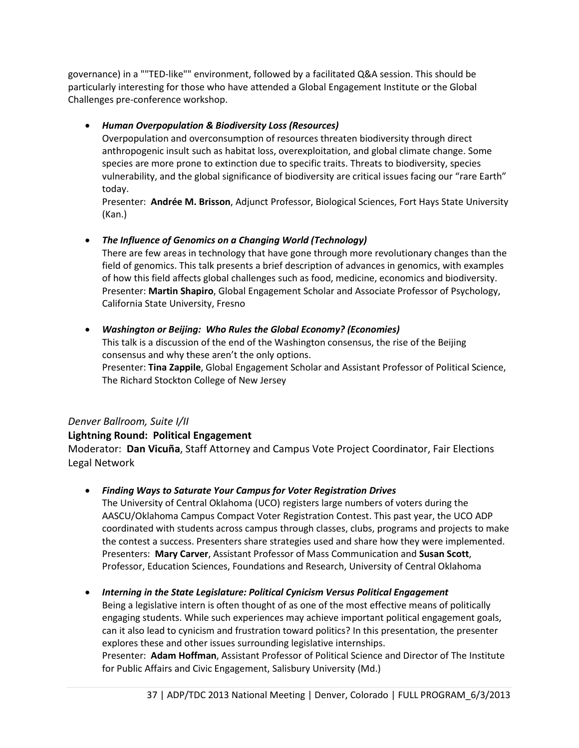governance) in a ""TED-like"" environment, followed by a facilitated Q&A session. This should be particularly interesting for those who have attended a Global Engagement Institute or the Global Challenges pre-conference workshop.

## • *Human Overpopulation & Biodiversity Loss (Resources)*

Overpopulation and overconsumption of resources threaten biodiversity through direct anthropogenic insult such as habitat loss, overexploitation, and global climate change. Some species are more prone to extinction due to specific traits. Threats to biodiversity, species vulnerability, and the global significance of biodiversity are critical issues facing our "rare Earth" today.

Presenter: **Andrée M. Brisson**, Adjunct Professor, Biological Sciences, Fort Hays State University (Kan.)

• *The Influence of Genomics on a Changing World (Technology)*

There are few areas in technology that have gone through more revolutionary changes than the field of genomics. This talk presents a brief description of advances in genomics, with examples of how this field affects global challenges such as food, medicine, economics and biodiversity. Presenter: **Martin Shapiro**, Global Engagement Scholar and Associate Professor of Psychology, California State University, Fresno

• *Washington or Beijing: Who Rules the Global Economy? (Economies)* This talk is a discussion of the end of the Washington consensus, the rise of the Beijing consensus and why these aren't the only options. Presenter: **Tina Zappile**, Global Engagement Scholar and Assistant Professor of Political Science, The Richard Stockton College of New Jersey

# *Denver Ballroom, Suite I/II*

# **Lightning Round: Political Engagement**

Moderator: **Dan Vicuña**, Staff Attorney and Campus Vote Project Coordinator, Fair Elections Legal Network

# • *Finding Ways to Saturate Your Campus for Voter Registration Drives*

The University of Central Oklahoma (UCO) registers large numbers of voters during the AASCU/Oklahoma Campus Compact Voter Registration Contest. This past year, the UCO ADP coordinated with students across campus through classes, clubs, programs and projects to make the contest a success. Presenters share strategies used and share how they were implemented. Presenters: **Mary Carver**, Assistant Professor of Mass Communication and **Susan Scott**, Professor, Education Sciences, Foundations and Research, University of Central Oklahoma

• *Interning in the State Legislature: Political Cynicism Versus Political Engagement*

Being a legislative intern is often thought of as one of the most effective means of politically engaging students. While such experiences may achieve important political engagement goals, can it also lead to cynicism and frustration toward politics? In this presentation, the presenter explores these and other issues surrounding legislative internships.

Presenter: **Adam Hoffman**, Assistant Professor of Political Science and Director of The Institute for Public Affairs and Civic Engagement, Salisbury University (Md.)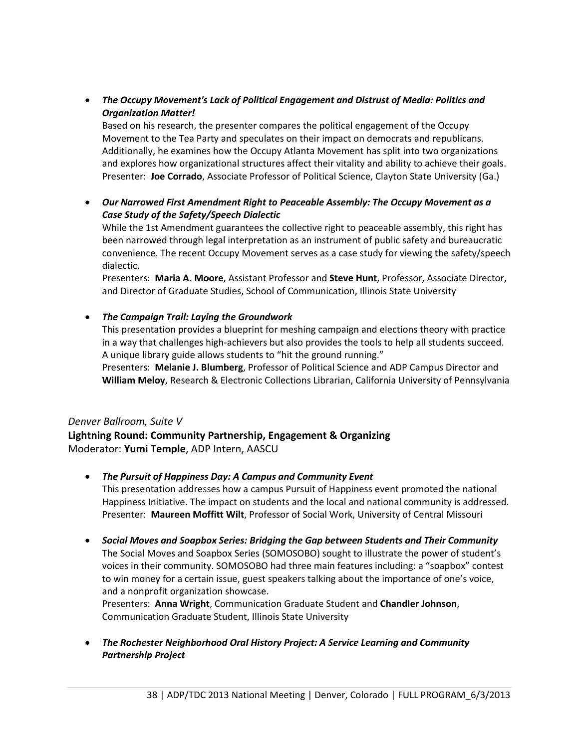• *The Occupy Movement's Lack of Political Engagement and Distrust of Media: Politics and Organization Matter!*

Based on his research, the presenter compares the political engagement of the Occupy Movement to the Tea Party and speculates on their impact on democrats and republicans. Additionally, he examines how the Occupy Atlanta Movement has split into two organizations and explores how organizational structures affect their vitality and ability to achieve their goals. Presenter: **Joe Corrado**, Associate Professor of Political Science, Clayton State University (Ga.)

• *Our Narrowed First Amendment Right to Peaceable Assembly: The Occupy Movement as a Case Study of the Safety/Speech Dialectic*

While the 1st Amendment guarantees the collective right to peaceable assembly, this right has been narrowed through legal interpretation as an instrument of public safety and bureaucratic convenience. The recent Occupy Movement serves as a case study for viewing the safety/speech dialectic.

Presenters: **Maria A. Moore**, Assistant Professor and **Steve Hunt**, Professor, Associate Director, and Director of Graduate Studies, School of Communication, Illinois State University

## • *The Campaign Trail: Laying the Groundwork*

This presentation provides a blueprint for meshing campaign and elections theory with practice in a way that challenges high-achievers but also provides the tools to help all students succeed. A unique library guide allows students to "hit the ground running."

Presenters: **Melanie J. Blumberg**, Professor of Political Science and ADP Campus Director and **William Meloy**, Research & Electronic Collections Librarian, California University of Pennsylvania

## *Denver Ballroom, Suite V*

**Lightning Round: Community Partnership, Engagement & Organizing** Moderator: **Yumi Temple**, ADP Intern, AASCU

## • *The Pursuit of Happiness Day: A Campus and Community Event*

This presentation addresses how a campus Pursuit of Happiness event promoted the national Happiness Initiative. The impact on students and the local and national community is addressed. Presenter: **Maureen Moffitt Wilt**, Professor of Social Work, University of Central Missouri

• *Social Moves and Soapbox Series: Bridging the Gap between Students and Their Community* The Social Moves and Soapbox Series (SOMOSOBO) sought to illustrate the power of student's voices in their community. SOMOSOBO had three main features including: a "soapbox" contest to win money for a certain issue, guest speakers talking about the importance of one's voice, and a nonprofit organization showcase.

Presenters: **Anna Wright**, Communication Graduate Student and **Chandler Johnson**, Communication Graduate Student, Illinois State University

• *The Rochester Neighborhood Oral History Project: A Service Learning and Community Partnership Project*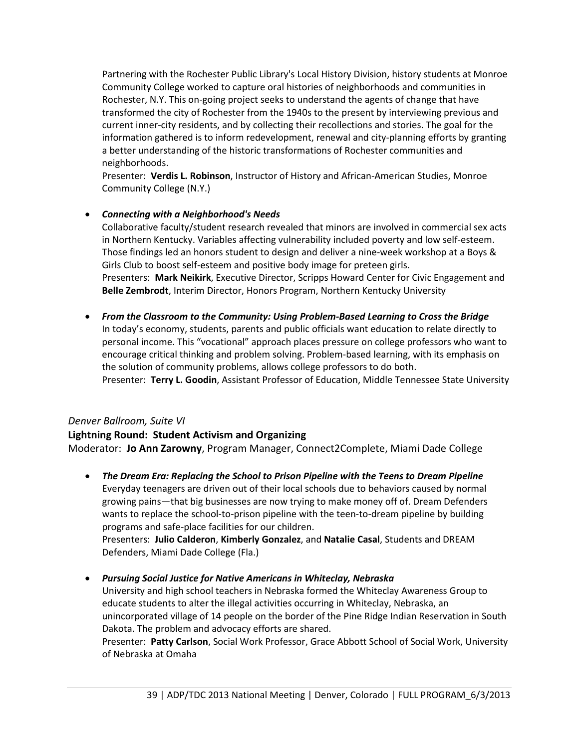Partnering with the Rochester Public Library's Local History Division, history students at Monroe Community College worked to capture oral histories of neighborhoods and communities in Rochester, N.Y. This on-going project seeks to understand the agents of change that have transformed the city of Rochester from the 1940s to the present by interviewing previous and current inner-city residents, and by collecting their recollections and stories. The goal for the information gathered is to inform redevelopment, renewal and city-planning efforts by granting a better understanding of the historic transformations of Rochester communities and neighborhoods.

Presenter: **Verdis L. Robinson**, Instructor of History and African-American Studies, Monroe Community College (N.Y.)

## • *Connecting with a Neighborhood's Needs*

Collaborative faculty/student research revealed that minors are involved in commercial sex acts in Northern Kentucky. Variables affecting vulnerability included poverty and low self-esteem. Those findings led an honors student to design and deliver a nine-week workshop at a Boys & Girls Club to boost self-esteem and positive body image for preteen girls. Presenters: **Mark Neikirk**, Executive Director, Scripps Howard Center for Civic Engagement and **Belle Zembrodt**, Interim Director, Honors Program, Northern Kentucky University

• *From the Classroom to the Community: Using Problem-Based Learning to Cross the Bridge* In today's economy, students, parents and public officials want education to relate directly to personal income. This "vocational" approach places pressure on college professors who want to encourage critical thinking and problem solving. Problem-based learning, with its emphasis on the solution of community problems, allows college professors to do both. Presenter: **Terry L. Goodin**, Assistant Professor of Education, Middle Tennessee State University

## *Denver Ballroom, Suite VI*

# **Lightning Round: Student Activism and Organizing**

Moderator: **Jo Ann Zarowny**, Program Manager, Connect2Complete, Miami Dade College

- *The Dream Era: Replacing the School to Prison Pipeline with the Teens to Dream Pipeline* Everyday teenagers are driven out of their local schools due to behaviors caused by normal growing pains—that big businesses are now trying to make money off of. Dream Defenders wants to replace the school-to-prison pipeline with the teen-to-dream pipeline by building programs and safe-place facilities for our children. Presenters: **Julio Calderon**, **Kimberly Gonzalez**, and **Natalie Casal**, Students and DREAM Defenders, Miami Dade College (Fla.)
- *Pursuing Social Justice for Native Americans in Whiteclay, Nebraska*

University and high school teachers in Nebraska formed the Whiteclay Awareness Group to educate students to alter the illegal activities occurring in Whiteclay, Nebraska, an unincorporated village of 14 people on the border of the Pine Ridge Indian Reservation in South Dakota. The problem and advocacy efforts are shared.

Presenter: **Patty Carlson**, Social Work Professor, Grace Abbott School of Social Work, University of Nebraska at Omaha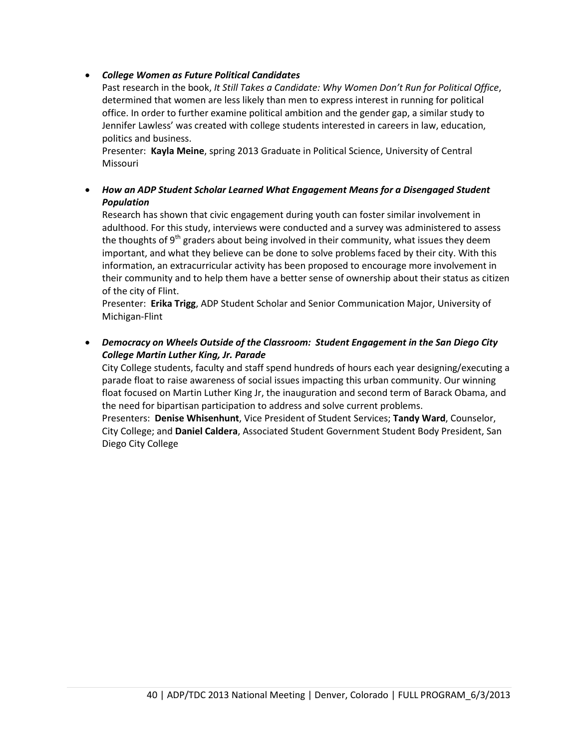## • *College Women as Future Political Candidates*

Past research in the book, *It Still Takes a Candidate: Why Women Don't Run for Political Office*, determined that women are less likely than men to express interest in running for political office. In order to further examine political ambition and the gender gap, a similar study to Jennifer Lawless' was created with college students interested in careers in law, education, politics and business.

Presenter: **Kayla Meine**, spring 2013 Graduate in Political Science, University of Central **Missouri** 

• *How an ADP Student Scholar Learned What Engagement Means for a Disengaged Student Population*

Research has shown that civic engagement during youth can foster similar involvement in adulthood. For this study, interviews were conducted and a survey was administered to assess the thoughts of 9<sup>th</sup> graders about being involved in their community, what issues they deem important, and what they believe can be done to solve problems faced by their city. With this information, an extracurricular activity has been proposed to encourage more involvement in their community and to help them have a better sense of ownership about their status as citizen of the city of Flint.

Presenter: **Erika Trigg**, ADP Student Scholar and Senior Communication Major, University of Michigan-Flint

• *Democracy on Wheels Outside of the Classroom: Student Engagement in the San Diego City College Martin Luther King, Jr. Parade*

City College students, faculty and staff spend hundreds of hours each year designing/executing a parade float to raise awareness of social issues impacting this urban community. Our winning float focused on Martin Luther King Jr, the inauguration and second term of Barack Obama, and the need for bipartisan participation to address and solve current problems.

Presenters: **Denise Whisenhunt**, Vice President of Student Services; **Tandy Ward**, Counselor, City College; and **Daniel Caldera**, Associated Student Government Student Body President, San Diego City College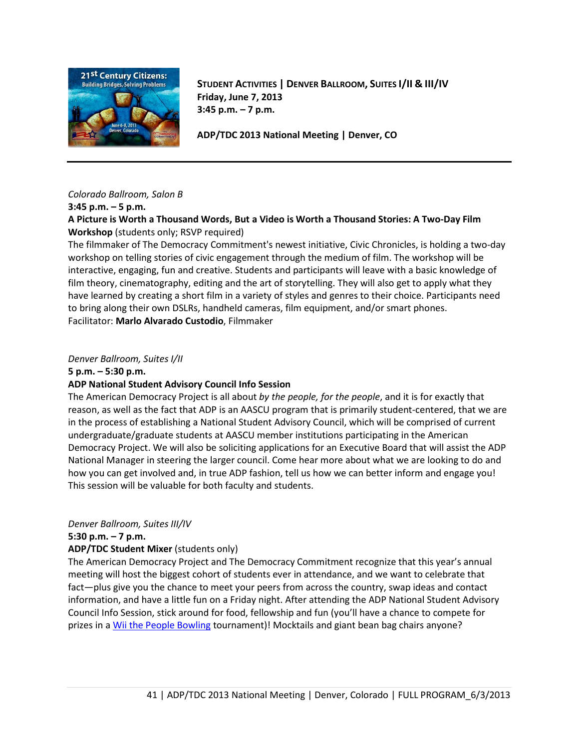

**STUDENT ACTIVITIES | DENVER BALLROOM, SUITES I/II & III/IV Friday, June 7, 2013 3:45 p.m. – 7 p.m.**

**ADP/TDC 2013 National Meeting | Denver, CO**

#### *Colorado Ballroom, Salon B*

#### **3:45 p.m. – 5 p.m.**

**A Picture is Worth a Thousand Words, But a Video is Worth a Thousand Stories: A Two-Day Film Workshop** (students only; RSVP required)

The filmmaker of The Democracy Commitment's newest initiative, Civic Chronicles, is holding a two-day workshop on telling stories of civic engagement through the medium of film. The workshop will be interactive, engaging, fun and creative. Students and participants will leave with a basic knowledge of film theory, cinematography, editing and the art of storytelling. They will also get to apply what they have learned by creating a short film in a variety of styles and genres to their choice. Participants need to bring along their own DSLRs, handheld cameras, film equipment, and/or smart phones. Facilitator: **Marlo Alvarado Custodio**, Filmmaker

#### *Denver Ballroom, Suites I/II*

#### **5 p.m. – 5:30 p.m.**

## **ADP National Student Advisory Council Info Session**

The American Democracy Project is all about *by the people, for the people*, and it is for exactly that reason, as well as the fact that ADP is an AASCU program that is primarily student-centered, that we are in the process of establishing a National Student Advisory Council, which will be comprised of current undergraduate/graduate students at AASCU member institutions participating in the American Democracy Project. We will also be soliciting applications for an Executive Board that will assist the ADP National Manager in steering the larger council. Come hear more about what we are looking to do and how you can get involved and, in true ADP fashion, tell us how we can better inform and engage you! This session will be valuable for both faculty and students.

#### *Denver Ballroom, Suites III/IV*

#### **5:30 p.m. – 7 p.m.**

## **ADP/TDC Student Mixer** (students only)

The American Democracy Project and The Democracy Commitment recognize that this year's annual meeting will host the biggest cohort of students ever in attendance, and we want to celebrate that fact—plus give you the chance to meet your peers from across the country, swap ideas and contact information, and have a little fun on a Friday night. After attending the ADP National Student Advisory Council Info Session, stick around for food, fellowship and fun (you'll have a chance to compete for prizes in a [Wii the People Bowling](http://www.wku.edu/icsr/programs/wiithepeople.php) tournament)! Mocktails and giant bean bag chairs anyone?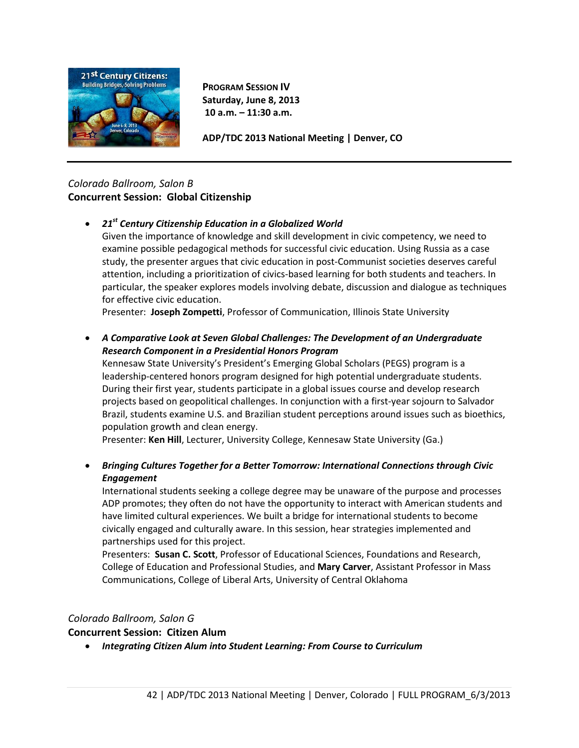

**PROGRAM SESSION IV Saturday, June 8, 2013 10 a.m. – 11:30 a.m.**

**ADP/TDC 2013 National Meeting | Denver, CO**

# *Colorado Ballroom, Salon B* **Concurrent Session: Global Citizenship**

• *21st Century Citizenship Education in a Globalized World*

Given the importance of knowledge and skill development in civic competency, we need to examine possible pedagogical methods for successful civic education. Using Russia as a case study, the presenter argues that civic education in post-Communist societies deserves careful attention, including a prioritization of civics-based learning for both students and teachers. In particular, the speaker explores models involving debate, discussion and dialogue as techniques for effective civic education.

Presenter: **Joseph Zompetti**, Professor of Communication, Illinois State University

• *A Comparative Look at Seven Global Challenges: The Development of an Undergraduate Research Component in a Presidential Honors Program*

Kennesaw State University's President's Emerging Global Scholars (PEGS) program is a leadership-centered honors program designed for high potential undergraduate students. During their first year, students participate in a global issues course and develop research projects based on geopolitical challenges. In conjunction with a first-year sojourn to Salvador Brazil, students examine U.S. and Brazilian student perceptions around issues such as bioethics, population growth and clean energy.

Presenter: **Ken Hill**, Lecturer, University College, Kennesaw State University (Ga.)

• *Bringing Cultures Together for a Better Tomorrow: International Connections through Civic Engagement*

International students seeking a college degree may be unaware of the purpose and processes ADP promotes; they often do not have the opportunity to interact with American students and have limited cultural experiences. We built a bridge for international students to become civically engaged and culturally aware. In this session, hear strategies implemented and partnerships used for this project.

Presenters: **Susan C. Scott**, Professor of Educational Sciences, Foundations and Research, College of Education and Professional Studies, and **Mary Carver**, Assistant Professor in Mass Communications, College of Liberal Arts, University of Central Oklahoma

# *Colorado Ballroom, Salon G*

# **Concurrent Session: Citizen Alum**

• *Integrating Citizen Alum into Student Learning: From Course to Curriculum*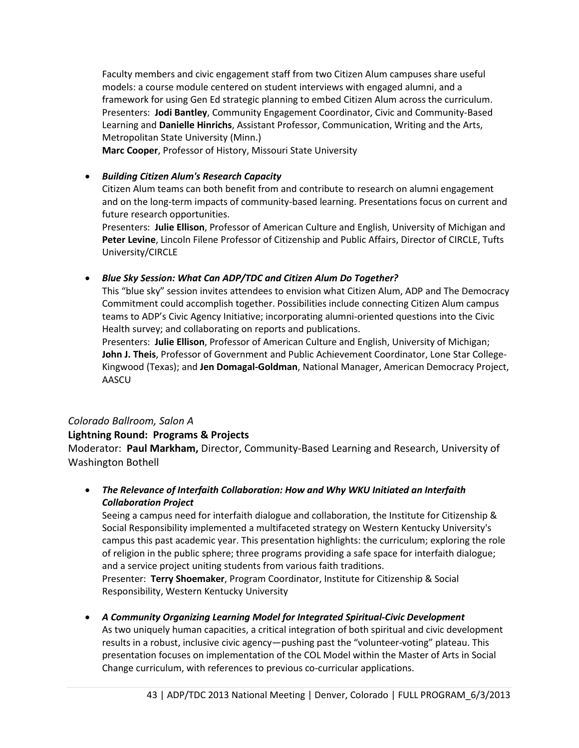Faculty members and civic engagement staff from two Citizen Alum campuses share useful models: a course module centered on student interviews with engaged alumni, and a framework for using Gen Ed strategic planning to embed Citizen Alum across the curriculum. Presenters: **Jodi Bantley**, Community Engagement Coordinator, Civic and Community-Based Learning and **Danielle Hinrichs**, Assistant Professor, Communication, Writing and the Arts, Metropolitan State University (Minn.)

**Marc Cooper**, Professor of History, Missouri State University

#### • *Building Citizen Alum's Research Capacity*

Citizen Alum teams can both benefit from and contribute to research on alumni engagement and on the long-term impacts of community-based learning. Presentations focus on current and future research opportunities.

Presenters: **Julie Ellison**, Professor of American Culture and English, University of Michigan and **Peter Levine**, Lincoln Filene Professor of Citizenship and Public Affairs, Director of CIRCLE, Tufts University/CIRCLE

#### • *Blue Sky Session: What Can ADP/TDC and Citizen Alum Do Together?*

This "blue sky" session invites attendees to envision what Citizen Alum, ADP and The Democracy Commitment could accomplish together. Possibilities include connecting Citizen Alum campus teams to ADP's Civic Agency Initiative; incorporating alumni-oriented questions into the Civic Health survey; and collaborating on reports and publications.

Presenters: **Julie Ellison**, Professor of American Culture and English, University of Michigan; **John J. Theis**, Professor of Government and Public Achievement Coordinator, Lone Star College-Kingwood (Texas); and **Jen Domagal-Goldman**, National Manager, American Democracy Project, AASCU

## *Colorado Ballroom, Salon A*

## **Lightning Round: Programs & Projects**

Moderator: **Paul Markham,** Director, Community-Based Learning and Research, University of Washington Bothell

• *The Relevance of Interfaith Collaboration: How and Why WKU Initiated an Interfaith Collaboration Project*

Seeing a campus need for interfaith dialogue and collaboration, the Institute for Citizenship & Social Responsibility implemented a multifaceted strategy on Western Kentucky University's campus this past academic year. This presentation highlights: the curriculum; exploring the role of religion in the public sphere; three programs providing a safe space for interfaith dialogue; and a service project uniting students from various faith traditions.

Presenter: **Terry Shoemaker**, Program Coordinator, Institute for Citizenship & Social Responsibility, Western Kentucky University

• *A Community Organizing Learning Model for Integrated Spiritual-Civic Development* As two uniquely human capacities, a critical integration of both spiritual and civic development results in a robust, inclusive civic agency—pushing past the "volunteer-voting" plateau. This presentation focuses on implementation of the COL Model within the Master of Arts in Social Change curriculum, with references to previous co-curricular applications.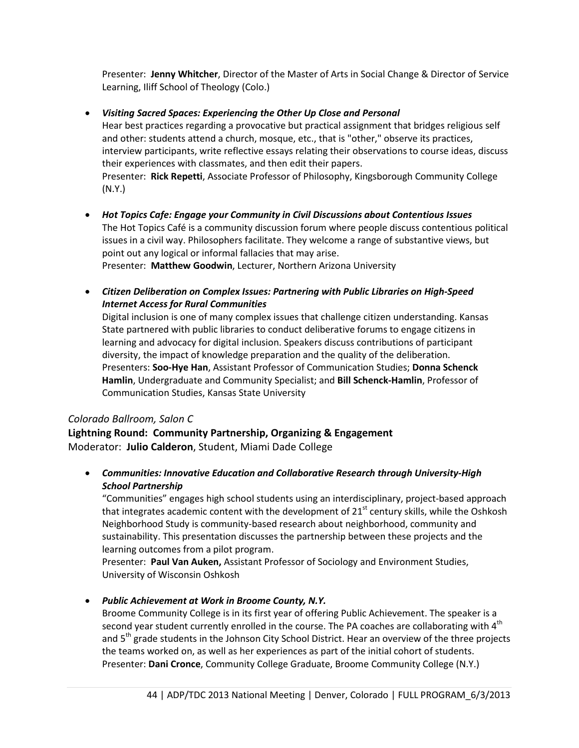Presenter: **Jenny Whitcher**, Director of the Master of Arts in Social Change & Director of Service Learning, Iliff School of Theology (Colo.)

• *Visiting Sacred Spaces: Experiencing the Other Up Close and Personal*

Hear best practices regarding a provocative but practical assignment that bridges religious self and other: students attend a church, mosque, etc., that is "other," observe its practices, interview participants, write reflective essays relating their observations to course ideas, discuss their experiences with classmates, and then edit their papers. Presenter: **Rick Repetti**, Associate Professor of Philosophy, Kingsborough Community College (N.Y.)

- *Hot Topics Cafe: Engage your Community in Civil Discussions about Contentious Issues* The Hot Topics Café is a community discussion forum where people discuss contentious political issues in a civil way. Philosophers facilitate. They welcome a range of substantive views, but point out any logical or informal fallacies that may arise. Presenter: **Matthew Goodwin**, Lecturer, Northern Arizona University
- *Citizen Deliberation on Complex Issues: Partnering with Public Libraries on High-Speed Internet Access for Rural Communities*

Digital inclusion is one of many complex issues that challenge citizen understanding. Kansas State partnered with public libraries to conduct deliberative forums to engage citizens in learning and advocacy for digital inclusion. Speakers discuss contributions of participant diversity, the impact of knowledge preparation and the quality of the deliberation. Presenters: **Soo-Hye Han**, Assistant Professor of Communication Studies; **Donna Schenck Hamlin**, Undergraduate and Community Specialist; and **Bill Schenck-Hamlin**, Professor of Communication Studies, Kansas State University

## *Colorado Ballroom, Salon C*

**Lightning Round: Community Partnership, Organizing & Engagement** Moderator: **Julio Calderon**, Student, Miami Dade College

• *Communities: Innovative Education and Collaborative Research through University-High School Partnership*

"Communities" engages high school students using an interdisciplinary, project-based approach that integrates academic content with the development of  $21<sup>st</sup>$  century skills, while the Oshkosh Neighborhood Study is community-based research about neighborhood, community and sustainability. This presentation discusses the partnership between these projects and the learning outcomes from a pilot program.

Presenter: **Paul Van Auken,** Assistant Professor of Sociology and Environment Studies, University of Wisconsin Oshkosh

• *Public Achievement at Work in Broome County, N.Y.*

Broome Community College is in its first year of offering Public Achievement. The speaker is a second year student currently enrolled in the course. The PA coaches are collaborating with  $4<sup>th</sup>$ and 5<sup>th</sup> grade students in the Johnson City School District. Hear an overview of the three projects the teams worked on, as well as her experiences as part of the initial cohort of students. Presenter: **Dani Cronce**, Community College Graduate, Broome Community College (N.Y.)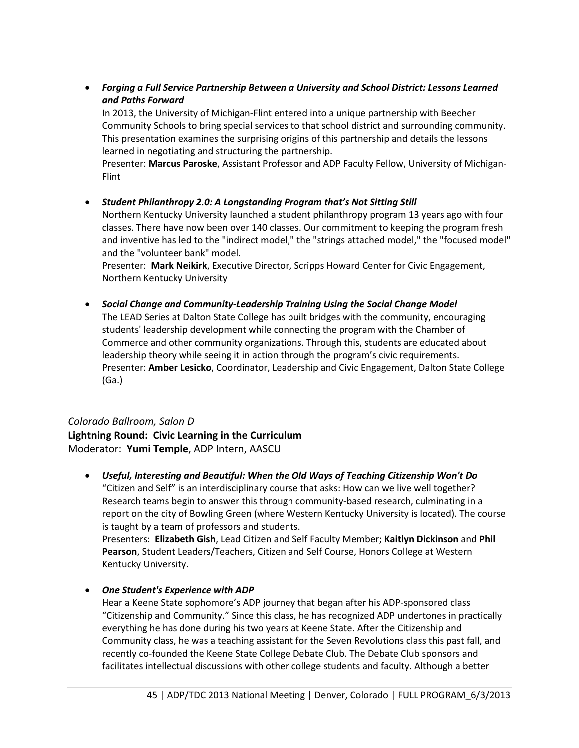• *Forging a Full Service Partnership Between a University and School District: Lessons Learned and Paths Forward*

In 2013, the University of Michigan-Flint entered into a unique partnership with Beecher Community Schools to bring special services to that school district and surrounding community. This presentation examines the surprising origins of this partnership and details the lessons learned in negotiating and structuring the partnership.

Presenter: **Marcus Paroske**, Assistant Professor and ADP Faculty Fellow, University of Michigan-Flint

• *Student Philanthropy 2.0: A Longstanding Program that's Not Sitting Still*

Northern Kentucky University launched a student philanthropy program 13 years ago with four classes. There have now been over 140 classes. Our commitment to keeping the program fresh and inventive has led to the "indirect model," the "strings attached model," the "focused model" and the "volunteer bank" model.

Presenter: **Mark Neikirk**, Executive Director, Scripps Howard Center for Civic Engagement, Northern Kentucky University

• *Social Change and Community-Leadership Training Using the Social Change Model*  The LEAD Series at Dalton State College has built bridges with the community, encouraging students' leadership development while connecting the program with the Chamber of Commerce and other community organizations. Through this, students are educated about leadership theory while seeing it in action through the program's civic requirements. Presenter: **Amber Lesicko**, Coordinator, Leadership and Civic Engagement, Dalton State College (Ga.)

# *Colorado Ballroom, Salon D*

**Lightning Round: Civic Learning in the Curriculum** Moderator: **Yumi Temple**, ADP Intern, AASCU

- *Useful, Interesting and Beautiful: When the Old Ways of Teaching Citizenship Won't Do* "Citizen and Self" is an interdisciplinary course that asks: How can we live well together? Research teams begin to answer this through community-based research, culminating in a report on the city of Bowling Green (where Western Kentucky University is located). The course is taught by a team of professors and students. Presenters: **Elizabeth Gish**, Lead Citizen and Self Faculty Member; **Kaitlyn Dickinson** and **Phil Pearson**, Student Leaders/Teachers, Citizen and Self Course, Honors College at Western Kentucky University.
- *One Student's Experience with ADP*

Hear a Keene State sophomore's ADP journey that began after his ADP-sponsored class "Citizenship and Community." Since this class, he has recognized ADP undertones in practically everything he has done during his two years at Keene State. After the Citizenship and Community class, he was a teaching assistant for the Seven Revolutions class this past fall, and recently co-founded the Keene State College Debate Club. The Debate Club sponsors and facilitates intellectual discussions with other college students and faculty. Although a better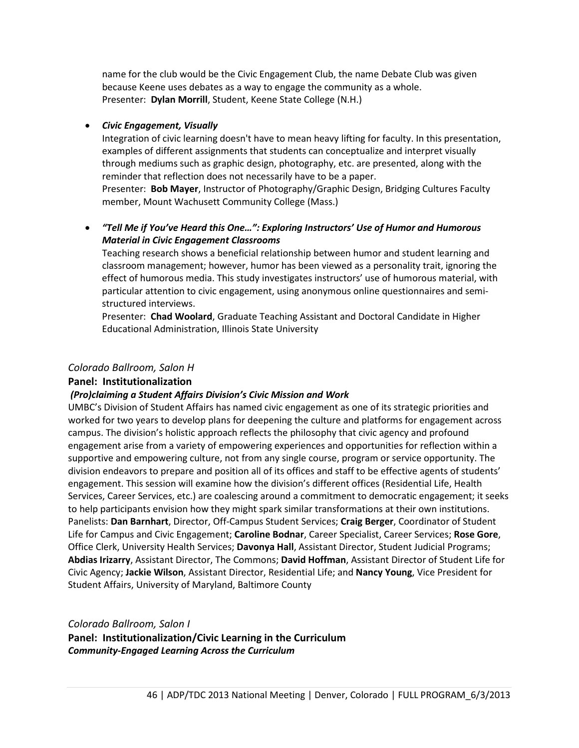name for the club would be the Civic Engagement Club, the name Debate Club was given because Keene uses debates as a way to engage the community as a whole. Presenter: **Dylan Morrill**, Student, Keene State College (N.H.)

#### • *Civic Engagement, Visually*

Integration of civic learning doesn't have to mean heavy lifting for faculty. In this presentation, examples of different assignments that students can conceptualize and interpret visually through mediums such as graphic design, photography, etc. are presented, along with the reminder that reflection does not necessarily have to be a paper.

Presenter: **Bob Mayer**, Instructor of Photography/Graphic Design, Bridging Cultures Faculty member, Mount Wachusett Community College (Mass.)

## • *"Tell Me if You've Heard this One…": Exploring Instructors' Use of Humor and Humorous Material in Civic Engagement Classrooms*

Teaching research shows a beneficial relationship between humor and student learning and classroom management; however, humor has been viewed as a personality trait, ignoring the effect of humorous media. This study investigates instructors' use of humorous material, with particular attention to civic engagement, using anonymous online questionnaires and semistructured interviews.

Presenter: **Chad Woolard**, Graduate Teaching Assistant and Doctoral Candidate in Higher Educational Administration, Illinois State University

#### *Colorado Ballroom, Salon H*

#### **Panel: Institutionalization**

#### *(Pro)claiming a Student Affairs Division's Civic Mission and Work*

UMBC's Division of Student Affairs has named civic engagement as one of its strategic priorities and worked for two years to develop plans for deepening the culture and platforms for engagement across campus. The division's holistic approach reflects the philosophy that civic agency and profound engagement arise from a variety of empowering experiences and opportunities for reflection within a supportive and empowering culture, not from any single course, program or service opportunity. The division endeavors to prepare and position all of its offices and staff to be effective agents of students' engagement. This session will examine how the division's different offices (Residential Life, Health Services, Career Services, etc.) are coalescing around a commitment to democratic engagement; it seeks to help participants envision how they might spark similar transformations at their own institutions. Panelists: **Dan Barnhart**, Director, Off-Campus Student Services; **Craig Berger**, Coordinator of Student Life for Campus and Civic Engagement; **Caroline Bodnar**, Career Specialist, Career Services; **Rose Gore**, Office Clerk, University Health Services; **Davonya Hall**, Assistant Director, Student Judicial Programs; **Abdias Irizarry**, Assistant Director, The Commons; **David Hoffman**, Assistant Director of Student Life for Civic Agency; **Jackie Wilson**, Assistant Director, Residential Life; and **Nancy Young**, Vice President for Student Affairs, University of Maryland, Baltimore County

#### *Colorado Ballroom, Salon I* **Panel: Institutionalization/Civic Learning in the Curriculum** *Community-Engaged Learning Across the Curriculum*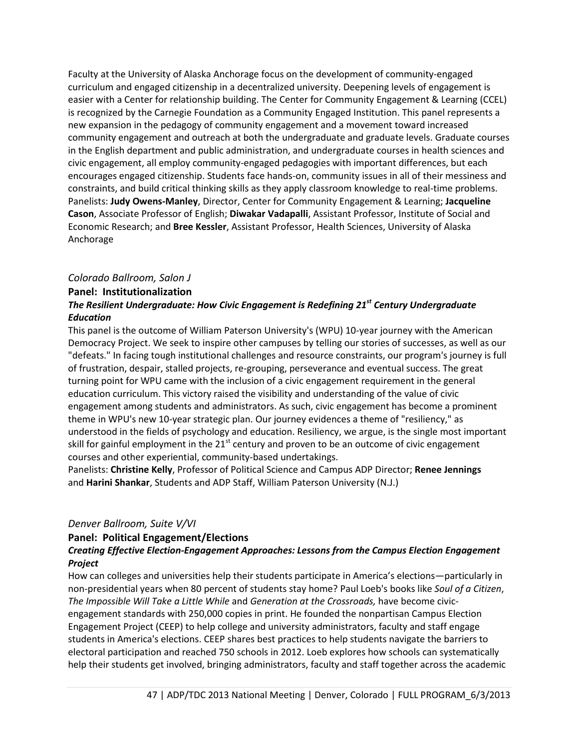Faculty at the University of Alaska Anchorage focus on the development of community-engaged curriculum and engaged citizenship in a decentralized university. Deepening levels of engagement is easier with a Center for relationship building. The Center for Community Engagement & Learning (CCEL) is recognized by the Carnegie Foundation as a Community Engaged Institution. This panel represents a new expansion in the pedagogy of community engagement and a movement toward increased community engagement and outreach at both the undergraduate and graduate levels. Graduate courses in the English department and public administration, and undergraduate courses in health sciences and civic engagement, all employ community-engaged pedagogies with important differences, but each encourages engaged citizenship. Students face hands-on, community issues in all of their messiness and constraints, and build critical thinking skills as they apply classroom knowledge to real-time problems. Panelists: **Judy Owens-Manley**, Director, Center for Community Engagement & Learning; **Jacqueline Cason**, Associate Professor of English; **Diwakar Vadapalli**, Assistant Professor, Institute of Social and Economic Research; and **Bree Kessler**, Assistant Professor, Health Sciences, University of Alaska Anchorage

## *Colorado Ballroom, Salon J*

#### **Panel: Institutionalization**

## *The Resilient Undergraduate: How Civic Engagement is Redefining 21st Century Undergraduate Education*

This panel is the outcome of William Paterson University's (WPU) 10-year journey with the American Democracy Project. We seek to inspire other campuses by telling our stories of successes, as well as our "defeats." In facing tough institutional challenges and resource constraints, our program's journey is full of frustration, despair, stalled projects, re-grouping, perseverance and eventual success. The great turning point for WPU came with the inclusion of a civic engagement requirement in the general education curriculum. This victory raised the visibility and understanding of the value of civic engagement among students and administrators. As such, civic engagement has become a prominent theme in WPU's new 10-year strategic plan. Our journey evidences a theme of "resiliency," as understood in the fields of psychology and education. Resiliency, we argue, is the single most important skill for gainful employment in the 21<sup>st</sup> century and proven to be an outcome of civic engagement courses and other experiential, community-based undertakings.

Panelists: **Christine Kelly**, Professor of Political Science and Campus ADP Director; **Renee Jennings** and **Harini Shankar**, Students and ADP Staff, William Paterson University (N.J.)

#### *Denver Ballroom, Suite V/VI*

## **Panel: Political Engagement/Elections**

#### *Creating Effective Election-Engagement Approaches: Lessons from the Campus Election Engagement Project*

How can colleges and universities help their students participate in America's elections—particularly in non-presidential years when 80 percent of students stay home? Paul Loeb's books like *Soul of a Citizen*, *The Impossible Will Take a Little While* and *Generation at the Crossroads,* have become civicengagement standards with 250,000 copies in print. He founded the nonpartisan Campus Election Engagement Project (CEEP) to help college and university administrators, faculty and staff engage students in America's elections. CEEP shares best practices to help students navigate the barriers to electoral participation and reached 750 schools in 2012. Loeb explores how schools can systematically help their students get involved, bringing administrators, faculty and staff together across the academic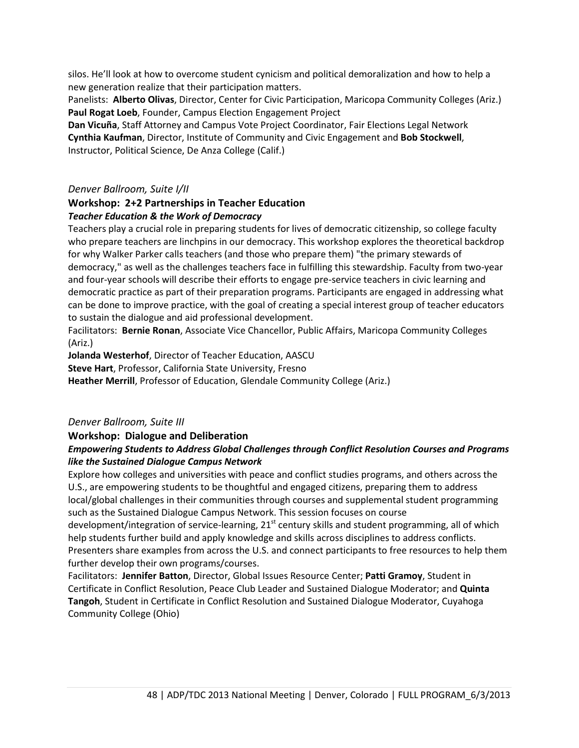silos. He'll look at how to overcome student cynicism and political demoralization and how to help a new generation realize that their participation matters.

Panelists: **Alberto Olivas**, Director, Center for Civic Participation, Maricopa Community Colleges (Ariz.) **Paul Rogat Loeb**, Founder, Campus Election Engagement Project

**Dan Vicuña**, Staff Attorney and Campus Vote Project Coordinator, Fair Elections Legal Network **Cynthia Kaufman**, Director, Institute of Community and Civic Engagement and **Bob Stockwell**, Instructor, Political Science, De Anza College (Calif.)

## *Denver Ballroom, Suite I/II*

## **Workshop: 2+2 Partnerships in Teacher Education** *Teacher Education & the Work of Democracy*

Teachers play a crucial role in preparing students for lives of democratic citizenship, so college faculty who prepare teachers are linchpins in our democracy. This workshop explores the theoretical backdrop for why Walker Parker calls teachers (and those who prepare them) "the primary stewards of democracy," as well as the challenges teachers face in fulfilling this stewardship. Faculty from two-year and four-year schools will describe their efforts to engage pre-service teachers in civic learning and democratic practice as part of their preparation programs. Participants are engaged in addressing what can be done to improve practice, with the goal of creating a special interest group of teacher educators to sustain the dialogue and aid professional development.

Facilitators: **Bernie Ronan**, Associate Vice Chancellor, Public Affairs, Maricopa Community Colleges (Ariz.)

**Jolanda Westerhof**, Director of Teacher Education, AASCU

**Steve Hart**, Professor, California State University, Fresno

**Heather Merrill**, Professor of Education, Glendale Community College (Ariz.)

## *Denver Ballroom, Suite III*

## **Workshop: Dialogue and Deliberation**

## *Empowering Students to Address Global Challenges through Conflict Resolution Courses and Programs like the Sustained Dialogue Campus Network*

Explore how colleges and universities with peace and conflict studies programs, and others across the U.S., are empowering students to be thoughtful and engaged citizens, preparing them to address local/global challenges in their communities through courses and supplemental student programming such as the Sustained Dialogue Campus Network. This session focuses on course

development/integration of service-learning, 21<sup>st</sup> century skills and student programming, all of which help students further build and apply knowledge and skills across disciplines to address conflicts. Presenters share examples from across the U.S. and connect participants to free resources to help them further develop their own programs/courses.

Facilitators: **Jennifer Batton**, Director, Global Issues Resource Center; **Patti Gramoy**, Student in Certificate in Conflict Resolution, Peace Club Leader and Sustained Dialogue Moderator; and **Quinta Tangoh**, Student in Certificate in Conflict Resolution and Sustained Dialogue Moderator, Cuyahoga Community College (Ohio)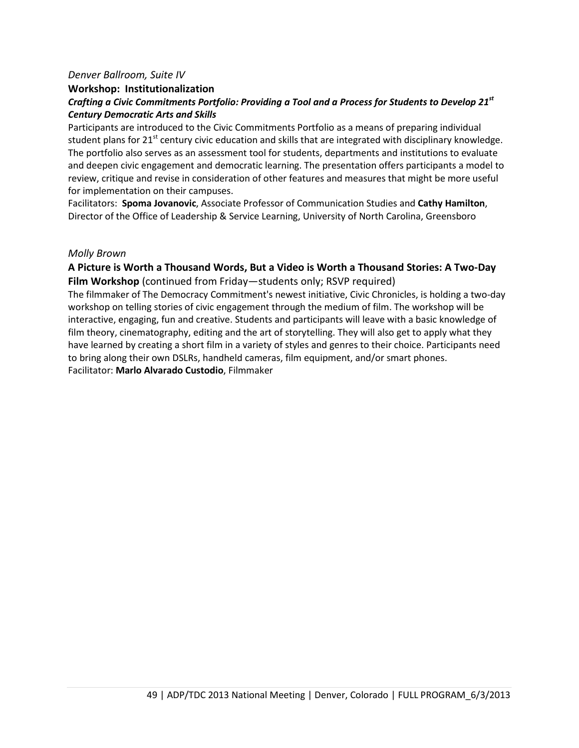#### *Denver Ballroom, Suite IV*

## **Workshop: Institutionalization** *Crafting a Civic Commitments Portfolio: Providing a Tool and a Process for Students to Develop 21st Century Democratic Arts and Skills*

Participants are introduced to the Civic Commitments Portfolio as a means of preparing individual student plans for  $21^{st}$  century civic education and skills that are integrated with disciplinary knowledge. The portfolio also serves as an assessment tool for students, departments and institutions to evaluate and deepen civic engagement and democratic learning. The presentation offers participants a model to review, critique and revise in consideration of other features and measures that might be more useful for implementation on their campuses.

Facilitators: **Spoma Jovanovic**, Associate Professor of Communication Studies and **Cathy Hamilton**, Director of the Office of Leadership & Service Learning, University of North Carolina, Greensboro

#### *Molly Brown*

## **A Picture is Worth a Thousand Words, But a Video is Worth a Thousand Stories: A Two-Day Film Workshop** (continued from Friday—students only; RSVP required)

The filmmaker of The Democracy Commitment's newest initiative, Civic Chronicles, is holding a two-day workshop on telling stories of civic engagement through the medium of film. The workshop will be interactive, engaging, fun and creative. Students and participants will leave with a basic knowledge of film theory, cinematography, editing and the art of storytelling. They will also get to apply what they have learned by creating a short film in a variety of styles and genres to their choice. Participants need to bring along their own DSLRs, handheld cameras, film equipment, and/or smart phones. Facilitator: **Marlo Alvarado Custodio**, Filmmaker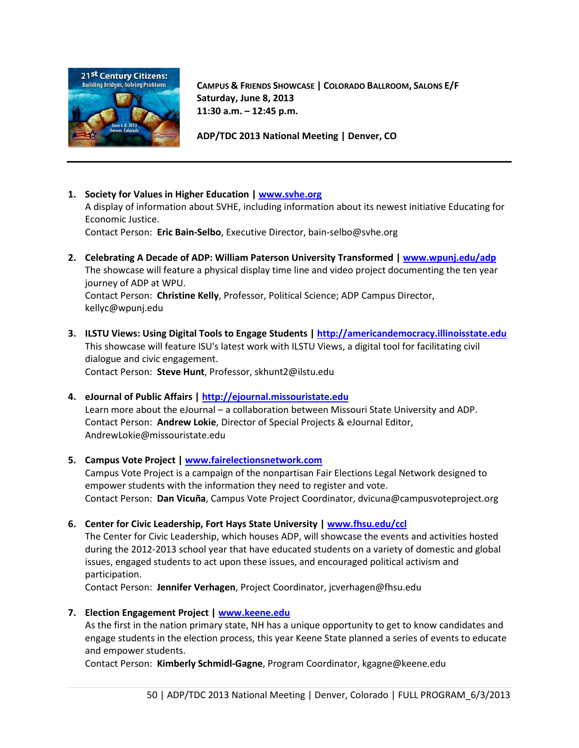

**CAMPUS & FRIENDS SHOWCASE | COLORADO BALLROOM, SALONS E/F Saturday, June 8, 2013 11:30 a.m. – 12:45 p.m.**

**ADP/TDC 2013 National Meeting | Denver, CO**

**1. Society for Values in Higher Education [| www.svhe.org](http://www.svhe.org/)**

A display of information about SVHE, including information about its newest initiative Educating for Economic Justice.

Contact Person: **Eric Bain-Selbo**, Executive Director, bain-selbo@svhe.org

- **2. Celebrating A Decade of ADP: William Paterson University Transformed [| www.wpunj.edu/adp](http://www.wpunj.edu/adp)** The showcase will feature a physical display time line and video project documenting the ten year journey of ADP at WPU. Contact Person: **Christine Kelly**, Professor, Political Science; ADP Campus Director, kellyc@wpunj.edu
- **3. ILSTU Views: Using Digital Tools to Engage Students [| http://americandemocracy.illinoisstate.edu](http://americandemocracy.illinoisstate.edu/)** This showcase will feature ISU's latest work with ILSTU Views, a digital tool for facilitating civil dialogue and civic engagement. Contact Person: **Steve Hunt**, Professor, skhunt2@ilstu.edu
- **4. eJournal of Public Affairs [| http://ejournal.missouristate.edu](http://ejournal.missouristate.edu/)** Learn more about the eJournal – a collaboration between Missouri State University and ADP. Contact Person: **Andrew Lokie**, Director of Special Projects & eJournal Editor, AndrewLokie@missouristate.edu

## **5. Campus Vote Project | [www.fairelectionsnetwork.com](http://www.fairelectionsnetwork.com/)**

Campus Vote Project is a campaign of the nonpartisan Fair Elections Legal Network designed to empower students with the information they need to register and vote. Contact Person: **Dan Vicuña**, Campus Vote Project Coordinator, dvicuna@campusvoteproject.org

**6. Center for Civic Leadership, Fort Hays State University | [www.fhsu.edu/ccl](http://www.fhsu.edu/ccl)**

The Center for Civic Leadership, which houses ADP, will showcase the events and activities hosted during the 2012-2013 school year that have educated students on a variety of domestic and global issues, engaged students to act upon these issues, and encouraged political activism and participation.

Contact Person: **Jennifer Verhagen**, Project Coordinator, jcverhagen@fhsu.edu

**7. Election Engagement Project | [www.keene.edu](http://www.keene.edu/)**

As the first in the nation primary state, NH has a unique opportunity to get to know candidates and engage students in the election process, this year Keene State planned a series of events to educate and empower students.

Contact Person: **Kimberly Schmidl-Gagne**, Program Coordinator, kgagne@keene.edu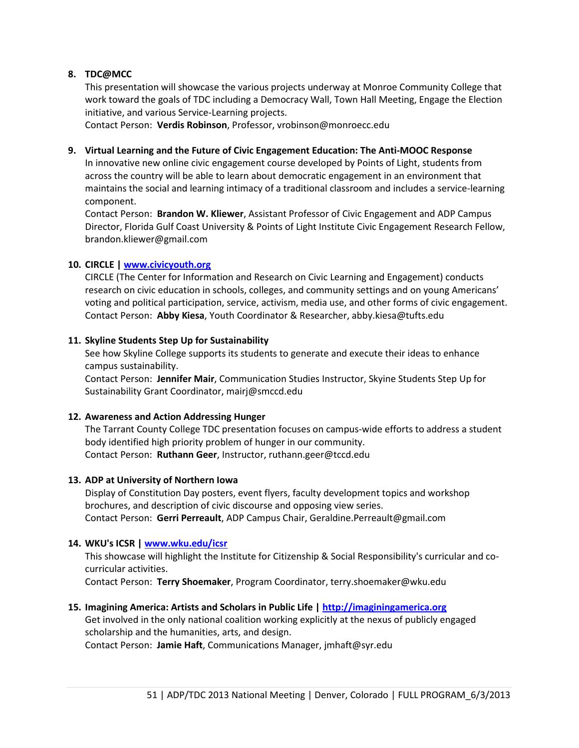## **8. TDC@MCC**

This presentation will showcase the various projects underway at Monroe Community College that work toward the goals of TDC including a Democracy Wall, Town Hall Meeting, Engage the Election initiative, and various Service-Learning projects.

Contact Person: **Verdis Robinson**, Professor, vrobinson@monroecc.edu

#### **9. Virtual Learning and the Future of Civic Engagement Education: The Anti-MOOC Response**

In innovative new online civic engagement course developed by Points of Light, students from across the country will be able to learn about democratic engagement in an environment that maintains the social and learning intimacy of a traditional classroom and includes a service-learning component.

Contact Person: **Brandon W. Kliewer**, Assistant Professor of Civic Engagement and ADP Campus Director, Florida Gulf Coast University & Points of Light Institute Civic Engagement Research Fellow, brandon.kliewer@gmail.com

#### **10. CIRCLE | [www.civicyouth.org](http://www.civicyouth.org/)**

CIRCLE (The Center for Information and Research on Civic Learning and Engagement) conducts research on civic education in schools, colleges, and community settings and on young Americans' voting and political participation, service, activism, media use, and other forms of civic engagement. Contact Person: **Abby Kiesa**, Youth Coordinator & Researcher, abby.kiesa@tufts.edu

#### **11. Skyline Students Step Up for Sustainability**

See how Skyline College supports its students to generate and execute their ideas to enhance campus sustainability.

Contact Person: **Jennifer Mair**, Communication Studies Instructor, Skyine Students Step Up for Sustainability Grant Coordinator, mairj@smccd.edu

#### **12. Awareness and Action Addressing Hunger**

The Tarrant County College TDC presentation focuses on campus-wide efforts to address a student body identified high priority problem of hunger in our community. Contact Person: **Ruthann Geer**, Instructor, ruthann.geer@tccd.edu

#### **13. ADP at University of Northern Iowa**

Display of Constitution Day posters, event flyers, faculty development topics and workshop brochures, and description of civic discourse and opposing view series. Contact Person: **Gerri Perreault**, ADP Campus Chair, Geraldine.Perreault@gmail.com

#### **14. WKU's ICSR | [www.wku.edu/icsr](http://www.wku.edu/icsr)**

This showcase will highlight the Institute for Citizenship & Social Responsibility's curricular and cocurricular activities.

Contact Person: **Terry Shoemaker**, Program Coordinator, terry.shoemaker@wku.edu

#### **15. Imagining America: Artists and Scholars in Public Life | [http://imaginingamerica.org](http://imaginingamerica.org/)**

Get involved in the only national coalition working explicitly at the nexus of publicly engaged scholarship and the humanities, arts, and design.

Contact Person: **Jamie Haft**, Communications Manager, jmhaft@syr.edu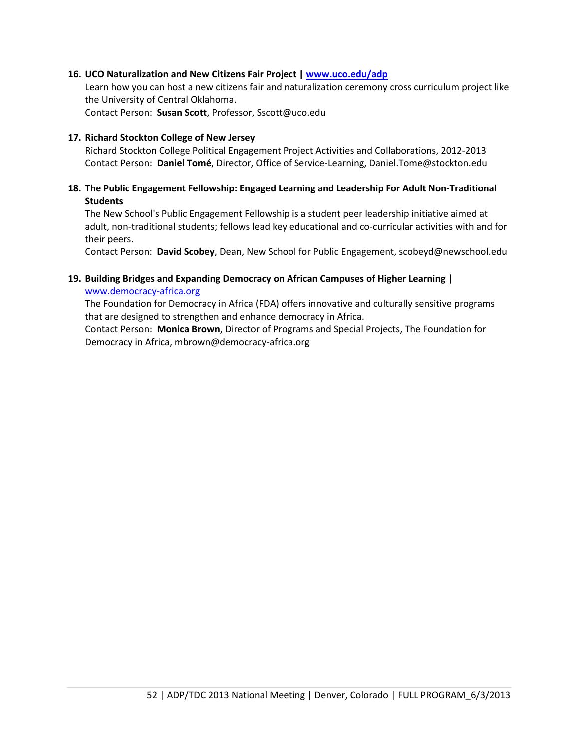#### **16. UCO Naturalization and New Citizens Fair Project | [www.uco.edu/adp](http://www.uco.edu/adp)**

Learn how you can host a new citizens fair and naturalization ceremony cross curriculum project like the University of Central Oklahoma. Contact Person: **Susan Scott**, Professor, Sscott@uco.edu

#### **17. Richard Stockton College of New Jersey**

Richard Stockton College Political Engagement Project Activities and Collaborations, 2012-2013 Contact Person: **Daniel Tomé**, Director, Office of Service-Learning, Daniel.Tome@stockton.edu

#### **18. The Public Engagement Fellowship: Engaged Learning and Leadership For Adult Non-Traditional Students**

The New School's Public Engagement Fellowship is a student peer leadership initiative aimed at adult, non-traditional students; fellows lead key educational and co-curricular activities with and for their peers.

Contact Person: **David Scobey**, Dean, New School for Public Engagement, scobeyd@newschool.edu

#### **19. Building Bridges and Expanding Democracy on African Campuses of Higher Learning |**  [www.democracy-africa.org](http://www.democracy-africa.org/)

The Foundation for Democracy in Africa (FDA) offers innovative and culturally sensitive programs that are designed to strengthen and enhance democracy in Africa.

Contact Person: **Monica Brown**, Director of Programs and Special Projects, The Foundation for Democracy in Africa, mbrown@democracy-africa.org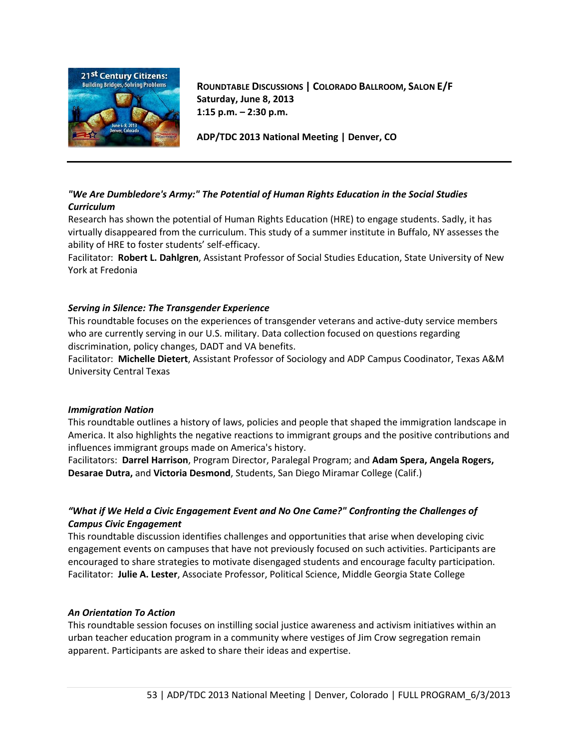

**ROUNDTABLE DISCUSSIONS | COLORADO BALLROOM, SALON E/F Saturday, June 8, 2013 1:15 p.m. – 2:30 p.m.**

**ADP/TDC 2013 National Meeting | Denver, CO**

## *"We Are Dumbledore's Army:" The Potential of Human Rights Education in the Social Studies Curriculum*

Research has shown the potential of Human Rights Education (HRE) to engage students. Sadly, it has virtually disappeared from the curriculum. This study of a summer institute in Buffalo, NY assesses the ability of HRE to foster students' self-efficacy.

Facilitator: **Robert L. Dahlgren**, Assistant Professor of Social Studies Education, State University of New York at Fredonia

#### *Serving in Silence: The Transgender Experience*

This roundtable focuses on the experiences of transgender veterans and active-duty service members who are currently serving in our U.S. military. Data collection focused on questions regarding discrimination, policy changes, DADT and VA benefits.

Facilitator: **Michelle Dietert**, Assistant Professor of Sociology and ADP Campus Coodinator, Texas A&M University Central Texas

#### *Immigration Nation*

This roundtable outlines a history of laws, policies and people that shaped the immigration landscape in America. It also highlights the negative reactions to immigrant groups and the positive contributions and influences immigrant groups made on America's history.

Facilitators: **Darrel Harrison**, Program Director, Paralegal Program; and **Adam Spera, Angela Rogers, Desarae Dutra,** and **Victoria Desmond**, Students, San Diego Miramar College (Calif.)

## *"What if We Held a Civic Engagement Event and No One Came?" Confronting the Challenges of Campus Civic Engagement*

This roundtable discussion identifies challenges and opportunities that arise when developing civic engagement events on campuses that have not previously focused on such activities. Participants are encouraged to share strategies to motivate disengaged students and encourage faculty participation. Facilitator: **Julie A. Lester**, Associate Professor, Political Science, Middle Georgia State College

#### *An Orientation To Action*

This roundtable session focuses on instilling social justice awareness and activism initiatives within an urban teacher education program in a community where vestiges of Jim Crow segregation remain apparent. Participants are asked to share their ideas and expertise.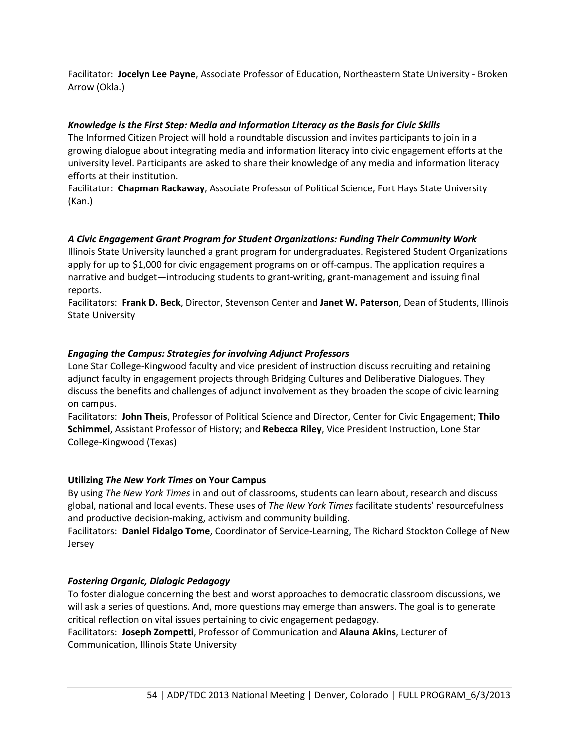Facilitator: **Jocelyn Lee Payne**, Associate Professor of Education, Northeastern State University - Broken Arrow (Okla.)

#### *Knowledge is the First Step: Media and Information Literacy as the Basis for Civic Skills*

The Informed Citizen Project will hold a roundtable discussion and invites participants to join in a growing dialogue about integrating media and information literacy into civic engagement efforts at the university level. Participants are asked to share their knowledge of any media and information literacy efforts at their institution.

Facilitator: **Chapman Rackaway**, Associate Professor of Political Science, Fort Hays State University (Kan.)

#### *A Civic Engagement Grant Program for Student Organizations: Funding Their Community Work*

Illinois State University launched a grant program for undergraduates. Registered Student Organizations apply for up to \$1,000 for civic engagement programs on or off-campus. The application requires a narrative and budget—introducing students to grant-writing, grant-management and issuing final reports.

Facilitators: **Frank D. Beck**, Director, Stevenson Center and **Janet W. Paterson**, Dean of Students, Illinois State University

#### *Engaging the Campus: Strategies for involving Adjunct Professors*

Lone Star College-Kingwood faculty and vice president of instruction discuss recruiting and retaining adjunct faculty in engagement projects through Bridging Cultures and Deliberative Dialogues. They discuss the benefits and challenges of adjunct involvement as they broaden the scope of civic learning on campus.

Facilitators: **John Theis**, Professor of Political Science and Director, Center for Civic Engagement; **Thilo Schimmel**, Assistant Professor of History; and **Rebecca Riley**, Vice President Instruction, Lone Star College-Kingwood (Texas)

#### **Utilizing** *The New York Times* **on Your Campus**

By using *The New York Times* in and out of classrooms, students can learn about, research and discuss global, national and local events. These uses of *The New York Times* facilitate students' resourcefulness and productive decision-making, activism and community building.

Facilitators: **Daniel Fidalgo Tome**, Coordinator of Service-Learning, The Richard Stockton College of New Jersey

#### *Fostering Organic, Dialogic Pedagogy*

To foster dialogue concerning the best and worst approaches to democratic classroom discussions, we will ask a series of questions. And, more questions may emerge than answers. The goal is to generate critical reflection on vital issues pertaining to civic engagement pedagogy.

Facilitators: **Joseph Zompetti**, Professor of Communication and **Alauna Akins**, Lecturer of Communication, Illinois State University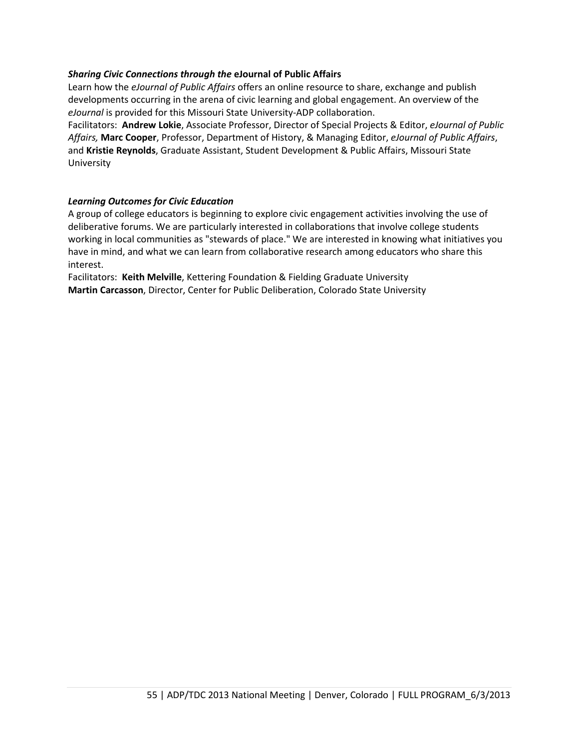#### *Sharing Civic Connections through the* **eJournal of Public Affairs**

Learn how the *eJournal of Public Affairs* offers an online resource to share, exchange and publish developments occurring in the arena of civic learning and global engagement. An overview of the *eJournal* is provided for this Missouri State University-ADP collaboration.

Facilitators: **Andrew Lokie**, Associate Professor, Director of Special Projects & Editor, *eJournal of Public Affairs,* **Marc Cooper**, Professor, Department of History, & Managing Editor, *eJournal of Public Affairs*, and **Kristie Reynolds**, Graduate Assistant, Student Development & Public Affairs, Missouri State University

#### *Learning Outcomes for Civic Education*

A group of college educators is beginning to explore civic engagement activities involving the use of deliberative forums. We are particularly interested in collaborations that involve college students working in local communities as "stewards of place." We are interested in knowing what initiatives you have in mind, and what we can learn from collaborative research among educators who share this interest.

Facilitators: **Keith Melville**, Kettering Foundation & Fielding Graduate University **Martin Carcasson**, Director, Center for Public Deliberation, Colorado State University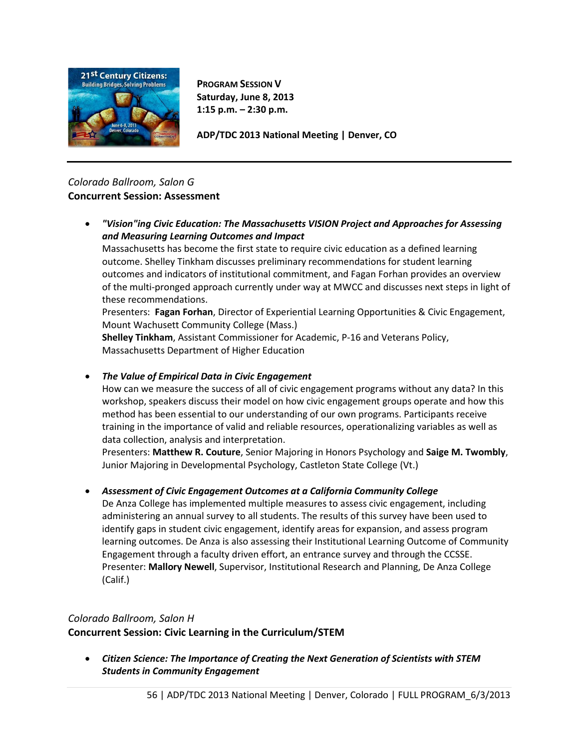

**PROGRAM SESSION V Saturday, June 8, 2013 1:15 p.m. – 2:30 p.m.**

**ADP/TDC 2013 National Meeting | Denver, CO**

# *Colorado Ballroom, Salon G* **Concurrent Session: Assessment**

• *"Vision"ing Civic Education: The Massachusetts VISION Project and Approaches for Assessing and Measuring Learning Outcomes and Impact*

Massachusetts has become the first state to require civic education as a defined learning outcome. Shelley Tinkham discusses preliminary recommendations for student learning outcomes and indicators of institutional commitment, and Fagan Forhan provides an overview of the multi-pronged approach currently under way at MWCC and discusses next steps in light of these recommendations.

Presenters: **Fagan Forhan**, Director of Experiential Learning Opportunities & Civic Engagement, Mount Wachusett Community College (Mass.)

**Shelley Tinkham**, Assistant Commissioner for Academic, P-16 and Veterans Policy, Massachusetts Department of Higher Education

• *The Value of Empirical Data in Civic Engagement*

How can we measure the success of all of civic engagement programs without any data? In this workshop, speakers discuss their model on how civic engagement groups operate and how this method has been essential to our understanding of our own programs. Participants receive training in the importance of valid and reliable resources, operationalizing variables as well as data collection, analysis and interpretation.

Presenters: **Matthew R. Couture**, Senior Majoring in Honors Psychology and **Saige M. Twombly**, Junior Majoring in Developmental Psychology, Castleton State College (Vt.)

# • *Assessment of Civic Engagement Outcomes at a California Community College*

De Anza College has implemented multiple measures to assess civic engagement, including administering an annual survey to all students. The results of this survey have been used to identify gaps in student civic engagement, identify areas for expansion, and assess program learning outcomes. De Anza is also assessing their Institutional Learning Outcome of Community Engagement through a faculty driven effort, an entrance survey and through the CCSSE. Presenter: **Mallory Newell**, Supervisor, Institutional Research and Planning, De Anza College (Calif.)

# *Colorado Ballroom, Salon H*

**Concurrent Session: Civic Learning in the Curriculum/STEM**

• *Citizen Science: The Importance of Creating the Next Generation of Scientists with STEM Students in Community Engagement*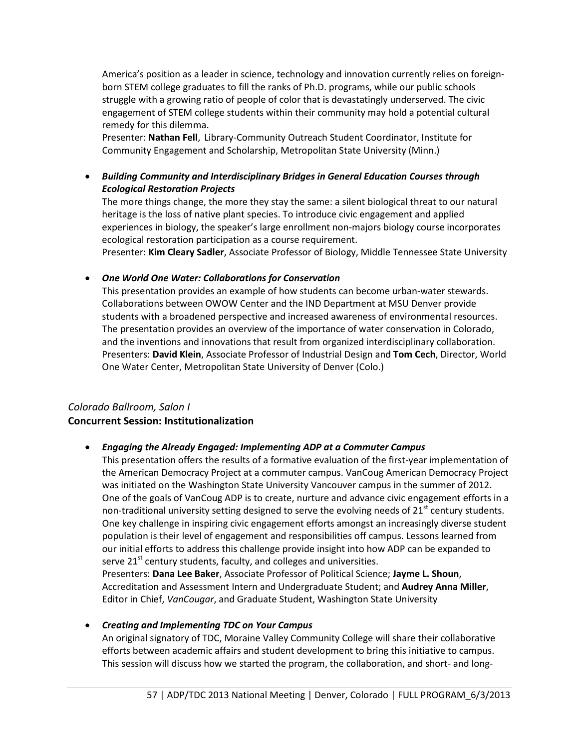America's position as a leader in science, technology and innovation currently relies on foreignborn STEM college graduates to fill the ranks of Ph.D. programs, while our public schools struggle with a growing ratio of people of color that is devastatingly underserved. The civic engagement of STEM college students within their community may hold a potential cultural remedy for this dilemma.

Presenter: **Nathan Fell**, Library-Community Outreach Student Coordinator, Institute for Community Engagement and Scholarship, Metropolitan State University (Minn.)

• *Building Community and Interdisciplinary Bridges in General Education Courses through Ecological Restoration Projects*

The more things change, the more they stay the same: a silent biological threat to our natural heritage is the loss of native plant species. To introduce civic engagement and applied experiences in biology, the speaker's large enrollment non-majors biology course incorporates ecological restoration participation as a course requirement.

Presenter: **Kim Cleary Sadler**, Associate Professor of Biology, Middle Tennessee State University

#### • *One World One Water: Collaborations for Conservation*

This presentation provides an example of how students can become urban-water stewards. Collaborations between OWOW Center and the IND Department at MSU Denver provide students with a broadened perspective and increased awareness of environmental resources. The presentation provides an overview of the importance of water conservation in Colorado, and the inventions and innovations that result from organized interdisciplinary collaboration. Presenters: **David Klein**, Associate Professor of Industrial Design and **Tom Cech**, Director, World One Water Center, Metropolitan State University of Denver (Colo.)

## *Colorado Ballroom, Salon I* **Concurrent Session: Institutionalization**

## • *Engaging the Already Engaged: Implementing ADP at a Commuter Campus*

This presentation offers the results of a formative evaluation of the first-year implementation of the American Democracy Project at a commuter campus. VanCoug American Democracy Project was initiated on the Washington State University Vancouver campus in the summer of 2012. One of the goals of VanCoug ADP is to create, nurture and advance civic engagement efforts in a non-traditional university setting designed to serve the evolving needs of  $21<sup>st</sup>$  century students. One key challenge in inspiring civic engagement efforts amongst an increasingly diverse student population is their level of engagement and responsibilities off campus. Lessons learned from our initial efforts to address this challenge provide insight into how ADP can be expanded to serve 21<sup>st</sup> century students, faculty, and colleges and universities. Presenters: **Dana Lee Baker**, Associate Professor of Political Science; **Jayme L. Shoun**,

Accreditation and Assessment Intern and Undergraduate Student; and **Audrey Anna Miller**, Editor in Chief, *VanCougar*, and Graduate Student, Washington State University

#### • *Creating and Implementing TDC on Your Campus*

An original signatory of TDC, Moraine Valley Community College will share their collaborative efforts between academic affairs and student development to bring this initiative to campus. This session will discuss how we started the program, the collaboration, and short- and long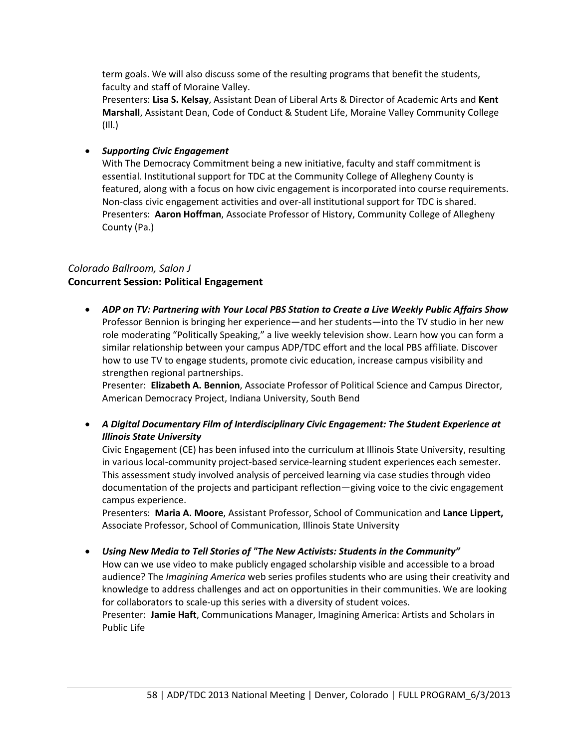term goals. We will also discuss some of the resulting programs that benefit the students, faculty and staff of Moraine Valley.

Presenters: **Lisa S. Kelsay**, Assistant Dean of Liberal Arts & Director of Academic Arts and **Kent Marshall**, Assistant Dean, Code of Conduct & Student Life, Moraine Valley Community College (Ill.)

## • *Supporting Civic Engagement*

With The Democracy Commitment being a new initiative, faculty and staff commitment is essential. Institutional support for TDC at the Community College of Allegheny County is featured, along with a focus on how civic engagement is incorporated into course requirements. Non-class civic engagement activities and over-all institutional support for TDC is shared. Presenters: **Aaron Hoffman**, Associate Professor of History, Community College of Allegheny County (Pa.)

## *Colorado Ballroom, Salon J* **Concurrent Session: Political Engagement**

• *ADP on TV: Partnering with Your Local PBS Station to Create a Live Weekly Public Affairs Show* Professor Bennion is bringing her experience—and her students—into the TV studio in her new role moderating "Politically Speaking," a live weekly television show. Learn how you can form a similar relationship between your campus ADP/TDC effort and the local PBS affiliate. Discover how to use TV to engage students, promote civic education, increase campus visibility and strengthen regional partnerships.

Presenter: **Elizabeth A. Bennion**, Associate Professor of Political Science and Campus Director, American Democracy Project, Indiana University, South Bend

• *A Digital Documentary Film of Interdisciplinary Civic Engagement: The Student Experience at Illinois State University*

Civic Engagement (CE) has been infused into the curriculum at Illinois State University, resulting in various local-community project-based service-learning student experiences each semester. This assessment study involved analysis of perceived learning via case studies through video documentation of the projects and participant reflection—giving voice to the civic engagement campus experience.

Presenters: **Maria A. Moore**, Assistant Professor, School of Communication and **Lance Lippert,** Associate Professor, School of Communication, Illinois State University

• *Using New Media to Tell Stories of "The New Activists: Students in the Community"*

How can we use video to make publicly engaged scholarship visible and accessible to a broad audience? The *Imagining America* web series profiles students who are using their creativity and knowledge to address challenges and act on opportunities in their communities. We are looking for collaborators to scale-up this series with a diversity of student voices.

Presenter: **Jamie Haft**, Communications Manager, Imagining America: Artists and Scholars in Public Life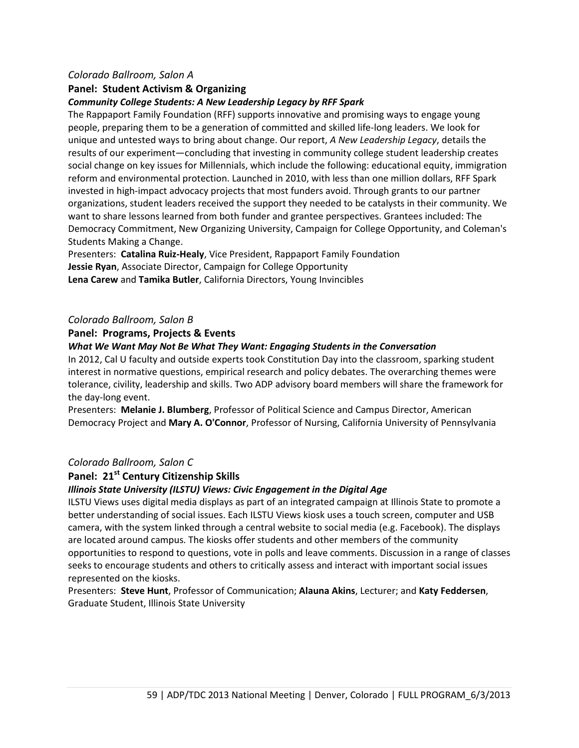#### *Colorado Ballroom, Salon A*

## **Panel: Student Activism & Organizing**

#### *Community College Students: A New Leadership Legacy by RFF Spark*

The Rappaport Family Foundation (RFF) supports innovative and promising ways to engage young people, preparing them to be a generation of committed and skilled life-long leaders. We look for unique and untested ways to bring about change. Our report, *A New Leadership Legacy*, details the results of our experiment—concluding that investing in community college student leadership creates social change on key issues for Millennials, which include the following: educational equity, immigration reform and environmental protection. Launched in 2010, with less than one million dollars, RFF Spark invested in high-impact advocacy projects that most funders avoid. Through grants to our partner organizations, student leaders received the support they needed to be catalysts in their community. We want to share lessons learned from both funder and grantee perspectives. Grantees included: The Democracy Commitment, New Organizing University, Campaign for College Opportunity, and Coleman's Students Making a Change.

Presenters: **Catalina Ruiz-Healy**, Vice President, Rappaport Family Foundation **Jessie Ryan**, Associate Director, Campaign for College Opportunity **Lena Carew** and **Tamika Butler**, California Directors, Young Invincibles

#### *Colorado Ballroom, Salon B*

#### **Panel: Programs, Projects & Events**

#### *What We Want May Not Be What They Want: Engaging Students in the Conversation*

In 2012, Cal U faculty and outside experts took Constitution Day into the classroom, sparking student interest in normative questions, empirical research and policy debates. The overarching themes were tolerance, civility, leadership and skills. Two ADP advisory board members will share the framework for the day-long event.

Presenters: **Melanie J. Blumberg**, Professor of Political Science and Campus Director, American Democracy Project and **Mary A. O'Connor**, Professor of Nursing, California University of Pennsylvania

## *Colorado Ballroom, Salon C*

## **Panel: 21st Century Citizenship Skills**

#### *Illinois State University (ILSTU) Views: Civic Engagement in the Digital Age*

ILSTU Views uses digital media displays as part of an integrated campaign at Illinois State to promote a better understanding of social issues. Each ILSTU Views kiosk uses a touch screen, computer and USB camera, with the system linked through a central website to social media (e.g. Facebook). The displays are located around campus. The kiosks offer students and other members of the community opportunities to respond to questions, vote in polls and leave comments. Discussion in a range of classes seeks to encourage students and others to critically assess and interact with important social issues represented on the kiosks.

Presenters: **Steve Hunt**, Professor of Communication; **Alauna Akins**, Lecturer; and **Katy Feddersen**, Graduate Student, Illinois State University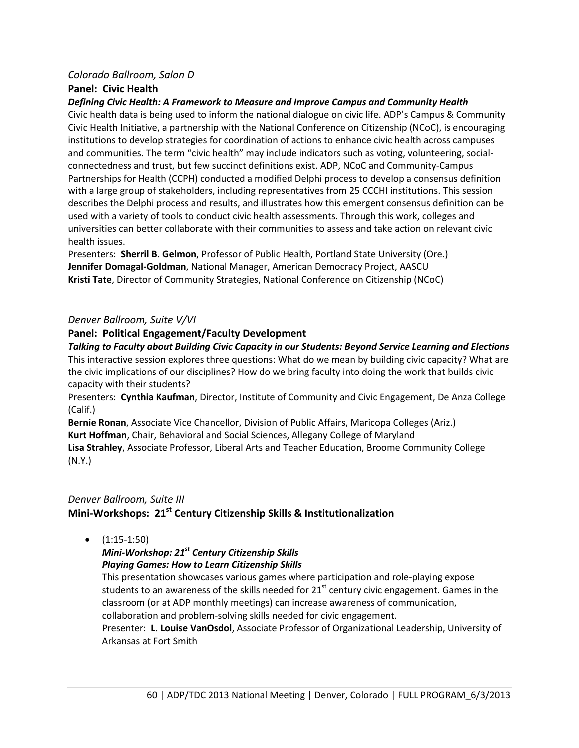#### *Colorado Ballroom, Salon D*

#### **Panel: Civic Health**

*Defining Civic Health: A Framework to Measure and Improve Campus and Community Health*

Civic health data is being used to inform the national dialogue on civic life. ADP's Campus & Community Civic Health Initiative, a partnership with the National Conference on Citizenship (NCoC), is encouraging institutions to develop strategies for coordination of actions to enhance civic health across campuses and communities. The term "civic health" may include indicators such as voting, volunteering, socialconnectedness and trust, but few succinct definitions exist. ADP, NCoC and Community-Campus Partnerships for Health (CCPH) conducted a modified Delphi process to develop a consensus definition with a large group of stakeholders, including representatives from 25 CCCHI institutions. This session describes the Delphi process and results, and illustrates how this emergent consensus definition can be used with a variety of tools to conduct civic health assessments. Through this work, colleges and universities can better collaborate with their communities to assess and take action on relevant civic health issues.

Presenters: **Sherril B. Gelmon**, Professor of Public Health, Portland State University (Ore.) **Jennifer Domagal-Goldman**, National Manager, American Democracy Project, AASCU **Kristi Tate**, Director of Community Strategies, National Conference on Citizenship (NCoC)

#### *Denver Ballroom, Suite V/VI*

#### **Panel: Political Engagement/Faculty Development**

#### *Talking to Faculty about Building Civic Capacity in our Students: Beyond Service Learning and Elections*

This interactive session explores three questions: What do we mean by building civic capacity? What are the civic implications of our disciplines? How do we bring faculty into doing the work that builds civic capacity with their students?

Presenters: **Cynthia Kaufman**, Director, Institute of Community and Civic Engagement, De Anza College (Calif.)

**Bernie Ronan**, Associate Vice Chancellor, Division of Public Affairs, Maricopa Colleges (Ariz.) **Kurt Hoffman**, Chair, Behavioral and Social Sciences, Allegany College of Maryland

**Lisa Strahley**, Associate Professor, Liberal Arts and Teacher Education, Broome Community College (N.Y.)

# *Denver Ballroom, Suite III* **Mini-Workshops: 21st Century Citizenship Skills & Institutionalization**

 $\bullet$  (1:15-1:50)

*Mini-Workshop: 21st Century Citizenship Skills Playing Games: How to Learn Citizenship Skills* 

This presentation showcases various games where participation and role-playing expose students to an awareness of the skills needed for  $21<sup>st</sup>$  century civic engagement. Games in the classroom (or at ADP monthly meetings) can increase awareness of communication, collaboration and problem-solving skills needed for civic engagement.

Presenter: **L. Louise VanOsdol**, Associate Professor of Organizational Leadership, University of Arkansas at Fort Smith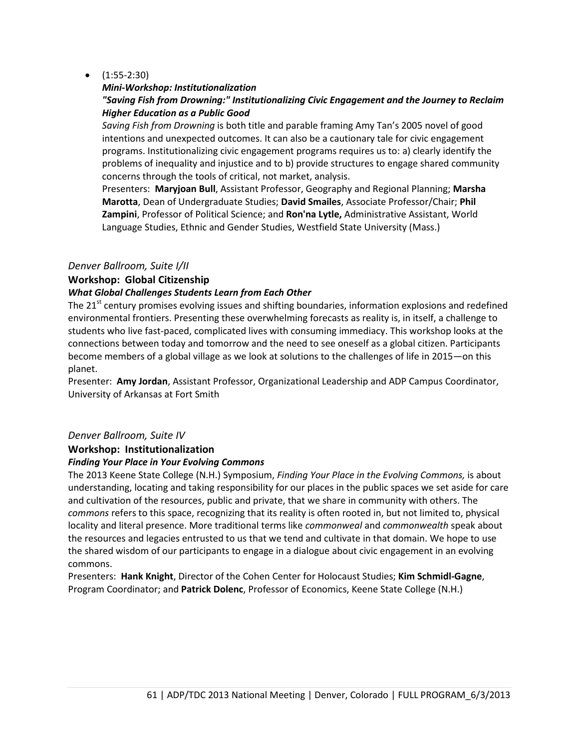## •  $(1:55-2:30)$

#### *Mini-Workshop: Institutionalization*

## *"Saving Fish from Drowning:" Institutionalizing Civic Engagement and the Journey to Reclaim Higher Education as a Public Good*

*Saving Fish from Drowning* is both title and parable framing Amy Tan's 2005 novel of good intentions and unexpected outcomes. It can also be a cautionary tale for civic engagement programs. Institutionalizing civic engagement programs requires us to: a) clearly identify the problems of inequality and injustice and to b) provide structures to engage shared community concerns through the tools of critical, not market, analysis.

Presenters: **Maryjoan Bull**, Assistant Professor, Geography and Regional Planning; **Marsha Marotta**, Dean of Undergraduate Studies; **David Smailes**, Associate Professor/Chair; **Phil Zampini**, Professor of Political Science; and **Ron'na Lytle,** Administrative Assistant, World Language Studies, Ethnic and Gender Studies, Westfield State University (Mass.)

#### *Denver Ballroom, Suite I/II*

## **Workshop: Global Citizenship**

## *What Global Challenges Students Learn from Each Other*

The 21<sup>st</sup> century promises evolving issues and shifting boundaries, information explosions and redefined environmental frontiers. Presenting these overwhelming forecasts as reality is, in itself, a challenge to students who live fast-paced, complicated lives with consuming immediacy. This workshop looks at the connections between today and tomorrow and the need to see oneself as a global citizen. Participants become members of a global village as we look at solutions to the challenges of life in 2015—on this planet.

Presenter: **Amy Jordan**, Assistant Professor, Organizational Leadership and ADP Campus Coordinator, University of Arkansas at Fort Smith

## *Denver Ballroom, Suite IV*

## **Workshop: Institutionalization**

#### *Finding Your Place in Your Evolving Commons*

The 2013 Keene State College (N.H.) Symposium, *Finding Your Place in the Evolving Commons,* is about understanding, locating and taking responsibility for our places in the public spaces we set aside for care and cultivation of the resources, public and private, that we share in community with others. The *commons* refers to this space, recognizing that its reality is often rooted in, but not limited to, physical locality and literal presence. More traditional terms like *commonweal* and *commonwealth* speak about the resources and legacies entrusted to us that we tend and cultivate in that domain. We hope to use the shared wisdom of our participants to engage in a dialogue about civic engagement in an evolving commons.

Presenters: **Hank Knight**, Director of the Cohen Center for Holocaust Studies; **Kim Schmidl-Gagne**, Program Coordinator; and **Patrick Dolenc**, Professor of Economics, Keene State College (N.H.)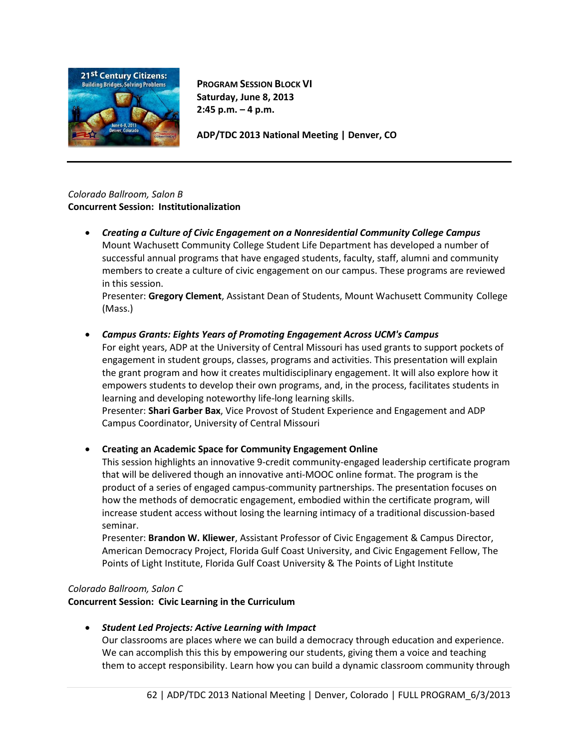

**PROGRAM SESSION BLOCK VI Saturday, June 8, 2013 2:45 p.m. – 4 p.m.**

**ADP/TDC 2013 National Meeting | Denver, CO**

## *Colorado Ballroom, Salon B* **Concurrent Session: Institutionalization**

• *Creating a Culture of Civic Engagement on a Nonresidential Community College Campus* Mount Wachusett Community College Student Life Department has developed a number of successful annual programs that have engaged students, faculty, staff, alumni and community members to create a culture of civic engagement on our campus. These programs are reviewed in this session.

Presenter: **Gregory Clement**, Assistant Dean of Students, Mount Wachusett Community College (Mass.)

# • *Campus Grants: Eights Years of Promoting Engagement Across UCM's Campus*

For eight years, ADP at the University of Central Missouri has used grants to support pockets of engagement in student groups, classes, programs and activities. This presentation will explain the grant program and how it creates multidisciplinary engagement. It will also explore how it empowers students to develop their own programs, and, in the process, facilitates students in learning and developing noteworthy life-long learning skills.

Presenter: **Shari Garber Bax**, Vice Provost of Student Experience and Engagement and ADP Campus Coordinator, University of Central Missouri

• **Creating an Academic Space for Community Engagement Online**

This session highlights an innovative 9-credit community-engaged leadership certificate program that will be delivered though an innovative anti-MOOC online format. The program is the product of a series of engaged campus-community partnerships. The presentation focuses on how the methods of democratic engagement, embodied within the certificate program, will increase student access without losing the learning intimacy of a traditional discussion-based seminar.

Presenter: **Brandon W. Kliewer**, Assistant Professor of Civic Engagement & Campus Director, American Democracy Project, Florida Gulf Coast University, and Civic Engagement Fellow, The Points of Light Institute, Florida Gulf Coast University & The Points of Light Institute

## *Colorado Ballroom, Salon C*

**Concurrent Session: Civic Learning in the Curriculum**

• *Student Led Projects: Active Learning with Impact*

Our classrooms are places where we can build a democracy through education and experience. We can accomplish this this by empowering our students, giving them a voice and teaching them to accept responsibility. Learn how you can build a dynamic classroom community through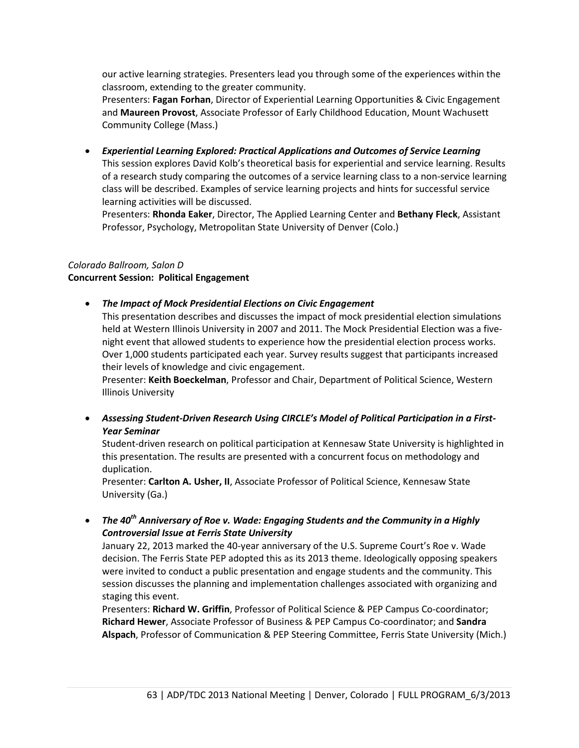our active learning strategies. Presenters lead you through some of the experiences within the classroom, extending to the greater community.

Presenters: **Fagan Forhan**, Director of Experiential Learning Opportunities & Civic Engagement and **Maureen Provost**, Associate Professor of Early Childhood Education, Mount Wachusett Community College (Mass.)

• *Experiential Learning Explored: Practical Applications and Outcomes of Service Learning* This session explores David Kolb's theoretical basis for experiential and service learning. Results of a research study comparing the outcomes of a service learning class to a non-service learning class will be described. Examples of service learning projects and hints for successful service learning activities will be discussed.

Presenters: **Rhonda Eaker**, Director, The Applied Learning Center and **Bethany Fleck**, Assistant Professor, Psychology, Metropolitan State University of Denver (Colo.)

# *Colorado Ballroom, Salon D*

#### **Concurrent Session: Political Engagement**

• *The Impact of Mock Presidential Elections on Civic Engagement*

This presentation describes and discusses the impact of mock presidential election simulations held at Western Illinois University in 2007 and 2011. The Mock Presidential Election was a fivenight event that allowed students to experience how the presidential election process works. Over 1,000 students participated each year. Survey results suggest that participants increased their levels of knowledge and civic engagement.

Presenter: **Keith Boeckelman**, Professor and Chair, Department of Political Science, Western Illinois University

• *Assessing Student-Driven Research Using CIRCLE's Model of Political Participation in a First-Year Seminar*

Student-driven research on political participation at Kennesaw State University is highlighted in this presentation. The results are presented with a concurrent focus on methodology and duplication.

Presenter: **Carlton A. Usher, II**, Associate Professor of Political Science, Kennesaw State University (Ga.)

• *The 40th Anniversary of Roe v. Wade: Engaging Students and the Community in a Highly Controversial Issue at Ferris State University*

January 22, 2013 marked the 40-year anniversary of the U.S. Supreme Court's Roe v. Wade decision. The Ferris State PEP adopted this as its 2013 theme. Ideologically opposing speakers were invited to conduct a public presentation and engage students and the community. This session discusses the planning and implementation challenges associated with organizing and staging this event.

Presenters: **Richard W. Griffin**, Professor of Political Science & PEP Campus Co-coordinator; **Richard Hewer**, Associate Professor of Business & PEP Campus Co-coordinator; and **Sandra Alspach**, Professor of Communication & PEP Steering Committee, Ferris State University (Mich.)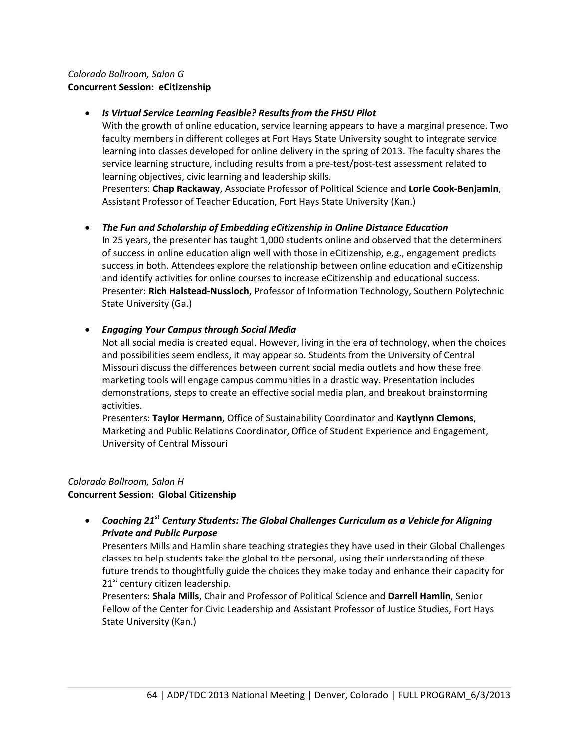## *Colorado Ballroom, Salon G* **Concurrent Session: eCitizenship**

## • *Is Virtual Service Learning Feasible? Results from the FHSU Pilot*

With the growth of online education, service learning appears to have a marginal presence. Two faculty members in different colleges at Fort Hays State University sought to integrate service learning into classes developed for online delivery in the spring of 2013. The faculty shares the service learning structure, including results from a pre-test/post-test assessment related to learning objectives, civic learning and leadership skills.

Presenters: **Chap Rackaway**, Associate Professor of Political Science and **Lorie Cook-Benjamin**, Assistant Professor of Teacher Education, Fort Hays State University (Kan.)

• *The Fun and Scholarship of Embedding eCitizenship in Online Distance Education* In 25 years, the presenter has taught 1,000 students online and observed that the determiners of success in online education align well with those in eCitizenship, e.g., engagement predicts success in both. Attendees explore the relationship between online education and eCitizenship and identify activities for online courses to increase eCitizenship and educational success. Presenter: **Rich Halstead-Nussloch**, Professor of Information Technology, Southern Polytechnic State University (Ga.)

#### • *Engaging Your Campus through Social Media*

Not all social media is created equal. However, living in the era of technology, when the choices and possibilities seem endless, it may appear so. Students from the University of Central Missouri discuss the differences between current social media outlets and how these free marketing tools will engage campus communities in a drastic way. Presentation includes demonstrations, steps to create an effective social media plan, and breakout brainstorming activities.

Presenters: **Taylor Hermann**, Office of Sustainability Coordinator and **Kaytlynn Clemons**, Marketing and Public Relations Coordinator, Office of Student Experience and Engagement, University of Central Missouri

## *Colorado Ballroom, Salon H* **Concurrent Session: Global Citizenship**

• *Coaching 21st Century Students: The Global Challenges Curriculum as a Vehicle for Aligning Private and Public Purpose*

Presenters Mills and Hamlin share teaching strategies they have used in their Global Challenges classes to help students take the global to the personal, using their understanding of these future trends to thoughtfully guide the choices they make today and enhance their capacity for  $21<sup>st</sup>$  century citizen leadership.

Presenters: **Shala Mills**, Chair and Professor of Political Science and **Darrell Hamlin**, Senior Fellow of the Center for Civic Leadership and Assistant Professor of Justice Studies, Fort Hays State University (Kan.)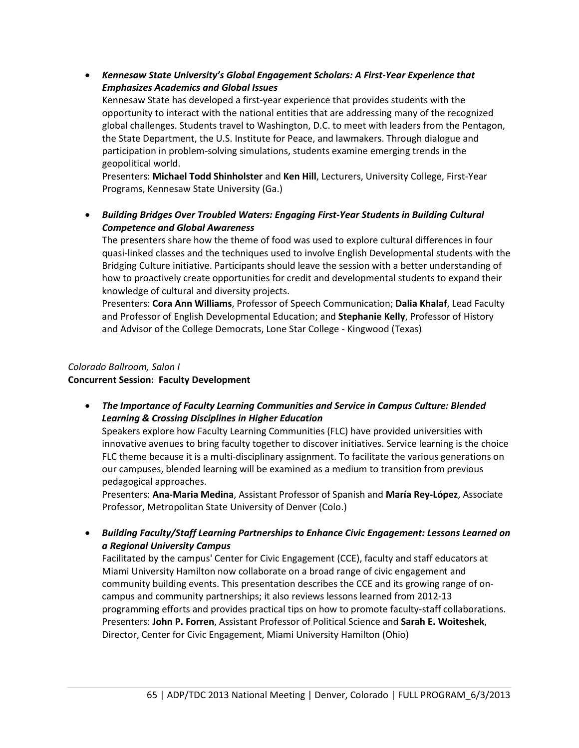• *Kennesaw State University's Global Engagement Scholars: A First-Year Experience that Emphasizes Academics and Global Issues*

Kennesaw State has developed a first-year experience that provides students with the opportunity to interact with the national entities that are addressing many of the recognized global challenges. Students travel to Washington, D.C. to meet with leaders from the Pentagon, the State Department, the U.S. Institute for Peace, and lawmakers. Through dialogue and participation in problem-solving simulations, students examine emerging trends in the geopolitical world.

Presenters: **Michael Todd Shinholster** and **Ken Hill**, Lecturers, University College, First-Year Programs, Kennesaw State University (Ga.)

• *Building Bridges Over Troubled Waters: Engaging First-Year Students in Building Cultural Competence and Global Awareness*

The presenters share how the theme of food was used to explore cultural differences in four quasi-linked classes and the techniques used to involve English Developmental students with the Bridging Culture initiative. Participants should leave the session with a better understanding of how to proactively create opportunities for credit and developmental students to expand their knowledge of cultural and diversity projects.

Presenters: **Cora Ann Williams**, Professor of Speech Communication; **Dalia Khalaf**, Lead Faculty and Professor of English Developmental Education; and **Stephanie Kelly**, Professor of History and Advisor of the College Democrats, Lone Star College - Kingwood (Texas)

## *Colorado Ballroom, Salon I* **Concurrent Session: Faculty Development**

• *The Importance of Faculty Learning Communities and Service in Campus Culture: Blended Learning & Crossing Disciplines in Higher Education*

Speakers explore how Faculty Learning Communities (FLC) have provided universities with innovative avenues to bring faculty together to discover initiatives. Service learning is the choice FLC theme because it is a multi-disciplinary assignment. To facilitate the various generations on our campuses, blended learning will be examined as a medium to transition from previous pedagogical approaches.

Presenters: **Ana-Maria Medina**, Assistant Professor of Spanish and **María Rey-López**, Associate Professor, Metropolitan State University of Denver (Colo.)

• *Building Faculty/Staff Learning Partnerships to Enhance Civic Engagement: Lessons Learned on a Regional University Campus*

Facilitated by the campus' Center for Civic Engagement (CCE), faculty and staff educators at Miami University Hamilton now collaborate on a broad range of civic engagement and community building events. This presentation describes the CCE and its growing range of oncampus and community partnerships; it also reviews lessons learned from 2012-13 programming efforts and provides practical tips on how to promote faculty-staff collaborations. Presenters: **John P. Forren**, Assistant Professor of Political Science and **Sarah E. Woiteshek**, Director, Center for Civic Engagement, Miami University Hamilton (Ohio)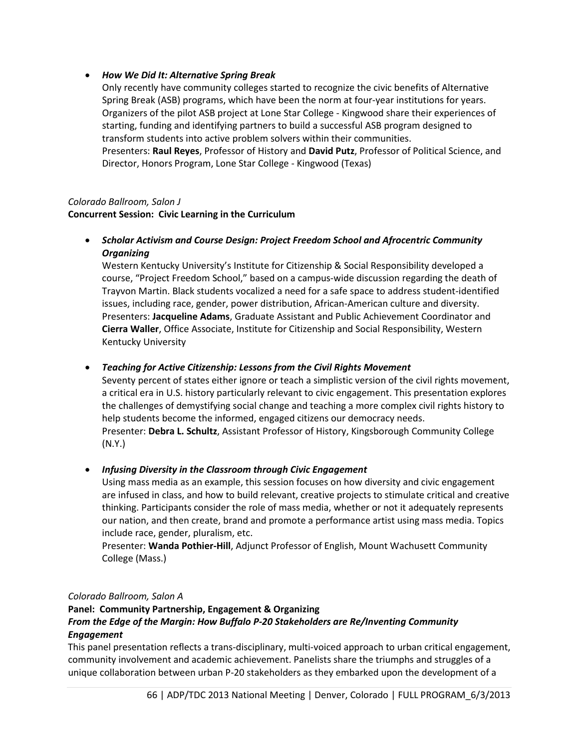## • *How We Did It: Alternative Spring Break*

Only recently have community colleges started to recognize the civic benefits of Alternative Spring Break (ASB) programs, which have been the norm at four-year institutions for years. Organizers of the pilot ASB project at Lone Star College - Kingwood share their experiences of starting, funding and identifying partners to build a successful ASB program designed to transform students into active problem solvers within their communities. Presenters: **Raul Reyes**, Professor of History and **David Putz**, Professor of Political Science, and Director, Honors Program, Lone Star College - Kingwood (Texas)

## *Colorado Ballroom, Salon J*

**Concurrent Session: Civic Learning in the Curriculum**

• *Scholar Activism and Course Design: Project Freedom School and Afrocentric Community Organizing*

Western Kentucky University's Institute for Citizenship & Social Responsibility developed a course, "Project Freedom School," based on a campus-wide discussion regarding the death of Trayvon Martin. Black students vocalized a need for a safe space to address student-identified issues, including race, gender, power distribution, African-American culture and diversity. Presenters: **Jacqueline Adams**, Graduate Assistant and Public Achievement Coordinator and **Cierra Waller**, Office Associate, Institute for Citizenship and Social Responsibility, Western Kentucky University

## • *Teaching for Active Citizenship: Lessons from the Civil Rights Movement*

Seventy percent of states either ignore or teach a simplistic version of the civil rights movement, a critical era in U.S. history particularly relevant to civic engagement. This presentation explores the challenges of demystifying social change and teaching a more complex civil rights history to help students become the informed, engaged citizens our democracy needs. Presenter: **Debra L. Schultz**, Assistant Professor of History, Kingsborough Community College (N.Y.)

## • *Infusing Diversity in the Classroom through Civic Engagement*

Using mass media as an example, this session focuses on how diversity and civic engagement are infused in class, and how to build relevant, creative projects to stimulate critical and creative thinking. Participants consider the role of mass media, whether or not it adequately represents our nation, and then create, brand and promote a performance artist using mass media. Topics include race, gender, pluralism, etc.

Presenter: **Wanda Pothier-Hill**, Adjunct Professor of English, Mount Wachusett Community College (Mass.)

## *Colorado Ballroom, Salon A*

# **Panel: Community Partnership, Engagement & Organizing** *From the Edge of the Margin: How Buffalo P-20 Stakeholders are Re/Inventing Community Engagement*

This panel presentation reflects a trans-disciplinary, multi-voiced approach to urban critical engagement, community involvement and academic achievement. Panelists share the triumphs and struggles of a unique collaboration between urban P-20 stakeholders as they embarked upon the development of a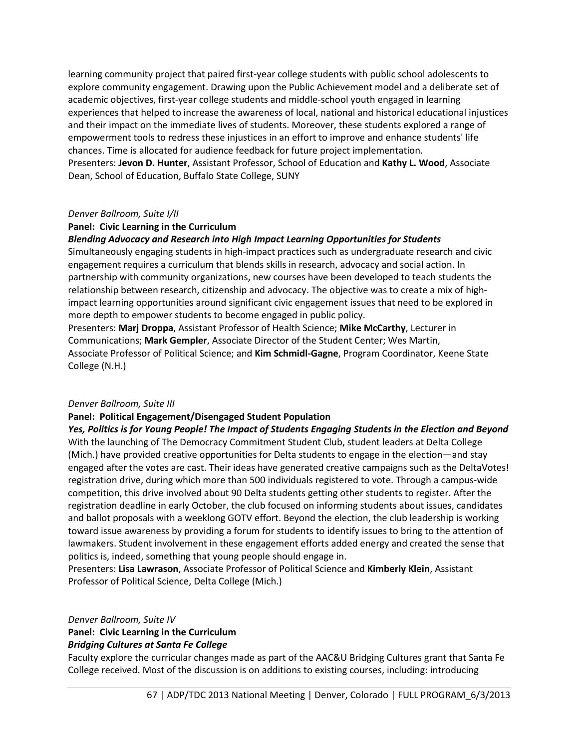learning community project that paired first-year college students with public school adolescents to explore community engagement. Drawing upon the Public Achievement model and a deliberate set of academic objectives, first-year college students and middle-school youth engaged in learning experiences that helped to increase the awareness of local, national and historical educational injustices and their impact on the immediate lives of students. Moreover, these students explored a range of empowerment tools to redress these injustices in an effort to improve and enhance students' life chances. Time is allocated for audience feedback for future project implementation. Presenters: **Jevon D. Hunter**, Assistant Professor, School of Education and **Kathy L. Wood**, Associate Dean, School of Education, Buffalo State College, SUNY

#### *Denver Ballroom, Suite I/II*

#### **Panel: Civic Learning in the Curriculum**

#### *Blending Advocacy and Research into High Impact Learning Opportunities for Students*

Simultaneously engaging students in high-impact practices such as undergraduate research and civic engagement requires a curriculum that blends skills in research, advocacy and social action. In partnership with community organizations, new courses have been developed to teach students the relationship between research, citizenship and advocacy. The objective was to create a mix of highimpact learning opportunities around significant civic engagement issues that need to be explored in more depth to empower students to become engaged in public policy.

Presenters: **Marj Droppa**, Assistant Professor of Health Science; **Mike McCarthy**, Lecturer in Communications; **Mark Gempler**, Associate Director of the Student Center; Wes Martin, Associate Professor of Political Science; and **Kim Schmidl-Gagne**, Program Coordinator, Keene State College (N.H.)

#### *Denver Ballroom, Suite III*

#### **Panel: Political Engagement/Disengaged Student Population**

*Yes, Politics is for Young People! The Impact of Students Engaging Students in the Election and Beyond* With the launching of The Democracy Commitment Student Club, student leaders at Delta College (Mich.) have provided creative opportunities for Delta students to engage in the election—and stay engaged after the votes are cast. Their ideas have generated creative campaigns such as the DeltaVotes! registration drive, during which more than 500 individuals registered to vote. Through a campus-wide competition, this drive involved about 90 Delta students getting other students to register. After the registration deadline in early October, the club focused on informing students about issues, candidates and ballot proposals with a weeklong GOTV effort. Beyond the election, the club leadership is working toward issue awareness by providing a forum for students to identify issues to bring to the attention of lawmakers. Student involvement in these engagement efforts added energy and created the sense that politics is, indeed, something that young people should engage in.

Presenters: **Lisa Lawrason**, Associate Professor of Political Science and **Kimberly Klein**, Assistant Professor of Political Science, Delta College (Mich.)

*Denver Ballroom, Suite IV*

# **Panel: Civic Learning in the Curriculum**

#### *Bridging Cultures at Santa Fe College*

Faculty explore the curricular changes made as part of the AAC&U Bridging Cultures grant that Santa Fe College received. Most of the discussion is on additions to existing courses, including: introducing